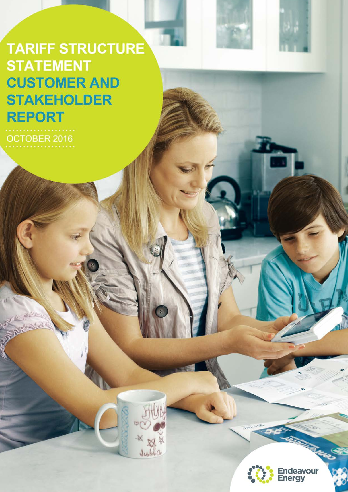**TARIFF STRUCTURE STATEMENT CUSTOMER AND STAKEHOLDER REPORT** 

OCTOBER 2016



 $Jubbb0$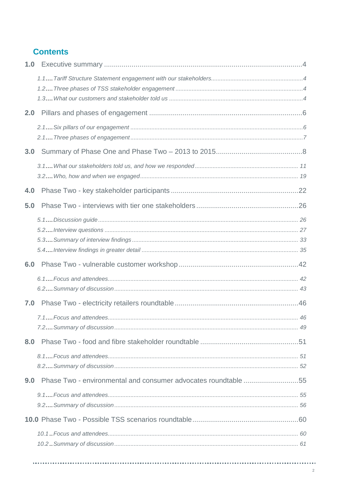# **Contents**

| 1.0 |                                                                |  |
|-----|----------------------------------------------------------------|--|
|     |                                                                |  |
|     |                                                                |  |
| 2.0 |                                                                |  |
|     |                                                                |  |
| 3.0 |                                                                |  |
|     |                                                                |  |
| 4.0 |                                                                |  |
| 5.0 |                                                                |  |
|     |                                                                |  |
| 6.0 |                                                                |  |
|     |                                                                |  |
|     |                                                                |  |
| 7.0 |                                                                |  |
|     |                                                                |  |
| 8.0 |                                                                |  |
|     |                                                                |  |
| 9.0 | Phase Two - environmental and consumer advocates roundtable 55 |  |
|     |                                                                |  |
|     |                                                                |  |
|     |                                                                |  |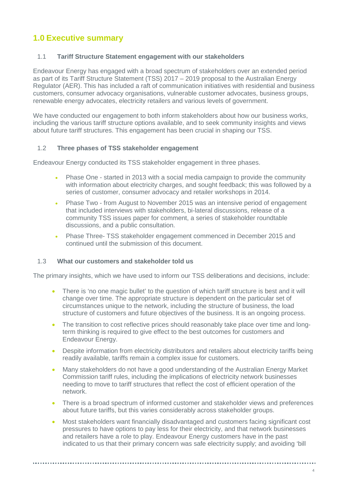# <span id="page-3-0"></span>**1.0 Executive summary**

## <span id="page-3-1"></span>1.1 **Tariff Structure Statement engagement with our stakeholders**

Endeavour Energy has engaged with a broad spectrum of stakeholders over an extended period as part of its Tariff Structure Statement (TSS) 2017 – 2019 proposal to the Australian Energy Regulator (AER). This has included a raft of communication initiatives with residential and business customers, consumer advocacy organisations, vulnerable customer advocates, business groups, renewable energy advocates, electricity retailers and various levels of government.

We have conducted our engagement to both inform stakeholders about how our business works, including the various tariff structure options available, and to seek community insights and views about future tariff structures. This engagement has been crucial in shaping our TSS.

## <span id="page-3-2"></span>1.2 **Three phases of TSS stakeholder engagement**

Endeavour Energy conducted its TSS stakeholder engagement in three phases.

- Phase One started in 2013 with a social media campaign to provide the community with information about electricity charges, and sought feedback; this was followed by a series of customer, consumer advocacy and retailer workshops in 2014.
- Phase Two from August to November 2015 was an intensive period of engagement that included interviews with stakeholders, bi-lateral discussions, release of a community TSS issues paper for comment, a series of stakeholder roundtable discussions, and a public consultation.
- Phase Three- TSS stakeholder engagement commenced in December 2015 and continued until the submission of this document.

## <span id="page-3-3"></span>1.3 **What our customers and stakeholder told us**

The primary insights, which we have used to inform our TSS deliberations and decisions, include:

- There is 'no one magic bullet' to the question of which tariff structure is best and it will change over time. The appropriate structure is dependent on the particular set of circumstances unique to the network, including the structure of business, the load structure of customers and future objectives of the business. It is an ongoing process.
- The transition to cost reflective prices should reasonably take place over time and longterm thinking is required to give effect to the best outcomes for customers and Endeavour Energy.
- Despite information from electricity distributors and retailers about electricity tariffs being readily available, tariffs remain a complex issue for customers.
- Many stakeholders do not have a good understanding of the Australian Energy Market Commission tariff rules, including the implications of electricity network businesses needing to move to tariff structures that reflect the cost of efficient operation of the network.
- There is a broad spectrum of informed customer and stakeholder views and preferences about future tariffs, but this varies considerably across stakeholder groups.
- Most stakeholders want financially disadvantaged and customers facing significant cost pressures to have options to pay less for their electricity, and that network businesses and retailers have a role to play. Endeavour Energy customers have in the past indicated to us that their primary concern was safe electricity supply; and avoiding 'bill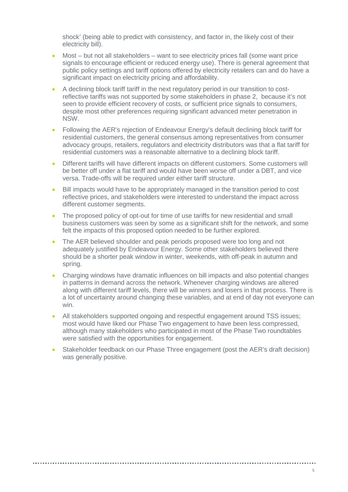shock' (being able to predict with consistency, and factor in, the likely cost of their electricity bill).

- Most but not all stakeholders want to see electricity prices fall (some want price signals to encourage efficient or reduced energy use). There is general agreement that public policy settings and tariff options offered by electricity retailers can and do have a significant impact on electricity pricing and affordability.
- A declining block tariff tariff in the next regulatory period in our transition to costreflective tariffs was not supported by some stakeholders in phase 2, because it's not seen to provide efficient recovery of costs, or sufficient price signals to consumers, despite most other preferences requiring significant advanced meter penetration in NSW.
- Following the AER's rejection of Endeavour Energy's default declining block tariff for residential customers, the general consensus among representatives from consumer advocacy groups, retailers, regulators and electricity distributors was that a flat tariff for residential customers was a reasonable alternative to a declining block tariff.
- Different tariffs will have different impacts on different customers. Some customers will be better off under a flat tariff and would have been worse off under a DBT, and vice versa. Trade-offs will be required under either tariff structure.
- Bill impacts would have to be appropriately managed in the transition period to cost reflective prices, and stakeholders were interested to understand the impact across different customer segments.
- The proposed policy of opt-out for time of use tariffs for new residential and small business customers was seen by some as a significant shift for the network, and some felt the impacts of this proposed option needed to be further explored.
- The AER believed shoulder and peak periods proposed were too long and not adequately justified by Endeavour Energy. Some other stakeholders believed there should be a shorter peak window in winter, weekends, with off-peak in autumn and spring.
- Charging windows have dramatic influences on bill impacts and also potential changes in patterns in demand across the network. Whenever charging windows are altered along with different tariff levels, there will be winners and losers in that process. There is a lot of uncertainty around changing these variables, and at end of day not everyone can win.
- All stakeholders supported ongoing and respectful engagement around TSS issues; most would have liked our Phase Two engagement to have been less compressed, although many stakeholders who participated in most of the Phase Two roundtables were satisfied with the opportunities for engagement.
- Stakeholder feedback on our Phase Three engagement (post the AER's draft decision) was generally positive.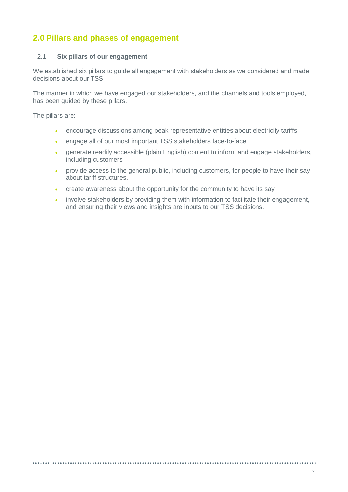# <span id="page-5-0"></span>**2.0 Pillars and phases of engagement**

## <span id="page-5-1"></span>2.1 **Six pillars of our engagement**

We established six pillars to guide all engagement with stakeholders as we considered and made decisions about our TSS.

The manner in which we have engaged our stakeholders, and the channels and tools employed, has been guided by these pillars.

The pillars are:

- encourage discussions among peak representative entities about electricity tariffs
- engage all of our most important TSS stakeholders face-to-face
- generate readily accessible (plain English) content to inform and engage stakeholders, including customers
- provide access to the general public, including customers, for people to have their say about tariff structures.
- create awareness about the opportunity for the community to have its say
- involve stakeholders by providing them with information to facilitate their engagement, and ensuring their views and insights are inputs to our TSS decisions.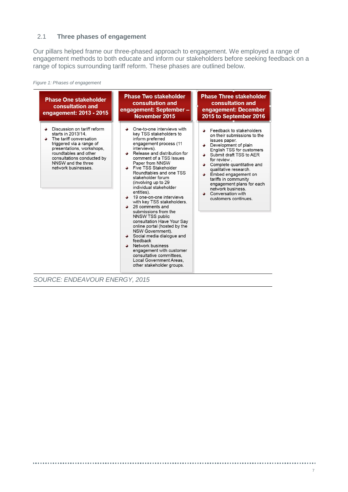## <span id="page-6-0"></span>2.1 **Three phases of engagement**

Our pillars helped frame our three-phased approach to engagement. We employed a range of engagement methods to both educate and inform our stakeholders before seeking feedback on a range of topics surrounding tariff reform. These phases are outlined below.

*Figure 1: Phases of engagement*



*SOURCE: ENDEAVOUR ENERGY, 2015*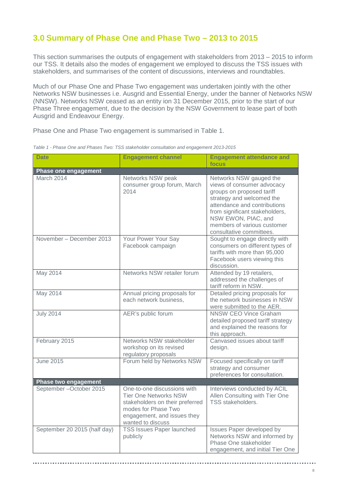## <span id="page-7-0"></span>**3.0 Summary of Phase One and Phase Two – 2013 to 2015**

This section summarises the outputs of engagement with stakeholders from 2013 – 2015 to inform our TSS. It details also the modes of engagement we employed to discuss the TSS issues with stakeholders, and summarises of the content of discussions, interviews and roundtables.

Much of our Phase One and Phase Two engagement was undertaken jointly with the other Networks NSW businesses i.e. Ausgrid and Essential Energy, under the banner of Networks NSW (NNSW). Networks NSW ceased as an entity ion 31 December 2015, prior to the start of our Phase Three engagement, due to the decision by the NSW Government to lease part of both Ausgrid and Endeavour Energy.

Phase One and Phase Two engagement is summarised in Table 1.

| <b>Date</b>                  | <b>Engagement channel</b>                                                                                                                                                 | <b>Engagement attendance and</b><br>focus                                                                                                                                                                                                                           |  |  |
|------------------------------|---------------------------------------------------------------------------------------------------------------------------------------------------------------------------|---------------------------------------------------------------------------------------------------------------------------------------------------------------------------------------------------------------------------------------------------------------------|--|--|
| Phase one engagement         |                                                                                                                                                                           |                                                                                                                                                                                                                                                                     |  |  |
| March 2014                   | Networks NSW peak<br>consumer group forum, March<br>2014                                                                                                                  | Networks NSW gauged the<br>views of consumer advocacy<br>groups on proposed tariff<br>strategy and welcomed the<br>attendance and contributions<br>from significant stakeholders,<br>NSW EWON, PIAC, and<br>members of various customer<br>consultative committees. |  |  |
| November - December 2013     | Your Power Your Say<br>Facebook campaign                                                                                                                                  | Sought to engage directly with<br>consumers on different types of<br>tariffs with more than 95,000<br>Facebook users viewing this<br>discussion.                                                                                                                    |  |  |
| May 2014                     | Networks NSW retailer forum                                                                                                                                               | Attended by 19 retailers,<br>addressed the challenges of<br>tariff reform in NSW.                                                                                                                                                                                   |  |  |
| May 2014                     | Annual pricing proposals for<br>each network business,                                                                                                                    | Detailed pricing proposals for<br>the network businesses in NSW<br>were submitted to the AER.                                                                                                                                                                       |  |  |
| <b>July 2014</b>             | AER's public forum                                                                                                                                                        | <b>NNSW CEO Vince Graham</b><br>detailed proposed tariff strategy<br>and explained the reasons for<br>this approach.                                                                                                                                                |  |  |
| February 2015                | Networks NSW stakeholder<br>workshop on its revised<br>regulatory proposals                                                                                               | Canvased issues about tariff<br>design.                                                                                                                                                                                                                             |  |  |
| <b>June 2015</b>             | Forum held by Networks NSW                                                                                                                                                | Focused specifically on tariff<br>strategy and consumer<br>preferences for consultation.                                                                                                                                                                            |  |  |
| Phase two engagement         |                                                                                                                                                                           |                                                                                                                                                                                                                                                                     |  |  |
| September-October 2015       | One-to-one discussions with<br><b>Tier One Networks NSW</b><br>stakeholders on their preferred<br>modes for Phase Two<br>engagement, and issues they<br>wanted to discuss | Interviews conducted by ACIL<br>Allen Consulting with Tier One<br><b>TSS</b> stakeholders.                                                                                                                                                                          |  |  |
| September 20 2015 (half day) | <b>TSS Issues Paper launched</b><br>publicly                                                                                                                              | Issues Paper developed by<br>Networks NSW and informed by<br>Phase One stakeholder<br>engagement, and initial Tier One                                                                                                                                              |  |  |

*Table 1 - Phase One and Phases Two: TSS stakeholder consultation and engagement 2013-2015*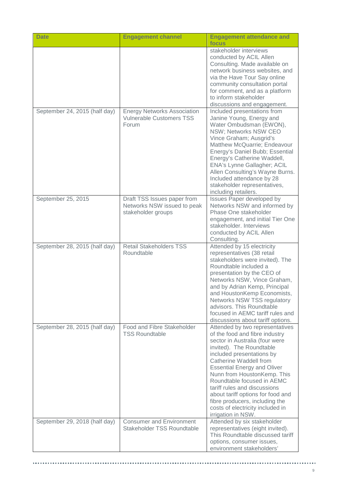| <b>Date</b>                   | <b>Engagement channel</b>                                                        | <b>Engagement attendance and</b><br>focus                                                                                                                                                                                                                                                                                                                                                                                                                  |
|-------------------------------|----------------------------------------------------------------------------------|------------------------------------------------------------------------------------------------------------------------------------------------------------------------------------------------------------------------------------------------------------------------------------------------------------------------------------------------------------------------------------------------------------------------------------------------------------|
|                               |                                                                                  | stakeholder interviews<br>conducted by ACIL Allen<br>Consulting. Made available on<br>network business websites, and<br>via the Have Tour Say online<br>community consultation portal<br>for comment, and as a platform<br>to inform stakeholder<br>discussions and engagement.                                                                                                                                                                            |
| September 24, 2015 (half day) | <b>Energy Networks Association</b><br><b>Vulnerable Customers TSS</b><br>Forum   | Included presentations from<br>Janine Young, Energy and<br>Water Ombudsman (EWON),<br>NSW; Networks NSW CEO<br>Vince Graham; Ausgrid's<br>Matthew McQuarrie; Endeavour<br>Energy's Daniel Bubb; Essential<br>Energy's Catherine Waddell,<br><b>ENA's Lynne Gallagher; ACIL</b><br>Allen Consulting's Wayne Burns.<br>Included attendance by 28<br>stakeholder representatives,<br>including retailers.                                                     |
| September 25, 2015            | Draft TSS Issues paper from<br>Networks NSW issued to peak<br>stakeholder groups | Issues Paper developed by<br>Networks NSW and informed by<br>Phase One stakeholder<br>engagement, and initial Tier One<br>stakeholder. Interviews<br>conducted by ACIL Allen<br>Consulting.                                                                                                                                                                                                                                                                |
| September 28, 2015 (half day) | <b>Retail Stakeholders TSS</b><br>Roundtable                                     | Attended by 15 electricity<br>representatives (38 retail<br>stakeholders were invited). The<br>Roundtable included a<br>presentation by the CEO of<br>Networks NSW, Vince Graham,<br>and by Adrian Kemp, Principal<br>and HoustonKemp Economists,<br>Networks NSW TSS regulatory<br>advisors. This Roundtable<br>focused in AEMC tariff rules and<br>discussions about tariff options.                                                                     |
| September 28, 2015 (half day) | Food and Fibre Stakeholder<br><b>TSS Roundtable</b>                              | Attended by two representatives<br>of the food and fibre industry<br>sector in Australia (four were<br>invited). The Roundtable<br>included presentations by<br>Catherine Waddell from<br><b>Essential Energy and Oliver</b><br>Nunn from HoustonKemp. This<br>Roundtable focused in AEMC<br>tariff rules and discussions<br>about tariff options for food and<br>fibre producers, including the<br>costs of electricity included in<br>irrigation in NSW. |
| September 29, 2018 (half day) | <b>Consumer and Environment</b><br>Stakeholder TSS Roundtable                    | Attended by six stakeholder<br>representatives (eight invited).<br>This Roundtable discussed tariff<br>options, consumer issues,<br>environment stakeholders'                                                                                                                                                                                                                                                                                              |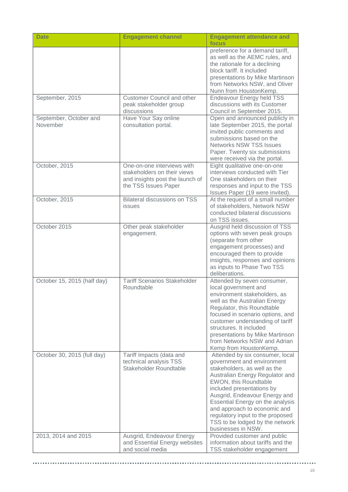| <b>Date</b>                        | <b>Engagement channel</b>                                                                                            | <b>Engagement attendance and</b><br>focus                                                                                                                                                                                                                                                                                                                                                |
|------------------------------------|----------------------------------------------------------------------------------------------------------------------|------------------------------------------------------------------------------------------------------------------------------------------------------------------------------------------------------------------------------------------------------------------------------------------------------------------------------------------------------------------------------------------|
|                                    |                                                                                                                      | preference for a demand tariff,<br>as well as the AEMC rules, and<br>the rationale for a declining<br>block tariff. It included<br>presentations by Mike Martinson<br>from Networks NSW, and Oliver<br>Nunn from HoustonKemp.                                                                                                                                                            |
| September, 2015                    | <b>Customer Council and other</b><br>peak stakeholder group<br>discussions                                           | <b>Endeavour Energy held TSS</b><br>discussions with its Customer<br>Council in September 2015.                                                                                                                                                                                                                                                                                          |
| September, October and<br>November | Have Your Say online<br>consultation portal.                                                                         | Open and announced publicly in<br>late September 2015, the portal<br>invited public comments and<br>submissions based on the<br><b>Networks NSW TSS Issues</b><br>Paper. Twenty six submissions<br>were received via the portal.                                                                                                                                                         |
| October, 2015                      | One-on-one interviews with<br>stakeholders on their views<br>and insights post the launch of<br>the TSS Issues Paper | Eight qualitative one-on-one<br>interviews conducted with Tier<br>One stakeholders on their<br>responses and input to the TSS<br>Issues Paper (19 were invited).                                                                                                                                                                                                                         |
| October, 2015                      | <b>Bilateral discussions on TSS</b><br><b>issues</b>                                                                 | At the request of a small number<br>of stakeholders, Network NSW<br>conducted bilateral discussions<br>on TSS issues.                                                                                                                                                                                                                                                                    |
| October 2015                       | Other peak stakeholder<br>engagement.                                                                                | Ausgrid held discussion of TSS<br>options with seven peak groups<br>(separate from other<br>engagement processes) and<br>encouraged them to provide<br>insights, responses and opinions<br>as inputs to Phase Two TSS<br>deliberations.                                                                                                                                                  |
| October 15, 2015 (half day)        | <b>Tariff Scenarios Stakeholder</b><br>Roundtable                                                                    | Attended by seven consumer,<br>local government and<br>environment stakeholders, as<br>well as the Australian Energy<br>Regulator, this Roundtable<br>focused in scenario options, and<br>customer understanding of tariff<br>structures. It included<br>presentations by Mike Martinson<br>from Networks NSW and Adrian<br>Kemp from HoustonKemp.                                       |
| October 30, 2015 (full day)        | Tariff Impacts (data and<br>technical analysis TSS<br>Stakeholder Roundtable                                         | Attended by six consumer, local<br>government and environment<br>stakeholders, as well as the<br>Australian Energy Regulator and<br>EWON, this Roundtable<br>included presentations by<br>Ausgrid, Endeavour Energy and<br>Essential Energy on the analysis<br>and approach to economic and<br>regulatory input to the proposed<br>TSS to be lodged by the network<br>businesses in NSW. |
| 2013, 2014 and 2015                | Ausgrid, Endeavour Energy<br>and Essential Energy websites<br>and social media                                       | Provided customer and public<br>information about tariffs and the<br>TSS stakeholder engagement                                                                                                                                                                                                                                                                                          |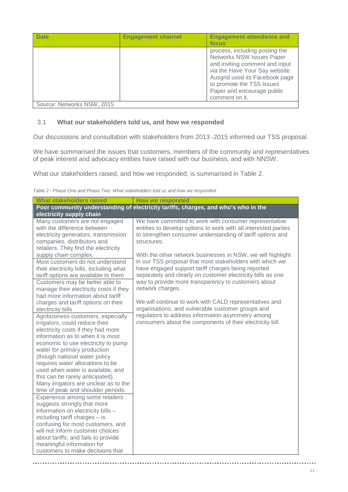| <b>Date</b>                | <b>Engagement channel</b> | <b>Engagement attendance and</b><br>focus                                                                                                                                                                                                      |
|----------------------------|---------------------------|------------------------------------------------------------------------------------------------------------------------------------------------------------------------------------------------------------------------------------------------|
|                            |                           | process, including posting the<br>Networks NSW Issues Paper<br>and inviting comment and input<br>via the Have Your Say website.<br>Ausgrid used its Facebook page<br>to promote the TSS Issues<br>Paper and encourage public<br>comment on it. |
| Source: Networks NSW, 2015 |                           |                                                                                                                                                                                                                                                |

## <span id="page-10-0"></span>3.1 **What our stakeholders told us, and how we responded**

Our discussions and consultation with stakeholders from 2013 -2015 informed our TSS proposal.

We have summarised the issues that customers, members of the community and representatives of peak interest and advocacy entities have raised with our business, and with NNSW.

What our stakeholders raised, and how we responded, is summarised in Table 2.

| Table 2 - Phase One and Phase Two: What stakeholders told us and how we responded |  |  |  |
|-----------------------------------------------------------------------------------|--|--|--|
|-----------------------------------------------------------------------------------|--|--|--|

..................

| <b>How we responded</b>                                                                                                                                                                                                                                                                                                                                                                                                                                                                                                                                  |  |  |  |
|----------------------------------------------------------------------------------------------------------------------------------------------------------------------------------------------------------------------------------------------------------------------------------------------------------------------------------------------------------------------------------------------------------------------------------------------------------------------------------------------------------------------------------------------------------|--|--|--|
| Poor community understanding of electricity tariffs, charges, and who's who in the<br>electricity supply chain                                                                                                                                                                                                                                                                                                                                                                                                                                           |  |  |  |
|                                                                                                                                                                                                                                                                                                                                                                                                                                                                                                                                                          |  |  |  |
| We have committed to work with consumer representative<br>entities to develop options to work with all interested parties<br>to strengthen consumer understanding of tariff options and                                                                                                                                                                                                                                                                                                                                                                  |  |  |  |
| With the other network businesses in NSW, we will highlight<br>in our TSS proposal that most stakeholders with which we<br>have engaged support tariff charges being reported<br>separately and clearly on customer electricity bills as one<br>way to provide more transparency to customers about<br>network charges.<br>We will continue to work with CALD representatives and<br>organisations, and vulnerable customer groups and<br>regulators to address information asymmetry among<br>consumers about the components of their electricity bill. |  |  |  |
|                                                                                                                                                                                                                                                                                                                                                                                                                                                                                                                                                          |  |  |  |

. . . . . . .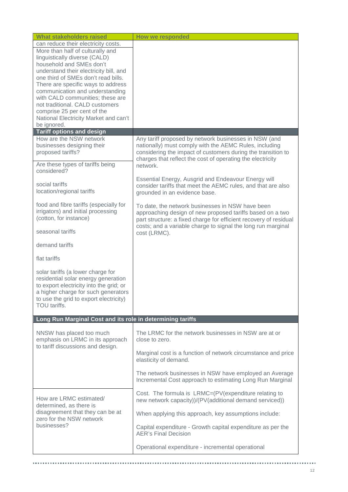| <b>What stakeholders raised</b>                                                                                                                                                                                      | How we responded                                                                                                                                                                     |
|----------------------------------------------------------------------------------------------------------------------------------------------------------------------------------------------------------------------|--------------------------------------------------------------------------------------------------------------------------------------------------------------------------------------|
| can reduce their electricity costs.<br>More than half of culturally and                                                                                                                                              |                                                                                                                                                                                      |
| linguistically diverse (CALD)<br>household and SMEs don't                                                                                                                                                            |                                                                                                                                                                                      |
| understand their electricity bill, and                                                                                                                                                                               |                                                                                                                                                                                      |
| one third of SMEs don't read bills.<br>There are specific ways to address                                                                                                                                            |                                                                                                                                                                                      |
| communication and understanding                                                                                                                                                                                      |                                                                                                                                                                                      |
| with CALD communities; these are<br>not traditional. CALD customers                                                                                                                                                  |                                                                                                                                                                                      |
| comprise 25 per cent of the                                                                                                                                                                                          |                                                                                                                                                                                      |
| National Electricity Market and can't<br>be ignored.                                                                                                                                                                 |                                                                                                                                                                                      |
| <b>Tariff options and design</b>                                                                                                                                                                                     |                                                                                                                                                                                      |
| How are the NSW network                                                                                                                                                                                              | Any tariff proposed by network businesses in NSW (and                                                                                                                                |
| businesses designing their<br>proposed tariffs?                                                                                                                                                                      | nationally) must comply with the AEMC Rules, including<br>considering the impact of customers during the transition to<br>charges that reflect the cost of operating the electricity |
| Are these types of tariffs being<br>considered?                                                                                                                                                                      | network.                                                                                                                                                                             |
| social tariffs<br>location/regional tariffs                                                                                                                                                                          | Essential Energy, Ausgrid and Endeavour Energy will<br>consider tariffs that meet the AEMC rules, and that are also<br>grounded in an evidence base.                                 |
| food and fibre tariffs (especially for<br>irrigators) and initial processing<br>(cotton, for instance)                                                                                                               | To date, the network businesses in NSW have been<br>approaching design of new proposed tariffs based on a two<br>part structure: a fixed charge for efficient recovery of residual   |
| seasonal tariffs                                                                                                                                                                                                     | costs; and a variable charge to signal the long run marginal<br>cost (LRMC).                                                                                                         |
| demand tariffs                                                                                                                                                                                                       |                                                                                                                                                                                      |
| flat tariffs                                                                                                                                                                                                         |                                                                                                                                                                                      |
| solar tariffs (a lower charge for<br>residential solar energy generation<br>to export electricity into the grid; or<br>a higher charge for such generators<br>to use the grid to export electricity)<br>TOU tariffs. |                                                                                                                                                                                      |
| Long Run Marginal Cost and its role in determining tariffs                                                                                                                                                           |                                                                                                                                                                                      |
| NNSW has placed too much<br>emphasis on LRMC in its approach<br>to tariff discussions and design.                                                                                                                    | The LRMC for the network businesses in NSW are at or<br>close to zero.                                                                                                               |
|                                                                                                                                                                                                                      | Marginal cost is a function of network circumstance and price<br>elasticity of demand.                                                                                               |
|                                                                                                                                                                                                                      | The network businesses in NSW have employed an Average<br>Incremental Cost approach to estimating Long Run Marginal                                                                  |
| How are LRMC estimated/<br>determined, as there is                                                                                                                                                                   | Cost. The formula is LRMC=(PV(expenditure relating to<br>new network capacity))/(PV(additional demand serviced))                                                                     |
| disagreement that they can be at<br>zero for the NSW network                                                                                                                                                         | When applying this approach, key assumptions include:                                                                                                                                |
| businesses?                                                                                                                                                                                                          | Capital expenditure - Growth capital expenditure as per the<br><b>AER's Final Decision</b>                                                                                           |
|                                                                                                                                                                                                                      | Operational expenditure - incremental operational                                                                                                                                    |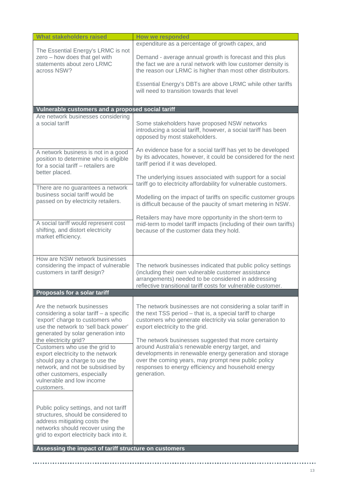|                                                                                                                                                                                                                                                         | expenditure as a percentage of growth capex, and                                                                                                                                                                                                                                                |
|---------------------------------------------------------------------------------------------------------------------------------------------------------------------------------------------------------------------------------------------------------|-------------------------------------------------------------------------------------------------------------------------------------------------------------------------------------------------------------------------------------------------------------------------------------------------|
| The Essential Energy's LRMC is not<br>zero - how does that gel with<br>statements about zero LRMC<br>across NSW?                                                                                                                                        | Demand - average annual growth is forecast and this plus<br>the fact we are a rural network with low customer density is<br>the reason our LRMC is higher than most other distributors.                                                                                                         |
|                                                                                                                                                                                                                                                         | Essential Energy's DBTs are above LRMC while other tariffs<br>will need to transition towards that level                                                                                                                                                                                        |
|                                                                                                                                                                                                                                                         |                                                                                                                                                                                                                                                                                                 |
| Vulnerable customers and a proposed social tariff<br>Are network businesses considering                                                                                                                                                                 |                                                                                                                                                                                                                                                                                                 |
| a social tariff                                                                                                                                                                                                                                         | Some stakeholders have proposed NSW networks<br>introducing a social tariff, however, a social tariff has been<br>opposed by most stakeholders.                                                                                                                                                 |
| A network business is not in a good<br>position to determine who is eligible<br>for a social tariff - retailers are<br>better placed.                                                                                                                   | An evidence base for a social tariff has yet to be developed<br>by its advocates, however, it could be considered for the next<br>tariff period if it was developed.                                                                                                                            |
| There are no guarantees a network                                                                                                                                                                                                                       | The underlying issues associated with support for a social<br>tariff go to electricity affordability for vulnerable customers.                                                                                                                                                                  |
| business social tariff would be<br>passed on by electricity retailers.                                                                                                                                                                                  | Modelling on the impact of tariffs on specific customer groups<br>is difficult because of the paucity of smart metering in NSW.                                                                                                                                                                 |
| A social tariff would represent cost<br>shifting, and distort electricity<br>market efficiency.                                                                                                                                                         | Retailers may have more opportunity in the short-term to<br>mid-term to model tariff impacts (including of their own tariffs)<br>because of the customer data they hold.                                                                                                                        |
|                                                                                                                                                                                                                                                         |                                                                                                                                                                                                                                                                                                 |
| How are NSW network businesses<br>considering the impact of vulnerable<br>customers in tariff design?                                                                                                                                                   | The network businesses indicated that public policy settings<br>(including their own vulnerable customer assistance<br>arrangements) needed to be considered in addressing<br>reflective transitional tariff costs for vulnerable customer.                                                     |
| Proposals for a solar tariff                                                                                                                                                                                                                            |                                                                                                                                                                                                                                                                                                 |
| Are the network businesses<br>considering a solar tariff - a specific<br>'export' charge to customers who<br>use the network to 'sell back power'<br>generated by solar generation into                                                                 | The network businesses are not considering a solar tariff in<br>the next TSS period - that is, a special tariff to charge<br>customers who generate electricity via solar generation to<br>export electricity to the grid.                                                                      |
| the electricity grid?<br>Customers who use the grid to<br>export electricity to the network<br>should pay a charge to use the<br>network, and not be subsidised by<br>other customers, especially<br>vulnerable and low income<br>customers.            | The network businesses suggested that more certainty<br>around Australia's renewable energy target, and<br>developments in renewable energy generation and storage<br>over the coming years, may prompt new public policy<br>responses to energy efficiency and household energy<br>generation. |
| Public policy settings, and not tariff<br>structures, should be considered to<br>address mitigating costs the<br>networks should recover using the<br>grid to export electricity back into it.<br>Assessing the impact of tariff structure on customers |                                                                                                                                                                                                                                                                                                 |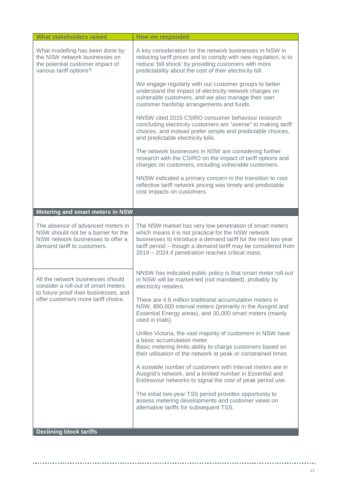| <b>What stakeholders raised</b>                                                                                                                          | <b>How we responded</b>                                                                                                                                                                                                                                                                               |
|----------------------------------------------------------------------------------------------------------------------------------------------------------|-------------------------------------------------------------------------------------------------------------------------------------------------------------------------------------------------------------------------------------------------------------------------------------------------------|
| What modelling has been done by<br>the NSW network businesses on<br>the potential customer impact of<br>various tariff options?                          | A key consideration for the network businesses in NSW in<br>reducing tariff prices and to comply with new regulation, is to<br>reduce 'bill shock' by providing customers with more<br>predictability about the cost of their electricity bill.                                                       |
|                                                                                                                                                          | We engage regularly with our customer groups to better<br>understand the impact of electricity network charges on<br>vulnerable customers, and we also manage their own<br>customer hardship arrangements and funds.                                                                                  |
|                                                                                                                                                          | NNSW cited 2015 CSIRO consumer behaviour research<br>concluding electricity customers are "averse" to making tariff<br>choices, and instead prefer simple and predictable choices,<br>and predictable electricity bills.                                                                              |
|                                                                                                                                                          | The network businesses in NSW are considering further<br>research with the CSIRO on the impact of tariff options and<br>charges on customers, including vulnerable customers.                                                                                                                         |
|                                                                                                                                                          | NNSW indicated a primary concern in the transition to cost<br>reflective tariff network pricing was timely and predictable<br>cost impacts on customers.                                                                                                                                              |
| Metering and smart meters in NSW                                                                                                                         |                                                                                                                                                                                                                                                                                                       |
|                                                                                                                                                          |                                                                                                                                                                                                                                                                                                       |
| The absence of advanced meters in<br>NSW should not be a barrier for the<br>NSW network businesses to offer a<br>demand tariff to customers.             | The NSW market has very low penetration of smart meters<br>which means it is not practical for the NSW network<br>businesses to introduce a demand tariff for the next two year<br>tariff period - though a demand tariff may be considered from<br>2019 - 2024 if penetration reaches critical mass. |
| All the network businesses should<br>consider a roll-out of smart meters<br>to future proof their businesses, and<br>offer customers more tariff choice. | NNSW has indicated public policy is that smart meter roll-out<br>in NSW will be market-led (not mandated), probably by<br>electricity retailers.                                                                                                                                                      |
|                                                                                                                                                          | There are 4.6 million traditional accumulation meters in<br>NSW, 890,000 interval meters (primarily in the Ausgrid and<br>Essential Energy areas), and 30,000 smart meters (mainly<br>used in trials).                                                                                                |
|                                                                                                                                                          | Unlike Victoria, the vast majority of customers in NSW have<br>a basic accumulation meter.<br>Basic metering limits ability to charge customers based on<br>their utilisation of the network at peak or constrained times                                                                             |
|                                                                                                                                                          | A sizeable number of customers with interval meters are in<br>Ausgrid's network, and a limited number in Essential and<br>Endeavour networks to signal the cost of peak period use.                                                                                                                   |
|                                                                                                                                                          | The initial two-year TSS period provides opportunity to<br>assess metering developments and customer views on<br>alternative tariffs for subsequent TSS.                                                                                                                                              |
|                                                                                                                                                          |                                                                                                                                                                                                                                                                                                       |
| <b>Declining block tariffs</b>                                                                                                                           |                                                                                                                                                                                                                                                                                                       |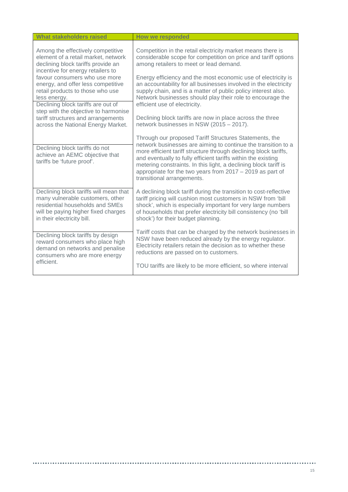| <b>What stakeholders raised</b>                                                                                                                                                    | <b>How we responded</b>                                                                                                                                                                                                                                                                                                                                                                                                       |
|------------------------------------------------------------------------------------------------------------------------------------------------------------------------------------|-------------------------------------------------------------------------------------------------------------------------------------------------------------------------------------------------------------------------------------------------------------------------------------------------------------------------------------------------------------------------------------------------------------------------------|
| Among the effectively competitive<br>element of a retail market, network<br>declining block tariffs provide an<br>incentive for energy retailers to                                | Competition in the retail electricity market means there is<br>considerable scope for competition on price and tariff options<br>among retailers to meet or lead demand.                                                                                                                                                                                                                                                      |
| favour consumers who use more<br>energy, and offer less competitive<br>retail products to those who use<br>less energy.<br>Declining block tariffs are out of                      | Energy efficiency and the most economic use of electricity is<br>an accountability for all businesses involved in the electricity<br>supply chain, and is a matter of public policy interest also.<br>Network businesses should play their role to encourage the<br>efficient use of electricity.                                                                                                                             |
| step with the objective to harmonise                                                                                                                                               |                                                                                                                                                                                                                                                                                                                                                                                                                               |
| tariff structures and arrangements<br>across the National Energy Market.                                                                                                           | Declining block tariffs are now in place across the three<br>network businesses in NSW (2015 - 2017).                                                                                                                                                                                                                                                                                                                         |
| Declining block tariffs do not<br>achieve an AEMC objective that<br>tariffs be 'future proof'.                                                                                     | Through our proposed Tariff Structures Statements, the<br>network businesses are aiming to continue the transition to a<br>more efficient tariff structure through declining block tariffs,<br>and eventually to fully efficient tariffs within the existing<br>metering constraints. In this light, a declining block tariff is<br>appropriate for the two years from $2017 - 2019$ as part of<br>transitional arrangements. |
| Declining block tariffs will mean that<br>many vulnerable customers, other<br>residential households and SMEs<br>will be paying higher fixed charges<br>in their electricity bill. | A declining block tariff during the transition to cost-reflective<br>tariff pricing will cushion most customers in NSW from 'bill<br>shock', which is especially important for very large numbers<br>of households that prefer electricity bill consistency (no 'bill<br>shock') for their budget planning.                                                                                                                   |
| Declining block tariffs by design<br>reward consumers who place high<br>demand on networks and penalise<br>consumers who are more energy                                           | Tariff costs that can be charged by the network businesses in<br>NSW have been reduced already by the energy regulator.<br>Electricity retailers retain the decision as to whether these<br>reductions are passed on to customers.                                                                                                                                                                                            |
| efficient.                                                                                                                                                                         | TOU tariffs are likely to be more efficient, so where interval                                                                                                                                                                                                                                                                                                                                                                |

 $\mathbf{r}$ 

. . . . . . . . . . . . .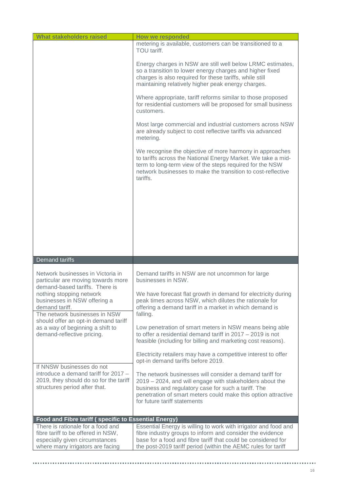| <b>What stakeholders raised</b>                                                                                                               | <b>How we responded</b>                                                                                                                                                                                                                                                      |
|-----------------------------------------------------------------------------------------------------------------------------------------------|------------------------------------------------------------------------------------------------------------------------------------------------------------------------------------------------------------------------------------------------------------------------------|
|                                                                                                                                               | metering is available, customers can be transitioned to a<br>TOU tariff.                                                                                                                                                                                                     |
|                                                                                                                                               | Energy charges in NSW are still well below LRMC estimates,<br>so a transition to lower energy charges and higher fixed<br>charges is also required for these tariffs, while still<br>maintaining relatively higher peak energy charges.                                      |
|                                                                                                                                               | Where appropriate, tariff reforms similar to those proposed<br>for residential customers will be proposed for small business<br>customers.                                                                                                                                   |
|                                                                                                                                               | Most large commercial and industrial customers across NSW<br>are already subject to cost reflective tariffs via advanced<br>metering.                                                                                                                                        |
|                                                                                                                                               | We recognise the objective of more harmony in approaches<br>to tariffs across the National Energy Market. We take a mid-<br>term to long-term view of the steps required for the NSW<br>network businesses to make the transition to cost-reflective<br>tariffs.             |
|                                                                                                                                               |                                                                                                                                                                                                                                                                              |
|                                                                                                                                               |                                                                                                                                                                                                                                                                              |
|                                                                                                                                               |                                                                                                                                                                                                                                                                              |
| Demand tariffs                                                                                                                                |                                                                                                                                                                                                                                                                              |
|                                                                                                                                               |                                                                                                                                                                                                                                                                              |
| Network businesses in Victoria in<br>particular are moving towards more<br>demand-based tariffs. There is                                     | Demand tariffs in NSW are not uncommon for large<br>businesses in NSW.                                                                                                                                                                                                       |
| nothing stopping network<br>businesses in NSW offering a<br>demand tariff.<br>The network businesses in NSW                                   | We have forecast flat growth in demand for electricity during<br>peak times across NSW, which dilutes the rationale for<br>offering a demand tariff in a market in which demand is<br>falling.                                                                               |
| should offer an opt-in demand tariff<br>as a way of beginning a shift to<br>demand-reflective pricing.                                        | Low penetration of smart meters in NSW means being able<br>to offer a residential demand tariff in $2017 - 2019$ is not<br>feasible (including for billing and marketing cost reasons).                                                                                      |
|                                                                                                                                               | Electricity retailers may have a competitive interest to offer<br>opt-in demand tariffs before 2019.                                                                                                                                                                         |
| If NNSW businesses do not<br>introduce a demand tariff for 2017 -<br>2019, they should do so for the tariff<br>structures period after that.  | The network businesses will consider a demand tariff for<br>2019 - 2024, and will engage with stakeholders about the<br>business and regulatory case for such a tariff. The<br>penetration of smart meters could make this option attractive<br>for future tariff statements |
| Food and Fibre tariff (specific to Essential Energy)                                                                                          |                                                                                                                                                                                                                                                                              |
| There is rationale for a food and<br>fibre tariff to be offered in NSW,<br>especially given circumstances<br>where many irrigators are facing | Essential Energy is willing to work with irrigator and food and<br>fibre industry groups to inform and consider the evidence<br>base for a food and fibre tariff that could be considered for<br>the post-2019 tariff period (within the AEMC rules for tariff               |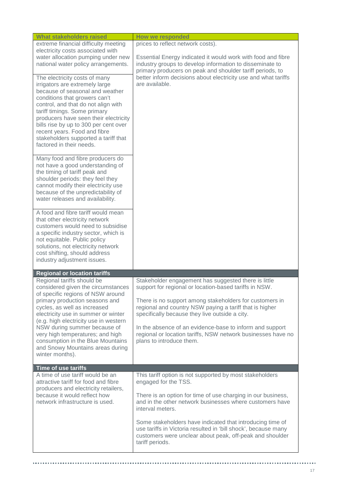| <b>What stakeholders raised</b>                                                                                                                                                                                                                                                                                                                                                                                                                                          | <b>How we responded</b>                                                                                                                                                                                                                                                                       |
|--------------------------------------------------------------------------------------------------------------------------------------------------------------------------------------------------------------------------------------------------------------------------------------------------------------------------------------------------------------------------------------------------------------------------------------------------------------------------|-----------------------------------------------------------------------------------------------------------------------------------------------------------------------------------------------------------------------------------------------------------------------------------------------|
| extreme financial difficulty meeting                                                                                                                                                                                                                                                                                                                                                                                                                                     | prices to reflect network costs).                                                                                                                                                                                                                                                             |
| electricity costs associated with<br>water allocation pumping under new<br>national water policy arrangements.                                                                                                                                                                                                                                                                                                                                                           | Essential Energy indicated it would work with food and fibre<br>industry groups to develop information to disseminate to<br>primary producers on peak and shoulder tariff periods, to                                                                                                         |
| The electricity costs of many<br>irrigators are extremely large<br>because of seasonal and weather<br>conditions that growers can't<br>control, and that do not align with<br>tariff timings. Some primary<br>producers have seen their electricity<br>bills rise by up to 300 per cent over<br>recent years. Food and fibre<br>stakeholders supported a tariff that<br>factored in their needs.<br>Many food and fibre producers do<br>not have a good understanding of | better inform decisions about electricity use and what tariffs<br>are available.                                                                                                                                                                                                              |
| the timing of tariff peak and<br>shoulder periods: they feel they<br>cannot modify their electricity use<br>because of the unpredictability of<br>water releases and availability.                                                                                                                                                                                                                                                                                       |                                                                                                                                                                                                                                                                                               |
| A food and fibre tariff would mean<br>that other electricity network<br>customers would need to subsidise<br>a specific industry sector, which is<br>not equitable. Public policy<br>solutions, not electricity network<br>cost shifting, should address<br>industry adjustment issues.                                                                                                                                                                                  |                                                                                                                                                                                                                                                                                               |
| <b>Regional or location tariffs</b>                                                                                                                                                                                                                                                                                                                                                                                                                                      |                                                                                                                                                                                                                                                                                               |
| Regional tariffs should be<br>considered given the circumstances<br>of specific regions of NSW around                                                                                                                                                                                                                                                                                                                                                                    | Stakeholder engagement has suggested there is little<br>support for regional or location-based tariffs in NSW.                                                                                                                                                                                |
| primary production seasons and<br>cycles, as well as increased<br>electricity use in summer or winter<br>(e.g. high electricity use in western                                                                                                                                                                                                                                                                                                                           | There is no support among stakeholders for customers in<br>regional and country NSW paying a tariff that is higher<br>specifically because they live outside a city.                                                                                                                          |
| NSW during summer because of<br>very high temperatures; and high<br>consumption in the Blue Mountains<br>and Snowy Mountains areas during<br>winter months).                                                                                                                                                                                                                                                                                                             | In the absence of an evidence-base to inform and support<br>regional or location tariffs, NSW network businesses have no<br>plans to introduce them.                                                                                                                                          |
| Time of use tariffs                                                                                                                                                                                                                                                                                                                                                                                                                                                      |                                                                                                                                                                                                                                                                                               |
| A time of use tariff would be an<br>attractive tariff for food and fibre<br>producers and electricity retailers,<br>because it would reflect how<br>network infrastructure is used.                                                                                                                                                                                                                                                                                      | This tariff option is not supported by most stakeholders<br>engaged for the TSS.<br>There is an option for time of use charging in our business,<br>and in the other network businesses where customers have<br>interval meters.<br>Some stakeholders have indicated that introducing time of |
|                                                                                                                                                                                                                                                                                                                                                                                                                                                                          | use tariffs in Victoria resulted in 'bill shock', because many<br>customers were unclear about peak, off-peak and shoulder<br>tariff periods.                                                                                                                                                 |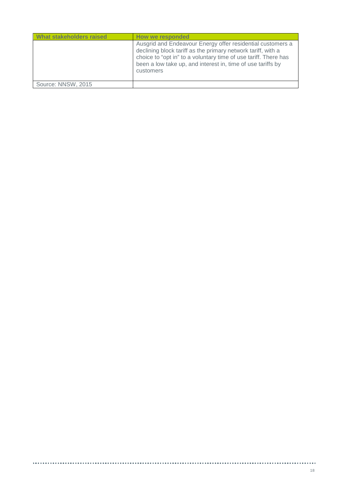| declining block tariff as the primary network tariff, with a             | What stakeholders raised | How we responded                                                                                                              |
|--------------------------------------------------------------------------|--------------------------|-------------------------------------------------------------------------------------------------------------------------------|
| been a low take up, and interest in, time of use tariffs by<br>customers |                          | Ausgrid and Endeavour Energy offer residential customers a<br>choice to "opt in" to a voluntary time of use tariff. There has |
| Source: NNSW, 2015                                                       |                          |                                                                                                                               |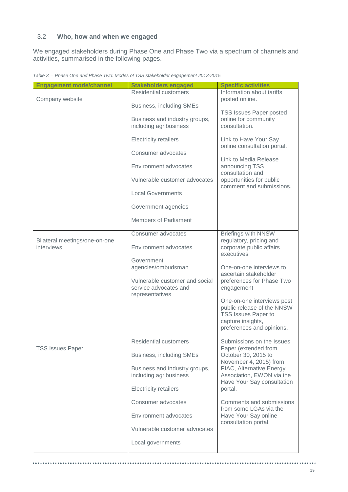## <span id="page-18-0"></span>3.2 **Who, how and when we engaged**

We engaged stakeholders during Phase One and Phase Two via a spectrum of channels and activities, summarised in the following pages.

| <b>Engagement mode/channel</b> | <b>Stakeholders engaged</b>                                                | <b>Specific activities</b>                                                                                                               |
|--------------------------------|----------------------------------------------------------------------------|------------------------------------------------------------------------------------------------------------------------------------------|
|                                | <b>Residential customers</b>                                               | Information about tariffs                                                                                                                |
| Company website                | Business, including SMEs                                                   | posted online.                                                                                                                           |
|                                | Business and industry groups,<br>including agribusiness                    | <b>TSS Issues Paper posted</b><br>online for community<br>consultation.                                                                  |
|                                | <b>Electricity retailers</b>                                               | Link to Have Your Say<br>online consultation portal.                                                                                     |
|                                | Consumer advocates                                                         |                                                                                                                                          |
|                                | Environment advocates                                                      | Link to Media Release<br>announcing TSS<br>consultation and                                                                              |
|                                | Vulnerable customer advocates                                              | opportunities for public<br>comment and submissions.                                                                                     |
|                                | <b>Local Governments</b>                                                   |                                                                                                                                          |
|                                | Government agencies                                                        |                                                                                                                                          |
|                                | Members of Parliament                                                      |                                                                                                                                          |
| Bilateral meetings/one-on-one  | Consumer advocates                                                         | <b>Briefings with NNSW</b>                                                                                                               |
| interviews                     | Environment advocates                                                      | regulatory, pricing and<br>corporate public affairs<br>executives                                                                        |
|                                | Government                                                                 |                                                                                                                                          |
|                                | agencies/ombudsman                                                         | One-on-one interviews to<br>ascertain stakeholder                                                                                        |
|                                | Vulnerable customer and social<br>service advocates and<br>representatives | preferences for Phase Two<br>engagement                                                                                                  |
|                                |                                                                            | One-on-one interviews post<br>public release of the NNSW<br><b>TSS Issues Paper to</b><br>capture insights,<br>preferences and opinions. |
|                                | <b>Residential customers</b>                                               | Submissions on the Issues<br>Paper (extended from                                                                                        |
| <b>TSS Issues Paper</b>        | Business, including SMEs                                                   | October 30, 2015 to<br>November 4, 2015) from                                                                                            |
|                                | Business and industry groups,<br>including agribusiness                    | PIAC, Alternative Energy<br>Association, EWON via the<br>Have Your Say consultation                                                      |
|                                | <b>Electricity retailers</b>                                               | portal.                                                                                                                                  |
|                                | Consumer advocates                                                         | Comments and submissions<br>from some LGAs via the                                                                                       |
|                                | Environment advocates                                                      | Have Your Say online<br>consultation portal.                                                                                             |
|                                | Vulnerable customer advocates                                              |                                                                                                                                          |
|                                | Local governments                                                          |                                                                                                                                          |

*Table 3 – Phase One and Phase Two: Modes of TSS stakeholder engagement 2013-2015*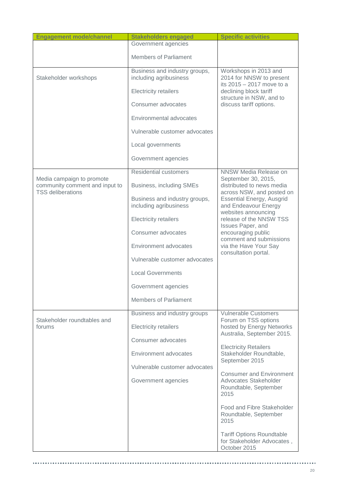| <b>Engagement mode/channel</b>                                                          | <b>Stakeholders engaged</b>                             | <b>Specific activities</b>                                                                |
|-----------------------------------------------------------------------------------------|---------------------------------------------------------|-------------------------------------------------------------------------------------------|
|                                                                                         | Government agencies                                     |                                                                                           |
|                                                                                         | <b>Members of Parliament</b>                            |                                                                                           |
|                                                                                         | Business and industry groups,                           | Workshops in 2013 and                                                                     |
| Stakeholder workshops                                                                   | including agribusiness                                  | 2014 for NNSW to present<br>its 2015 - 2017 move to a                                     |
|                                                                                         | <b>Electricity retailers</b>                            | declining block tariff<br>structure in NSW, and to                                        |
|                                                                                         | Consumer advocates                                      | discuss tariff options.                                                                   |
|                                                                                         | Environmental advocates                                 |                                                                                           |
|                                                                                         | Vulnerable customer advocates                           |                                                                                           |
|                                                                                         | Local governments                                       |                                                                                           |
|                                                                                         | Government agencies                                     |                                                                                           |
|                                                                                         | Residential customers                                   | NNSW Media Release on                                                                     |
| Media campaign to promote<br>community comment and input to<br><b>TSS deliberations</b> | Business, including SMEs                                | September 30, 2015,<br>distributed to news media<br>across NSW, and posted on             |
|                                                                                         | Business and industry groups,<br>including agribusiness | <b>Essential Energy, Ausgrid</b><br>and Endeavour Energy                                  |
|                                                                                         | <b>Electricity retailers</b>                            | websites announcing<br>release of the NNSW TSS                                            |
|                                                                                         | Consumer advocates                                      | Issues Paper, and<br>encouraging public                                                   |
|                                                                                         | Environment advocates                                   | comment and submissions<br>via the Have Your Say                                          |
|                                                                                         | Vulnerable customer advocates                           | consultation portal.                                                                      |
|                                                                                         | <b>Local Governments</b>                                |                                                                                           |
|                                                                                         | Government agencies                                     |                                                                                           |
|                                                                                         | <b>Members of Parliament</b>                            |                                                                                           |
|                                                                                         | Business and industry groups                            | <b>Vulnerable Customers</b>                                                               |
| Stakeholder roundtables and<br>forums                                                   | <b>Electricity retailers</b>                            | Forum on TSS options<br>hosted by Energy Networks<br>Australia, September 2015.           |
|                                                                                         | Consumer advocates                                      |                                                                                           |
|                                                                                         | Environment advocates                                   | <b>Electricity Retailers</b><br>Stakeholder Roundtable,                                   |
|                                                                                         | Vulnerable customer advocates                           | September 2015                                                                            |
|                                                                                         | Government agencies                                     | <b>Consumer and Environment</b><br>Advocates Stakeholder<br>Roundtable, September<br>2015 |
|                                                                                         |                                                         | Food and Fibre Stakeholder<br>Roundtable, September<br>2015                               |
|                                                                                         |                                                         | <b>Tariff Options Roundtable</b><br>for Stakeholder Advocates,<br>October 2015            |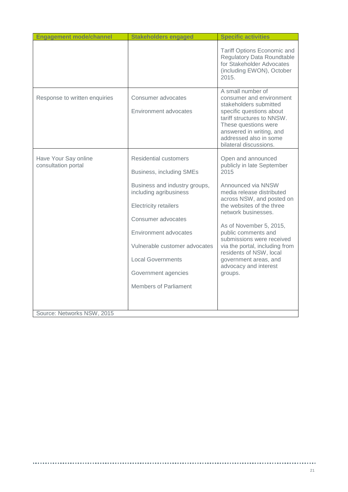| <b>Engagement mode/channel</b>              | <b>Stakeholders engaged</b>                                                                                                                                                                                                                                                                                                   | <b>Specific activities</b>                                                                                                                                                                                                                                                                                                                                                                            |
|---------------------------------------------|-------------------------------------------------------------------------------------------------------------------------------------------------------------------------------------------------------------------------------------------------------------------------------------------------------------------------------|-------------------------------------------------------------------------------------------------------------------------------------------------------------------------------------------------------------------------------------------------------------------------------------------------------------------------------------------------------------------------------------------------------|
|                                             |                                                                                                                                                                                                                                                                                                                               | Tariff Options Economic and<br><b>Regulatory Data Roundtable</b><br>for Stakeholder Advocates<br>(including EWON), October<br>2015.                                                                                                                                                                                                                                                                   |
| Response to written enquiries               | Consumer advocates<br>Environment advocates                                                                                                                                                                                                                                                                                   | A small number of<br>consumer and environment<br>stakeholders submitted<br>specific questions about<br>tariff structures to NNSW.<br>These questions were<br>answered in writing, and<br>addressed also in some<br>bilateral discussions.                                                                                                                                                             |
| Have Your Say online<br>consultation portal | <b>Residential customers</b><br><b>Business, including SMEs</b><br>Business and industry groups,<br>including agribusiness<br><b>Electricity retailers</b><br>Consumer advocates<br>Environment advocates<br>Vulnerable customer advocates<br><b>Local Governments</b><br>Government agencies<br><b>Members of Parliament</b> | Open and announced<br>publicly in late September<br>2015<br>Announced via NNSW<br>media release distributed<br>across NSW, and posted on<br>the websites of the three<br>network businesses.<br>As of November 5, 2015,<br>public comments and<br>submissions were received<br>via the portal, including from<br>residents of NSW, local<br>government areas, and<br>advocacy and interest<br>groups. |
| Source: Networks NSW, 2015                  |                                                                                                                                                                                                                                                                                                                               |                                                                                                                                                                                                                                                                                                                                                                                                       |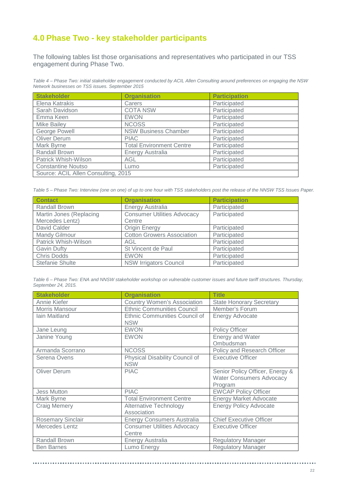# <span id="page-21-0"></span>**4.0 Phase Two - key stakeholder participants**

The following tables list those organisations and representatives who participated in our TSS engagement during Phase Two.

*Table 4 – Phase Two: initial stakeholder engagement conducted by ACIL Allen Consulting around preferences on engaging the NSW Network businesses on TSS issues. September 2015*

| <b>Stakeholder</b>                  | <b>Organisation</b>             | <b>Participation</b> |  |  |
|-------------------------------------|---------------------------------|----------------------|--|--|
| Elena Katrakis                      | Carers                          | Participated         |  |  |
| Sarah Davidson                      | <b>COTA NSW</b>                 | Participated         |  |  |
| Emma Keen                           | <b>EWON</b>                     | Participated         |  |  |
| <b>Mike Bailey</b>                  | <b>NCOSS</b>                    | Participated         |  |  |
| <b>George Powell</b>                | <b>NSW Business Chamber</b>     | Participated         |  |  |
| Oliver Derum                        | <b>PIAC</b>                     | Participated         |  |  |
| Mark Byrne                          | <b>Total Environment Centre</b> | Participated         |  |  |
| Randall Brown                       | Energy Australia                | Participated         |  |  |
| Patrick Whish-Wilson                | AGL                             | Participated         |  |  |
| <b>Constantine Noutso</b>           | Lumo                            | Participated         |  |  |
| Source: ACIL Allen Consulting, 2015 |                                 |                      |  |  |

*Table 5 – Phase Two: Interview (one on one) of up to one hour with TSS stakeholders post the release of the NNSW TSS Issues Paper.*

| <b>Contact</b>          | <b>Organisation</b>                | <b>Participation</b> |
|-------------------------|------------------------------------|----------------------|
| Randall Brown           | Energy Australia                   | Participated         |
| Martin Jones (Replacing | <b>Consumer Utilities Advocacy</b> | Participated         |
| Mercedes Lentz)         | Centre                             |                      |
| David Calder            | Origin Energy                      | Participated         |
| <b>Mandy Gilmour</b>    | <b>Cotton Growers Association</b>  | Participated         |
| Patrick Whish-Wilson    | AGL.                               | Participated         |
| <b>Gavin Dufty</b>      | St Vincent de Paul                 | Participated         |
| <b>Chris Dodds</b>      | <b>EWON</b>                        | Participated         |
| Stefanie Shulte         | <b>NSW Irrigators Council</b>      | Participated         |

*Table 6 – Phase Two: ENA and NNSW stakeholder workshop on vulnerable customer issues and future tariff structures. Thursday, September 24, 2015.*

| <b>Stakeholder</b>       | <b>Organisation</b>                                                   | <b>Title</b>                                                                  |
|--------------------------|-----------------------------------------------------------------------|-------------------------------------------------------------------------------|
| Annie Kiefer             | <b>Country Women's Association</b>                                    | <b>State Honorary Secretary</b>                                               |
| Morris Mansour           | <b>Ethnic Communities Council</b>                                     | Member's Forum                                                                |
| Iain Maitland            | Ethnic Communities Council of<br><b>Energy Advocate</b><br><b>NSW</b> |                                                                               |
| Jane Leung               | <b>EWON</b>                                                           | <b>Policy Officer</b>                                                         |
| Janine Young             | <b>EWON</b>                                                           | <b>Energy and Water</b><br>Ombudsman                                          |
| Armanda Scorrano         | <b>NCOSS</b>                                                          | Policy and Research Officer                                                   |
| Serena Ovens             | Physical Disability Council of<br><b>NSW</b>                          | <b>Executive Officer</b>                                                      |
| <b>Oliver Derum</b>      | <b>PIAC</b>                                                           | Senior Policy Officer, Energy &<br><b>Water Consumers Advocacy</b><br>Program |
| <b>Jess Mutton</b>       | <b>PIAC</b>                                                           | <b>EWCAP Policy Officer</b>                                                   |
| Mark Byrne               | <b>Total Environment Centre</b>                                       | <b>Energy Market Advocate</b>                                                 |
| <b>Craig Memery</b>      | <b>Alternative Technology</b><br>Association                          | <b>Energy Policy Advocate</b>                                                 |
| <b>Rosemary Sinclair</b> | <b>Energy Consumers Australia</b>                                     | <b>Chief Executive Officer</b>                                                |
| Mercedes Lentz           | <b>Consumer Utilities Advocacy</b><br>Centre                          | <b>Executive Officer</b>                                                      |
| <b>Randall Brown</b>     | <b>Energy Australia</b>                                               | <b>Regulatory Manager</b>                                                     |
| <b>Ben Barnes</b>        | Lumo Energy                                                           | <b>Regulatory Manager</b>                                                     |

............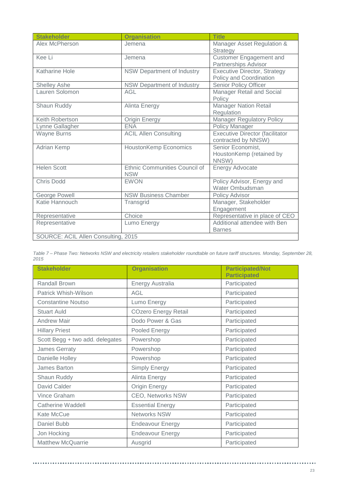| <b>Stakeholder</b>                  | <b>Organisation</b>                         | <b>Title</b>                                                   |  |  |  |
|-------------------------------------|---------------------------------------------|----------------------------------------------------------------|--|--|--|
| Alex McPherson                      | Jemena                                      | Manager Asset Regulation &<br>Strategy                         |  |  |  |
| Kee Li                              | Jemena                                      | <b>Customer Engagement and</b><br>Partnerships Advisor         |  |  |  |
| <b>Katharine Hole</b>               | NSW Department of Industry                  | <b>Executive Director, Strategy</b><br>Policy and Coordination |  |  |  |
| Shelley Ashe                        | NSW Department of Industry                  | Senior Policy Officer                                          |  |  |  |
| Lauren Solomon                      | <b>AGL</b>                                  | Manager Retail and Social<br>Policy                            |  |  |  |
| Shaun Ruddy                         | Alinta Energy                               | <b>Manager Nation Retail</b><br>Regulation                     |  |  |  |
| Keith Robertson                     | <b>Origin Energy</b>                        | <b>Manager Regulatory Policy</b>                               |  |  |  |
| Lynne Gallagher                     | <b>ENA</b>                                  | Policy Manager                                                 |  |  |  |
| Wayne Burns                         | <b>ACIL Allen Consulting</b>                | <b>Executive Director (facilitator</b><br>contracted by NNSW)  |  |  |  |
| Adrian Kemp                         | <b>HoustonKemp Economics</b>                | Senior Economist,<br>HoustonKemp (retained by<br>NNSW)         |  |  |  |
| <b>Helen Scott</b>                  | Ethnic Communities Council of<br><b>NSW</b> | <b>Energy Advocate</b>                                         |  |  |  |
| <b>Chris Dodd</b>                   | <b>EWON</b>                                 | Policy Advisor, Energy and<br>Water Ombudsman                  |  |  |  |
| George Powell                       | <b>NSW Business Chamber</b>                 | Policy Advisor                                                 |  |  |  |
| Katie Hannouch                      | Transgrid                                   | Manager, Stakeholder<br>Engagement                             |  |  |  |
| Representative                      | Choice                                      | Representative in place of CEO                                 |  |  |  |
| Representative                      | Lumo Energy                                 | Additional attendee with Ben<br><b>Barnes</b>                  |  |  |  |
| SOURCE: ACIL Allen Consulting, 2015 |                                             |                                                                |  |  |  |

| Table 7 – Phase Two: Networks NSW and electricity retailers stakeholder roundtable on future tariff structures. Monday, September 28, |  |  |  |  |  |
|---------------------------------------------------------------------------------------------------------------------------------------|--|--|--|--|--|
| 2015                                                                                                                                  |  |  |  |  |  |

| <b>Stakeholder</b>              | <b>Organisation</b>         | <b>Participated/Not</b><br><b>Participated</b> |
|---------------------------------|-----------------------------|------------------------------------------------|
| Randall Brown                   | Energy Australia            | Participated                                   |
| Patrick Whish-Wilson            | <b>AGL</b>                  | Participated                                   |
| <b>Constantine Noutso</b>       | Lumo Energy                 | Participated                                   |
| <b>Stuart Auld</b>              | <b>COzero Energy Retail</b> | Participated                                   |
| <b>Andrew Mair</b>              | Dodo Power & Gas            | Participated                                   |
| <b>Hillary Priest</b>           | Pooled Energy               | Participated                                   |
| Scott Begg + two add. delegates | Powershop                   | Participated                                   |
| James Gerraty                   | Powershop                   | Participated                                   |
| Danielle Holley                 | Powershop                   | Participated                                   |
| James Barton                    | <b>Simply Energy</b>        | Participated                                   |
| Shaun Ruddy                     | Alinta Energy               | Participated                                   |
| David Calder                    | <b>Origin Energy</b>        | Participated                                   |
| Vince Graham                    | <b>CEO, Networks NSW</b>    | Participated                                   |
| Catherine Waddell               | <b>Essential Energy</b>     | Participated                                   |
| Kate McCue                      | <b>Networks NSW</b>         | Participated                                   |
| Daniel Bubb                     | <b>Endeavour Energy</b>     | Participated                                   |
| Jon Hocking                     | <b>Endeavour Energy</b>     | Participated                                   |
| <b>Matthew McQuarrie</b>        | Ausgrid                     | Participated                                   |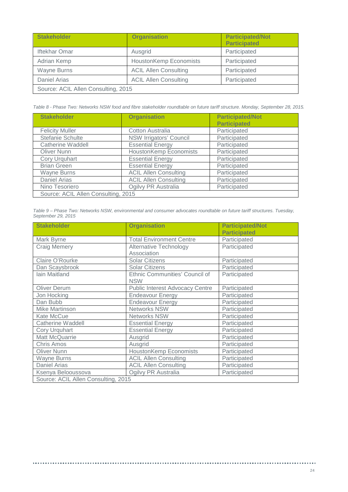| <b>Stakeholder</b>                  | <b>Organisation</b>           | <b>Participated/Not</b><br><b>Participated</b> |  |  |
|-------------------------------------|-------------------------------|------------------------------------------------|--|--|
| <b>Iftekhar Omar</b>                | Ausgrid                       | Participated                                   |  |  |
| Adrian Kemp                         | <b>HoustonKemp Economists</b> | Participated                                   |  |  |
| Wayne Burns                         | <b>ACIL Allen Consulting</b>  | Participated                                   |  |  |
| <b>Daniel Arias</b>                 | <b>ACIL Allen Consulting</b>  | Participated                                   |  |  |
| Source: ACIL Allen Consulting, 2015 |                               |                                                |  |  |

*Table 8 - Phase Two: Networks NSW food and fibre stakeholder roundtable on future tariff structure. Monday, September 28, 2015.*

| <b>Stakeholder</b>                  | <b>Organisation</b>          | <b>Participated/Not</b> |
|-------------------------------------|------------------------------|-------------------------|
|                                     |                              | <b>Participated</b>     |
| <b>Felicity Muller</b>              | Cotton Australia             | Participated            |
| Stefanie Schulte                    | NSW Irrigators' Council      | Participated            |
| <b>Catherine Waddell</b>            | <b>Essential Energy</b>      | Participated            |
| Oliver Nunn                         | HoustonKemp Economists       | Participated            |
| Cory Urquhart                       | <b>Essential Energy</b>      | Participated            |
| <b>Brian Green</b>                  | <b>Essential Energy</b>      | Participated            |
| <b>Wayne Burns</b>                  | <b>ACIL Allen Consulting</b> | Participated            |
| <b>Daniel Arias</b>                 | <b>ACIL Allen Consulting</b> | Participated            |
| Nino Tesoriero                      | Ogilvy PR Australia          | Participated            |
| Source: ACIL Allen Consulting, 2015 |                              |                         |

|                    | Table 9 – Phase Two: Networks NSW, environmental and consumer advocates roundtable on future tariff structures. Tuesday, |  |
|--------------------|--------------------------------------------------------------------------------------------------------------------------|--|
| September 29, 2015 |                                                                                                                          |  |

| <b>Stakeholder</b>                  | <b>Organisation</b>                    | <b>Participated/Not</b> |
|-------------------------------------|----------------------------------------|-------------------------|
|                                     |                                        | <b>Participated</b>     |
| Mark Byrne                          | <b>Total Environment Centre</b>        | Participated            |
| <b>Craig Memery</b>                 | <b>Alternative Technology</b>          | Participated            |
|                                     | Association                            |                         |
| Claire O'Rourke                     | <b>Solar Citizens</b>                  | Participated            |
| Dan Scaysbrook                      | <b>Solar Citizens</b>                  | Participated            |
| lain Maitland                       | Ethnic Communities' Council of         | Participated            |
|                                     | <b>NSW</b>                             |                         |
| <b>Oliver Derum</b>                 | <b>Public Interest Advocacy Centre</b> | Participated            |
| Jon Hocking                         | <b>Endeavour Energy</b>                | Participated            |
| Dan Bubb                            | <b>Endeavour Energy</b>                | Participated            |
| <b>Mike Martinson</b>               | <b>Networks NSW</b>                    | Participated            |
| Kate McCue                          | Networks NSW                           | Participated            |
| <b>Catherine Waddell</b>            | <b>Essential Energy</b>                | Participated            |
| Cory Urquhart                       | <b>Essential Energy</b>                | Participated            |
| Matt McQuarrie                      | Ausgrid                                | Participated            |
| <b>Chris Amos</b>                   | Ausgrid                                | Participated            |
| <b>Oliver Nunn</b>                  | <b>HoustonKemp Economists</b>          | Participated            |
| <b>Wayne Burns</b>                  | <b>ACIL Allen Consulting</b>           | Participated            |
| <b>Daniel Arias</b>                 | <b>ACIL Allen Consulting</b>           | Participated            |
| Ksenya Belooussova                  | Ogilvy PR Australia                    | Participated            |
| Source: ACIL Allen Consulting, 2015 |                                        |                         |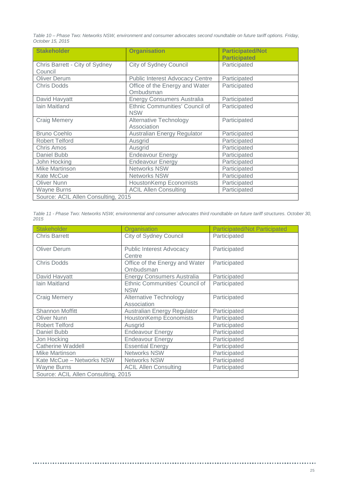*Table 10 – Phase Two: Networks NSW, environment and consumer advocates second roundtable on future tariff options. Friday, October 15, 2015*

| <b>Stakeholder</b>                        | <b>Organisation</b>                          | <b>Participated/Not</b><br><b>Participated</b> |
|-------------------------------------------|----------------------------------------------|------------------------------------------------|
| Chris Barrett - City of Sydney<br>Council | <b>City of Sydney Council</b>                | Participated                                   |
| <b>Oliver Derum</b>                       | <b>Public Interest Advocacy Centre</b>       | Participated                                   |
| <b>Chris Dodds</b>                        | Office of the Energy and Water<br>Ombudsman  | Participated                                   |
| David Havyatt                             | <b>Energy Consumers Australia</b>            | Participated                                   |
| <b>lain Maitland</b>                      | Ethnic Communities' Council of<br><b>NSW</b> | Participated                                   |
| <b>Craig Memery</b>                       | <b>Alternative Technology</b><br>Association | Participated                                   |
| <b>Bruno Coehlo</b>                       | Australian Energy Regulator                  | Participated                                   |
| <b>Robert Telford</b>                     | Ausgrid                                      | Participated                                   |
| <b>Chris Amos</b>                         | Ausgrid                                      | Participated                                   |
| Daniel Bubb                               | <b>Endeavour Energy</b>                      | Participated                                   |
| John Hocking                              | <b>Endeavour Energy</b>                      | Participated                                   |
| Mike Martinson                            | <b>Networks NSW</b>                          | Participated                                   |
| Kate McCue                                | <b>Networks NSW</b>                          | Participated                                   |
| Oliver Nunn                               | <b>HoustonKemp Economists</b>                | Participated                                   |
| Wayne Burns                               | <b>ACIL Allen Consulting</b>                 | Participated                                   |
| Source: ACIL Allen Consulting, 2015       |                                              |                                                |

| Table 11 - Phase Two: Networks NSW, environmental and consumer advocates third roundtable on future tariff structures. October 30, |  |  |
|------------------------------------------------------------------------------------------------------------------------------------|--|--|
| 2015                                                                                                                               |  |  |

| Stakeholder                         | Organisation                                 | <b>Participated/Not Participated</b> |
|-------------------------------------|----------------------------------------------|--------------------------------------|
| <b>Chris Barrett</b>                | City of Sydney Council                       | Participated                         |
| <b>Oliver Derum</b>                 | <b>Public Interest Advocacy</b><br>Centre    | Participated                         |
| <b>Chris Dodds</b>                  | Office of the Energy and Water<br>Ombudsman  | Participated                         |
| David Havyatt                       | <b>Energy Consumers Australia</b>            | Participated                         |
| <b>lain Maitland</b>                | Ethnic Communities' Council of<br><b>NSW</b> | Participated                         |
| <b>Craig Memery</b>                 | <b>Alternative Technology</b><br>Association | Participated                         |
| Shannon Moffitt                     | Australian Energy Regulator                  | Participated                         |
| <b>Oliver Nunn</b>                  | <b>HoustonKemp Economists</b>                | Participated                         |
| <b>Robert Telford</b>               | Ausgrid                                      | Participated                         |
| Daniel Bubb                         | <b>Endeavour Energy</b>                      | Participated                         |
| Jon Hocking                         | <b>Endeavour Energy</b>                      | Participated                         |
| <b>Catherine Waddell</b>            | <b>Essential Energy</b>                      | Participated                         |
| Mike Martinson                      | <b>Networks NSW</b>                          | Participated                         |
| Kate McCue - Networks NSW           | <b>Networks NSW</b>                          | Participated                         |
| <b>Wayne Burns</b>                  | <b>ACIL Allen Consulting</b>                 | Participated                         |
| Source: ACIL Allen Consulting, 2015 |                                              |                                      |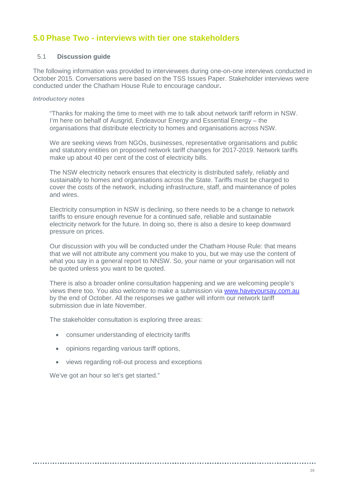## <span id="page-25-0"></span>**5.0 Phase Two - interviews with tier one stakeholders**

## <span id="page-25-1"></span>5.1 **Discussion guide**

The following information was provided to interviewees during one-on-one interviews conducted in October 2015. Conversations were based on the TSS Issues Paper. Stakeholder interviews were conducted under the Chatham House Rule to encourage candour**.**

### *Introductory notes*

"Thanks for making the time to meet with me to talk about network tariff reform in NSW. I'm here on behalf of Ausgrid, Endeavour Energy and Essential Energy – the organisations that distribute electricity to homes and organisations across NSW.

We are seeking views from NGOs, businesses, representative organisations and public and statutory entities on proposed network tariff changes for 2017-2019. Network tariffs make up about 40 per cent of the cost of electricity bills.

The NSW electricity network ensures that electricity is distributed safely, reliably and sustainably to homes and organisations across the State. Tariffs must be charged to cover the costs of the network, including infrastructure, staff, and maintenance of poles and wires.

Electricity consumption in NSW is declining, so there needs to be a change to network tariffs to ensure enough revenue for a continued safe, reliable and sustainable electricity network for the future. In doing so, there is also a desire to keep downward pressure on prices.

Our discussion with you will be conducted under the Chatham House Rule: that means that we will not attribute any comment you make to you, but we may use the content of what you say in a general report to NNSW. So, your name or your organisation will not be quoted unless you want to be quoted.

There is also a broader online consultation happening and we are welcoming people's views there too. You also welcome to make a submission via [www.haveyoursay.com.au](http://www.haveyoursay.com.au/) by the end of October. All the responses we gather will inform our network tariff submission due in late November.

The stakeholder consultation is exploring three areas:

- consumer understanding of electricity tariffs
- opinions regarding various tariff options,
- views regarding roll-out process and exceptions

We've got an hour so let's get started."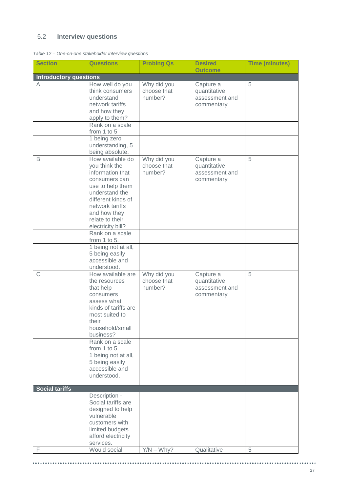## <span id="page-26-0"></span>5.2 **Interview questions**

|  | Table 12 – One-on-one stakeholder interview questions |  |
|--|-------------------------------------------------------|--|
|  |                                                       |  |

| <b>Section</b>                     | <b>Questions</b>                    | <b>Probing Qs</b>      | <b>Desired</b>                 | <b>Time (minutes)</b> |
|------------------------------------|-------------------------------------|------------------------|--------------------------------|-----------------------|
|                                    |                                     |                        | <b>Outcome</b>                 |                       |
| <b>Introductory questions</b><br>A | How well do you                     | Why did you            | Capture a                      | 5                     |
|                                    | think consumers                     | choose that            | quantitative                   |                       |
|                                    | understand                          | number?                | assessment and                 |                       |
|                                    | network tariffs                     |                        | commentary                     |                       |
|                                    | and how they                        |                        |                                |                       |
|                                    | apply to them?                      |                        |                                |                       |
|                                    | Rank on a scale                     |                        |                                |                       |
|                                    | from 1 to 5                         |                        |                                |                       |
|                                    | 1 being zero                        |                        |                                |                       |
|                                    | understanding, 5                    |                        |                                |                       |
| B                                  | being absolute.<br>How available do | Why did you            | Capture a                      | 5                     |
|                                    | you think the                       | choose that            | quantitative                   |                       |
|                                    | information that                    | number?                | assessment and                 |                       |
|                                    | consumers can                       |                        | commentary                     |                       |
|                                    | use to help them                    |                        |                                |                       |
|                                    | understand the                      |                        |                                |                       |
|                                    | different kinds of                  |                        |                                |                       |
|                                    | network tariffs                     |                        |                                |                       |
|                                    | and how they<br>relate to their     |                        |                                |                       |
|                                    | electricity bill?                   |                        |                                |                       |
|                                    | Rank on a scale                     |                        |                                |                       |
|                                    | from 1 to 5.                        |                        |                                |                       |
|                                    | 1 being not at all,                 |                        |                                |                       |
|                                    | 5 being easily                      |                        |                                |                       |
|                                    | accessible and                      |                        |                                |                       |
|                                    | understood.                         |                        |                                |                       |
| $\mathsf{C}$                       | How available are                   | Why did you            | Capture a                      | 5                     |
|                                    | the resources<br>that help          | choose that<br>number? | quantitative<br>assessment and |                       |
|                                    | consumers                           |                        | commentary                     |                       |
|                                    | assess what                         |                        |                                |                       |
|                                    | kinds of tariffs are                |                        |                                |                       |
|                                    | most suited to                      |                        |                                |                       |
|                                    | their                               |                        |                                |                       |
|                                    | household/small                     |                        |                                |                       |
|                                    | business?                           |                        |                                |                       |
|                                    | Rank on a scale<br>from 1 to 5.     |                        |                                |                       |
|                                    | 1 being not at all,                 |                        |                                |                       |
|                                    | 5 being easily                      |                        |                                |                       |
|                                    | accessible and                      |                        |                                |                       |
|                                    | understood.                         |                        |                                |                       |
|                                    |                                     |                        |                                |                       |
| <b>Social tariffs</b>              |                                     |                        |                                |                       |
|                                    | Description -<br>Social tariffs are |                        |                                |                       |
|                                    | designed to help                    |                        |                                |                       |
|                                    | vulnerable                          |                        |                                |                       |
|                                    | customers with                      |                        |                                |                       |
|                                    | limited budgets                     |                        |                                |                       |
|                                    | afford electricity                  |                        |                                |                       |
|                                    | services.                           |                        |                                |                       |
| F                                  | Would social                        | $Y/N - Why?$           | Qualitative                    | 5                     |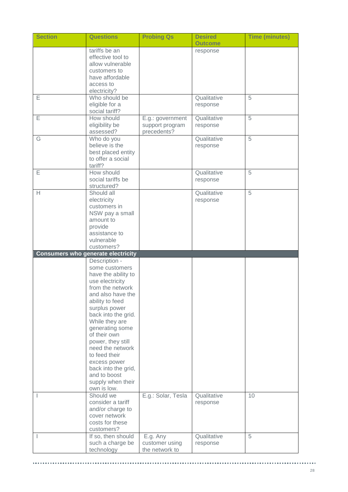| <b>Section</b> | <b>Questions</b>                                           | <b>Probing Qs</b>          | <b>Desired</b><br><b>Outcome</b> | <b>Time (minutes)</b> |
|----------------|------------------------------------------------------------|----------------------------|----------------------------------|-----------------------|
|                | tariffs be an<br>effective tool to                         |                            | response                         |                       |
|                | allow vulnerable                                           |                            |                                  |                       |
|                | customers to                                               |                            |                                  |                       |
|                | have affordable<br>access to                               |                            |                                  |                       |
|                | electricity?                                               |                            |                                  |                       |
| E              | Who should be                                              |                            | Qualitative                      | 5                     |
|                | eligible for a<br>social tariff?                           |                            | response                         |                       |
| Ε              | How should                                                 | E.g.: government           | Qualitative                      | 5                     |
|                | eligibility be                                             | support program            | response                         |                       |
| G              | assessed?<br>Who do you                                    | precedents?                | Qualitative                      | 5                     |
|                | believe is the                                             |                            | response                         |                       |
|                | best placed entity                                         |                            |                                  |                       |
|                | to offer a social<br>tariff?                               |                            |                                  |                       |
| Ε              | How should                                                 |                            | Qualitative                      | 5                     |
|                | social tariffs be                                          |                            | response                         |                       |
|                | structured?<br>Should all                                  |                            | Qualitative                      | 5                     |
| Н              | electricity                                                |                            | response                         |                       |
|                | customers in                                               |                            |                                  |                       |
|                | NSW pay a small                                            |                            |                                  |                       |
|                | amount to<br>provide                                       |                            |                                  |                       |
|                | assistance to                                              |                            |                                  |                       |
|                | vulnerable                                                 |                            |                                  |                       |
|                | customers?                                                 |                            |                                  |                       |
|                | <b>Consumers who generate electricity</b><br>Description - |                            |                                  |                       |
|                | some customers                                             |                            |                                  |                       |
|                | have the ability to                                        |                            |                                  |                       |
|                | use electricity<br>from the network                        |                            |                                  |                       |
|                | and also have the                                          |                            |                                  |                       |
|                | ability to feed                                            |                            |                                  |                       |
|                | surplus power                                              |                            |                                  |                       |
|                | back into the grid.<br>While they are                      |                            |                                  |                       |
|                | generating some                                            |                            |                                  |                       |
|                | of their own                                               |                            |                                  |                       |
|                | power, they still                                          |                            |                                  |                       |
|                | need the network<br>to feed their                          |                            |                                  |                       |
|                | excess power                                               |                            |                                  |                       |
|                | back into the grid,                                        |                            |                                  |                       |
|                | and to boost                                               |                            |                                  |                       |
|                | supply when their<br>own is low.                           |                            |                                  |                       |
|                | Should we                                                  | E.g.: Solar, Tesla         | Qualitative                      | 10                    |
|                | consider a tariff                                          |                            | response                         |                       |
|                | and/or charge to<br>cover network                          |                            |                                  |                       |
|                | costs for these                                            |                            |                                  |                       |
|                | customers?                                                 |                            |                                  |                       |
|                | If so, then should<br>such a charge be                     | E.g. Any<br>customer using | Qualitative<br>response          | 5                     |
|                | technology                                                 | the network to             |                                  |                       |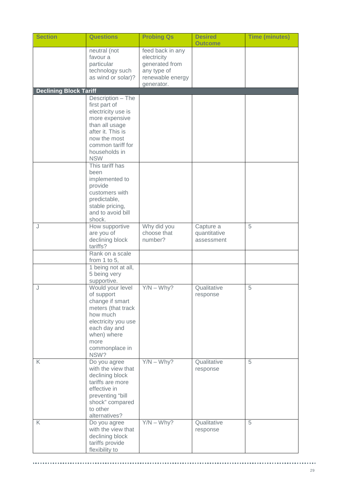| <b>Section</b>                | <b>Questions</b>                                                                                                                                                                      | <b>Probing Qs</b>                                                                                  | <b>Desired</b><br><b>Outcome</b>        | <b>Time (minutes)</b> |
|-------------------------------|---------------------------------------------------------------------------------------------------------------------------------------------------------------------------------------|----------------------------------------------------------------------------------------------------|-----------------------------------------|-----------------------|
|                               | neutral (not<br>favour a<br>particular<br>technology such<br>as wind or solar)?                                                                                                       | feed back in any<br>electricity<br>generated from<br>any type of<br>renewable energy<br>generator. |                                         |                       |
| <b>Declining Block Tariff</b> |                                                                                                                                                                                       |                                                                                                    |                                         |                       |
|                               | Description - The<br>first part of<br>electricity use is<br>more expensive<br>than all usage<br>after it. This is<br>now the most<br>common tariff for<br>households in<br><b>NSW</b> |                                                                                                    |                                         |                       |
|                               | This tariff has<br>been<br>implemented to<br>provide<br>customers with<br>predictable,<br>stable pricing,<br>and to avoid bill<br>shock.                                              |                                                                                                    |                                         |                       |
| J                             | How supportive<br>are you of<br>declining block<br>tariffs?<br>Rank on a scale                                                                                                        | Why did you<br>choose that<br>number?                                                              | Capture a<br>quantitative<br>assessment | 5                     |
|                               | from 1 to 5,                                                                                                                                                                          |                                                                                                    |                                         |                       |
|                               | 1 being not at all,<br>5 being very<br>supportive.                                                                                                                                    |                                                                                                    |                                         |                       |
| J                             | Would your level<br>of support<br>change if smart<br>meters (that track<br>how much<br>electricity you use<br>each day and<br>when) where<br>more<br>commonplace in<br>NSW?           | $Y/N - Why?$                                                                                       | Qualitative<br>response                 | 5                     |
| K                             | Do you agree<br>with the view that<br>declining block<br>tariffs are more<br>effective in<br>preventing "bill<br>shock" compared<br>to other<br>alternatives?                         | $Y/N - Why?$                                                                                       | Qualitative<br>response                 | 5                     |
| K                             | Do you agree<br>with the view that<br>declining block<br>tariffs provide<br>flexibility to                                                                                            | $Y/N - Why?$                                                                                       | Qualitative<br>response                 | 5                     |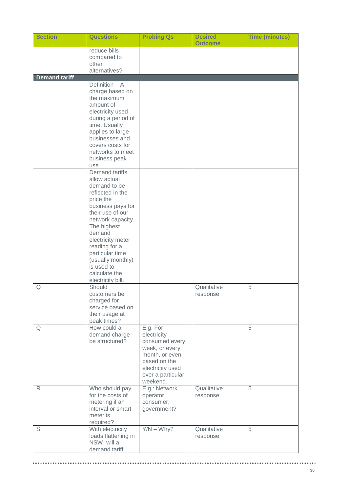| <b>Section</b>       | <b>Questions</b>                                                                                                                                                                                       | <b>Probing Qs</b>                                                                                                                                  | <b>Desired</b><br><b>Outcome</b> | <b>Time (minutes)</b> |
|----------------------|--------------------------------------------------------------------------------------------------------------------------------------------------------------------------------------------------------|----------------------------------------------------------------------------------------------------------------------------------------------------|----------------------------------|-----------------------|
|                      | reduce bills<br>compared to<br>other<br>alternatives?                                                                                                                                                  |                                                                                                                                                    |                                  |                       |
| <b>Demand tariff</b> |                                                                                                                                                                                                        |                                                                                                                                                    |                                  |                       |
|                      | Definition - A<br>charge based on<br>the maximum<br>amount of<br>electricity used<br>during a period of<br>time. Usually<br>applies to large<br>businesses and<br>covers costs for<br>networks to meet |                                                                                                                                                    |                                  |                       |
|                      | business peak<br>use                                                                                                                                                                                   |                                                                                                                                                    |                                  |                       |
|                      | <b>Demand tariffs</b><br>allow actual<br>demand to be<br>reflected in the<br>price the<br>business pays for<br>their use of our<br>network capacity.                                                   |                                                                                                                                                    |                                  |                       |
|                      | The highest<br>demand<br>electricity meter<br>reading for a<br>particular time<br>(usually monthly)<br>is used to<br>calculate the<br>electricity bill.                                                |                                                                                                                                                    |                                  |                       |
| Q                    | Should<br>customers be<br>charged for<br>service based on<br>their usage at<br>peak times?                                                                                                             |                                                                                                                                                    | Qualitative<br>response          | 5                     |
| Q                    | How could a<br>demand charge<br>be structured?                                                                                                                                                         | E.g. For<br>electricity<br>consumed every<br>week, or every<br>month, or even<br>based on the<br>electricity used<br>over a particular<br>weekend. |                                  | 5                     |
| R                    | Who should pay<br>for the costs of<br>metering if an<br>interval or smart<br>meter is<br>required?                                                                                                     | E.g.: Network<br>operator,<br>consumer,<br>government?                                                                                             | Qualitative<br>response          | 5                     |
| S                    | With electricity<br>loads flattening in<br>NSW, will a<br>demand tariff                                                                                                                                | $Y/N - Why?$                                                                                                                                       | Qualitative<br>response          | 5                     |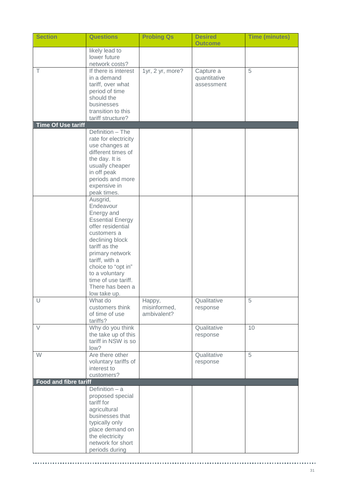| <b>Section</b>               | <b>Questions</b>                                                                                                                                                                                                                                                               | <b>Probing Qs</b>                     | <b>Desired</b><br><b>Outcome</b>        | <b>Time (minutes)</b> |
|------------------------------|--------------------------------------------------------------------------------------------------------------------------------------------------------------------------------------------------------------------------------------------------------------------------------|---------------------------------------|-----------------------------------------|-----------------------|
|                              | likely lead to<br>lower future<br>network costs?                                                                                                                                                                                                                               |                                       |                                         |                       |
| Τ                            | If there is interest<br>in a demand<br>tariff, over what<br>period of time<br>should the<br>businesses<br>transition to this<br>tariff structure?                                                                                                                              | 1yr, 2 yr, more?                      | Capture a<br>quantitative<br>assessment | 5                     |
| <b>Time Of Use tariff</b>    |                                                                                                                                                                                                                                                                                |                                       |                                         |                       |
|                              | Definition - The<br>rate for electricity<br>use changes at<br>different times of<br>the day. It is<br>usually cheaper<br>in off peak<br>periods and more<br>expensive in<br>peak times.                                                                                        |                                       |                                         |                       |
|                              | Ausgrid,<br>Endeavour<br>Energy and<br><b>Essential Energy</b><br>offer residential<br>customers a<br>declining block<br>tariff as the<br>primary network<br>tariff, with a<br>choice to "opt in"<br>to a voluntary<br>time of use tariff.<br>There has been a<br>low take up. |                                       |                                         |                       |
| U                            | What do<br>customers think<br>of time of use<br>tariffs?                                                                                                                                                                                                                       | Happy,<br>misinformed,<br>ambivalent? | Qualitative<br>response                 | 5                     |
| $\vee$                       | Why do you think<br>the take up of this<br>tariff in NSW is so<br>low?                                                                                                                                                                                                         |                                       | Qualitative<br>response                 | 10                    |
| W                            | Are there other<br>voluntary tariffs of<br>interest to<br>customers?                                                                                                                                                                                                           |                                       | Qualitative<br>response                 | 5                     |
| <b>Food and fibre tariff</b> |                                                                                                                                                                                                                                                                                |                                       |                                         |                       |
|                              | Definition $-$ a<br>proposed special<br>tariff for<br>agricultural<br>businesses that<br>typically only<br>place demand on<br>the electricity<br>network for short<br>periods during                                                                                           |                                       |                                         |                       |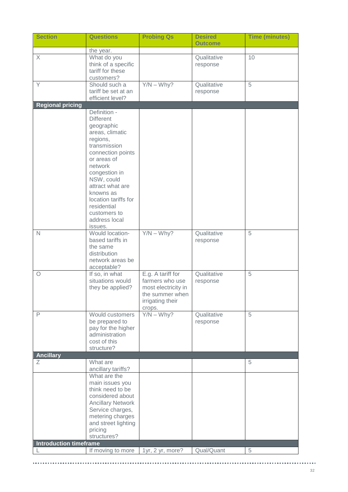| <b>Section</b>                | <b>Questions</b>                                                                                                                                                                                                                                                                     | <b>Probing Qs</b>                                                                                            | <b>Desired</b><br><b>Outcome</b> | <b>Time (minutes)</b> |
|-------------------------------|--------------------------------------------------------------------------------------------------------------------------------------------------------------------------------------------------------------------------------------------------------------------------------------|--------------------------------------------------------------------------------------------------------------|----------------------------------|-----------------------|
|                               | the year.                                                                                                                                                                                                                                                                            |                                                                                                              |                                  |                       |
| X                             | What do you<br>think of a specific<br>tariff for these<br>customers?                                                                                                                                                                                                                 |                                                                                                              | Qualitative<br>response          | 10                    |
| Y                             | Should such a<br>tariff be set at an<br>efficient level?                                                                                                                                                                                                                             | $Y/N - Why?$                                                                                                 | Qualitative<br>response          | $\overline{5}$        |
| <b>Regional pricing</b>       |                                                                                                                                                                                                                                                                                      |                                                                                                              |                                  |                       |
|                               | Definition -<br><b>Different</b><br>geographic<br>areas, climatic<br>regions,<br>transmission<br>connection points<br>or areas of<br>network<br>congestion in<br>NSW, could<br>attract what are<br>knowns as<br>location tariffs for<br>residential<br>customers to<br>address local |                                                                                                              |                                  |                       |
| $\mathsf{N}$                  | issues.<br>Would location-<br>based tariffs in<br>the same<br>distribution<br>network areas be<br>acceptable?                                                                                                                                                                        | $Y/N - Why?$                                                                                                 | Qualitative<br>response          | 5                     |
| O                             | If so, in what<br>situations would<br>they be applied?                                                                                                                                                                                                                               | E.g. A tariff for<br>farmers who use<br>most electricity in<br>the summer when<br>irrigating their<br>crops. | Qualitative<br>response          | 5                     |
| $\mathsf{P}$                  | Would customers<br>be prepared to<br>pay for the higher<br>administration<br>cost of this<br>structure?                                                                                                                                                                              | $Y/N - Why?$                                                                                                 | Qualitative<br>response          | 5                     |
| <b>Ancillary</b>              |                                                                                                                                                                                                                                                                                      |                                                                                                              |                                  |                       |
| Ζ                             | What are<br>ancillary tariffs?                                                                                                                                                                                                                                                       |                                                                                                              |                                  | 5                     |
| <b>Introduction timeframe</b> | What are the<br>main issues you<br>think need to be<br>considered about<br><b>Ancillary Network</b><br>Service charges,<br>metering charges<br>and street lighting<br>pricing<br>structures?                                                                                         |                                                                                                              |                                  |                       |
|                               | If moving to more                                                                                                                                                                                                                                                                    | 1yr, 2 yr, more?                                                                                             | Qual/Quant                       | 5                     |
|                               |                                                                                                                                                                                                                                                                                      |                                                                                                              |                                  |                       |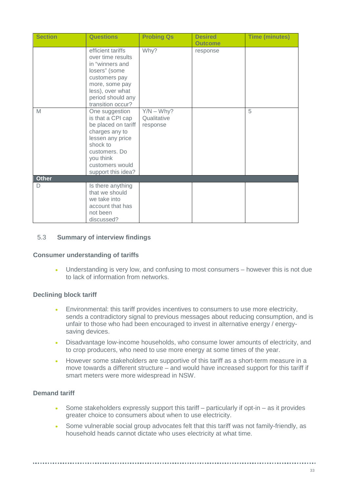| <b>Section</b> | <b>Questions</b>                                                                                                                                                                    | <b>Probing Qs</b>                       | <b>Desired</b><br><b>Outcome</b> | <b>Time (minutes)</b> |
|----------------|-------------------------------------------------------------------------------------------------------------------------------------------------------------------------------------|-----------------------------------------|----------------------------------|-----------------------|
|                | efficient tariffs<br>over time results<br>in "winners and<br>losers" (some<br>customers pay<br>more, some pay<br>less), over what<br>period should any<br>transition occur?         | Why?                                    | response                         |                       |
| M              | One suggestion<br>is that a CPI cap<br>be placed on tariff<br>charges any to<br>lessen any price<br>shock to<br>customers. Do<br>you think<br>customers would<br>support this idea? | $Y/N - Why?$<br>Qualitative<br>response |                                  | 5                     |
| <b>Other</b>   |                                                                                                                                                                                     |                                         |                                  |                       |
| D              | Is there anything<br>that we should<br>we take into<br>account that has<br>not been<br>discussed?                                                                                   |                                         |                                  |                       |

## <span id="page-32-0"></span>5.3 **Summary of interview findings**

## **Consumer understanding of tariffs**

• Understanding is very low, and confusing to most consumers – however this is not due to lack of information from networks.

## **Declining block tariff**

- Environmental: this tariff provides incentives to consumers to use more electricity, sends a contradictory signal to previous messages about reducing consumption, and is unfair to those who had been encouraged to invest in alternative energy / energysaving devices.
- Disadvantage low-income households, who consume lower amounts of electricity, and to crop producers, who need to use more energy at some times of the year.
- However some stakeholders are supportive of this tariff as a short-term measure in a move towards a different structure – and would have increased support for this tariff if smart meters were more widespread in NSW.

## **Demand tariff**

- Some stakeholders expressly support this tariff  $-$  particularly if opt-in  $-$  as it provides greater choice to consumers about when to use electricity.
- Some vulnerable social group advocates felt that this tariff was not family-friendly, as household heads cannot dictate who uses electricity at what time.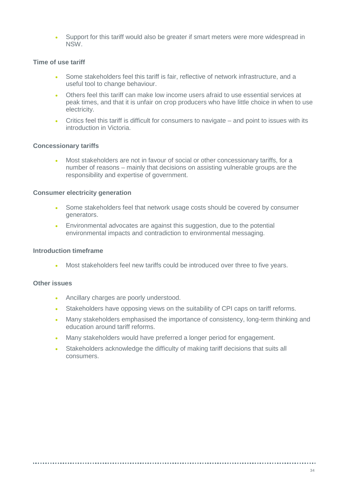• Support for this tariff would also be greater if smart meters were more widespread in NSW.

## **Time of use tariff**

- Some stakeholders feel this tariff is fair, reflective of network infrastructure, and a useful tool to change behaviour.
- Others feel this tariff can make low income users afraid to use essential services at peak times, and that it is unfair on crop producers who have little choice in when to use electricity.
- Critics feel this tariff is difficult for consumers to navigate and point to issues with its introduction in Victoria.

## **Concessionary tariffs**

• Most stakeholders are not in favour of social or other concessionary tariffs, for a number of reasons – mainly that decisions on assisting vulnerable groups are the responsibility and expertise of government.

### **Consumer electricity generation**

- Some stakeholders feel that network usage costs should be covered by consumer generators.
- Environmental advocates are against this suggestion, due to the potential environmental impacts and contradiction to environmental messaging.

## **Introduction timeframe**

Most stakeholders feel new tariffs could be introduced over three to five years.

### **Other issues**

- Ancillary charges are poorly understood.
- Stakeholders have opposing views on the suitability of CPI caps on tariff reforms.
- Many stakeholders emphasised the importance of consistency, long-term thinking and education around tariff reforms.
- Many stakeholders would have preferred a longer period for engagement.
- Stakeholders acknowledge the difficulty of making tariff decisions that suits all consumers.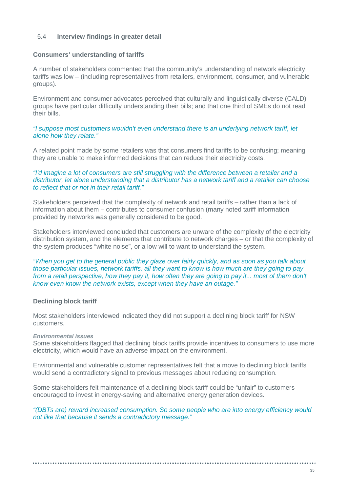## <span id="page-34-0"></span>5.4 **Interview findings in greater detail**

## **Consumers' understanding of tariffs**

A number of stakeholders commented that the community's understanding of network electricity tariffs was low – (including representatives from retailers, environment, consumer, and vulnerable groups).

Environment and consumer advocates perceived that culturally and linguistically diverse (CALD) groups have particular difficulty understanding their bills; and that one third of SMEs do not read their bills.

*"I suppose most customers wouldn't even understand there is an underlying network tariff, let alone how they relate."*

A related point made by some retailers was that consumers find tariffs to be confusing; meaning they are unable to make informed decisions that can reduce their electricity costs.

### *"I'd imagine a lot of consumers are still struggling with the difference between a retailer and a distributor, let alone understanding that a distributor has a network tariff and a retailer can choose to reflect that or not in their retail tariff."*

Stakeholders perceived that the complexity of network and retail tariffs – rather than a lack of information about them – contributes to consumer confusion (many noted tariff information provided by networks was generally considered to be good.

Stakeholders interviewed concluded that customers are unware of the complexity of the electricity distribution system, and the elements that contribute to network charges – or that the complexity of the system produces "white noise", or a low will to want to understand the system.

*"When you get to the general public they glaze over fairly quickly, and as soon as you talk about those particular issues, network tariffs, all they want to know is how much are they going to pay from a retail perspective, how they pay it, how often they are going to pay it... most of them don't know even know the network exists, except when they have an outage."*

## **Declining block tariff**

Most stakeholders interviewed indicated they did not support a declining block tariff for NSW customers.

### *Environmental issues*

Some stakeholders flagged that declining block tariffs provide incentives to consumers to use more electricity, which would have an adverse impact on the environment.

Environmental and vulnerable customer representatives felt that a move to declining block tariffs would send a contradictory signal to previous messages about reducing consumption.

Some stakeholders felt maintenance of a declining block tariff could be "unfair" to customers encouraged to invest in energy-saving and alternative energy generation devices.

*"(DBTs are) reward increased consumption. So some people who are into energy efficiency would not like that because it sends a contradictory message."*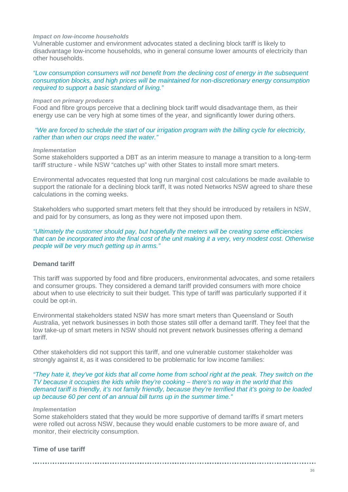#### *Impact on low-income households*

Vulnerable customer and environment advocates stated a declining block tariff is likely to disadvantage low-income households, who in general consume lower amounts of electricity than other households.

### *"Low consumption consumers will not benefit from the declining cost of energy in the subsequent consumption blocks, and high prices will be maintained for non-discretionary energy consumption required to support a basic standard of living."*

#### *Impact on primary producers*

Food and fibre groups perceive that a declining block tariff would disadvantage them, as their energy use can be very high at some times of the year, and significantly lower during others.

*"We are forced to schedule the start of our irrigation program with the billing cycle for electricity, rather than when our crops need the water."*

#### *Implementation*

Some stakeholders supported a DBT as an interim measure to manage a transition to a long-term tariff structure - while NSW "catches up" with other States to install more smart meters.

Environmental advocates requested that long run marginal cost calculations be made available to support the rationale for a declining block tariff, It was noted Networks NSW agreed to share these calculations in the coming weeks.

Stakeholders who supported smart meters felt that they should be introduced by retailers in NSW, and paid for by consumers, as long as they were not imposed upon them.

*"Ultimately the customer should pay, but hopefully the meters will be creating some efficiencies that can be incorporated into the final cost of the unit making it a very, very modest cost. Otherwise people will be very much getting up in arms."*

### **Demand tariff**

This tariff was supported by food and fibre producers, environmental advocates, and some retailers and consumer groups. They considered a demand tariff provided consumers with more choice about when to use electricity to suit their budget. This type of tariff was particularly supported if it could be opt-in.

Environmental stakeholders stated NSW has more smart meters than Queensland or South Australia, yet network businesses in both those states still offer a demand tariff. They feel that the low take-up of smart meters in NSW should not prevent network businesses offering a demand tariff.

Other stakeholders did not support this tariff, and one vulnerable customer stakeholder was strongly against it, as it was considered to be problematic for low income families:

### *"They hate it, they've got kids that all come home from school right at the peak. They switch on the TV because it occupies the kids while they're cooking – there's no way in the world that this demand tariff is friendly, it's not family friendly, because they're terrified that it's going to be loaded up because 60 per cent of an annual bill turns up in the summer time."*

### *Implementation*

Some stakeholders stated that they would be more supportive of demand tariffs if smart meters were rolled out across NSW, because they would enable customers to be more aware of, and monitor, their electricity consumption.

## **Time of use tariff**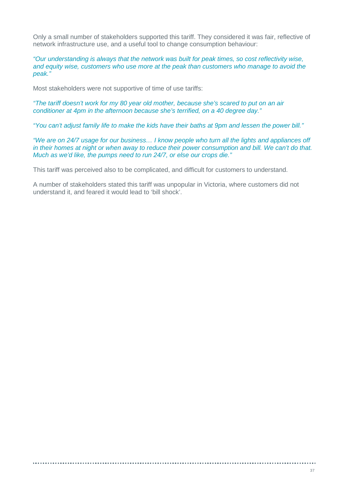Only a small number of stakeholders supported this tariff. They considered it was fair, reflective of network infrastructure use, and a useful tool to change consumption behaviour:

*"Our understanding is always that the network was built for peak times, so cost reflectivity wise, and equity wise, customers who use more at the peak than customers who manage to avoid the peak."*

Most stakeholders were not supportive of time of use tariffs:

*"The tariff doesn't work for my 80 year old mother, because she's scared to put on an air conditioner at 4pm in the afternoon because she's terrified, on a 40 degree day."*

*"You can't adjust family life to make the kids have their baths at 9pm and lessen the power bill."*

*"We are on 24/7 usage for our business… I know people who turn all the lights and appliances off in their homes at night or when away to reduce their power consumption and bill. We can't do that. Much as we'd like, the pumps need to run 24/7, or else our crops die."*

This tariff was perceived also to be complicated, and difficult for customers to understand.

A number of stakeholders stated this tariff was unpopular in Victoria, where customers did not understand it, and feared it would lead to 'bill shock'.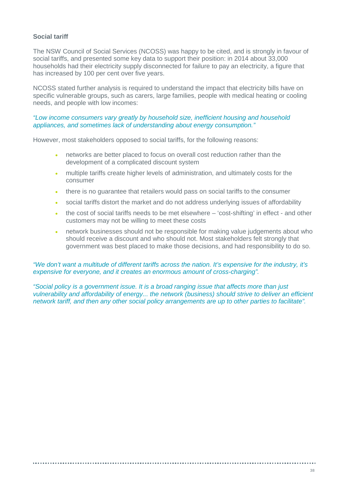### **Social tariff**

The NSW Council of Social Services (NCOSS) was happy to be cited, and is strongly in favour of social tariffs, and presented some key data to support their position: in 2014 about 33,000 households had their electricity supply disconnected for failure to pay an electricity, a figure that has increased by 100 per cent over five years.

NCOSS stated further analysis is required to understand the impact that electricity bills have on specific vulnerable groups, such as carers, large families, people with medical heating or cooling needs, and people with low incomes:

#### *"Low income consumers vary greatly by household size, inefficient housing and household appliances, and sometimes lack of understanding about energy consumption."*

However, most stakeholders opposed to social tariffs, for the following reasons:

- networks are better placed to focus on overall cost reduction rather than the development of a complicated discount system
- multiple tariffs create higher levels of administration, and ultimately costs for the consumer
- there is no guarantee that retailers would pass on social tariffs to the consumer
- social tariffs distort the market and do not address underlying issues of affordability
- the cost of social tariffs needs to be met elsewhere 'cost-shifting' in effect and other customers may not be willing to meet these costs
- network businesses should not be responsible for making value judgements about who should receive a discount and who should not. Most stakeholders felt strongly that government was best placed to make those decisions, and had responsibility to do so.

### *"We don't want a multitude of different tariffs across the nation. It's expensive for the industry, it's expensive for everyone, and it creates an enormous amount of cross-charging".*

*"Social policy is a government issue. It is a broad ranging issue that affects more than just vulnerability and affordability of energy... the network (business) should strive to deliver an efficient network tariff, and then any other social policy arrangements are up to other parties to facilitate".*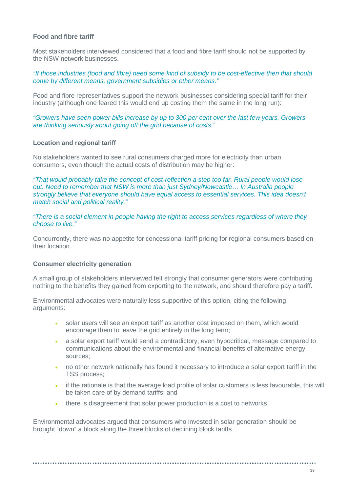### **Food and fibre tariff**

Most stakeholders interviewed considered that a food and fibre tariff should not be supported by the NSW network businesses.

*"If those industries (food and fibre) need some kind of subsidy to be cost-effective then that should come by different means, government subsidies or other means."*

Food and fibre representatives support the network businesses considering special tariff for their industry (although one feared this would end up costing them the same in the long run):

*"Growers have seen power bills increase by up to 300 per cent over the last few years. Growers are thinking seriously about going off the grid because of costs."*

### **Location and regional tariff**

No stakeholders wanted to see rural consumers charged more for electricity than urban consumers, even though the actual costs of distribution may be higher:

*"That would probably take the concept of cost-reflection a step too far. Rural people would lose out. Need to remember that NSW is more than just Sydney/Newcastle… In Australia people strongly believe that everyone should have equal access to essential services. This idea doesn't match social and political reality."*

*"There is a social element in people having the right to access services regardless of where they choose to live."* 

Concurrently, there was no appetite for concessional tariff pricing for regional consumers based on their location.

### **Consumer electricity generation**

A small group of stakeholders interviewed felt strongly that consumer generators were contributing nothing to the benefits they gained from exporting to the network, and should therefore pay a tariff.

Environmental advocates were naturally less supportive of this option, citing the following arguments:

- solar users will see an export tariff as another cost imposed on them, which would encourage them to leave the grid entirely in the long term;
- a solar export tariff would send a contradictory, even hypocritical, message compared to communications about the environmental and financial benefits of alternative energy sources;
- no other network nationally has found it necessary to introduce a solar export tariff in the TSS process;
- if the rationale is that the average load profile of solar customers is less favourable, this will be taken care of by demand tariffs; and
- there is disagreement that solar power production is a cost to networks.

Environmental advocates argued that consumers who invested in solar generation should be brought "down" a block along the three blocks of declining block tariffs.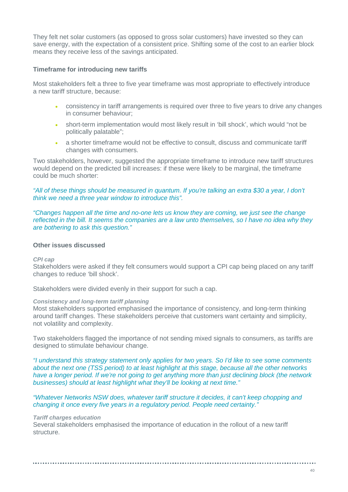They felt net solar customers (as opposed to gross solar customers) have invested so they can save energy, with the expectation of a consistent price. Shifting some of the cost to an earlier block means they receive less of the savings anticipated.

### **Timeframe for introducing new tariffs**

Most stakeholders felt a three to five year timeframe was most appropriate to effectively introduce a new tariff structure, because:

- consistency in tariff arrangements is required over three to five years to drive any changes in consumer behaviour;
- short-term implementation would most likely result in 'bill shock', which would "not be politically palatable";
- a shorter timeframe would not be effective to consult, discuss and communicate tariff changes with consumers.

Two stakeholders, however, suggested the appropriate timeframe to introduce new tariff structures would depend on the predicted bill increases: if these were likely to be marginal, the timeframe could be much shorter:

*"All of these things should be measured in quantum. If you're talking an extra \$30 a year, I don't think we need a three year window to introduce this".*

*"Changes happen all the time and no-one lets us know they are coming, we just see the change reflected in the bill. It seems the companies are a law unto themselves, so I have no idea why they are bothering to ask this question."*

### **Other issues discussed**

#### *CPI cap*

Stakeholders were asked if they felt consumers would support a CPI cap being placed on any tariff changes to reduce 'bill shock'.

Stakeholders were divided evenly in their support for such a cap.

#### *Consistency and long-term tariff planning*

Most stakeholders supported emphasised the importance of consistency, and long-term thinking around tariff changes. These stakeholders perceive that customers want certainty and simplicity, not volatility and complexity.

Two stakeholders flagged the importance of not sending mixed signals to consumers, as tariffs are designed to stimulate behaviour change.

*"I understand this strategy statement only applies for two years. So I'd like to see some comments about the next one (TSS period) to at least highlight at this stage, because all the other networks have a longer period. If we're not going to get anything more than just declining block (the network businesses) should at least highlight what they'll be looking at next time."* 

### *"Whatever Networks NSW does, whatever tariff structure it decides, it can't keep chopping and changing it once every five years in a regulatory period. People need certainty."*

#### *Tariff charges education*

Several stakeholders emphasised the importance of education in the rollout of a new tariff structure.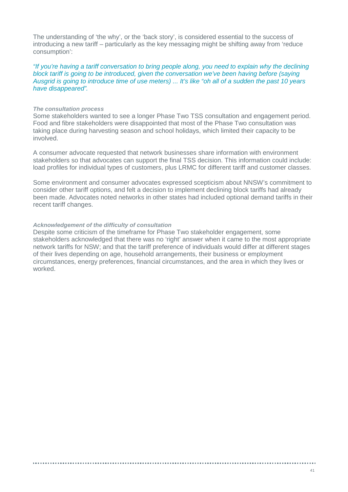The understanding of 'the why', or the 'back story', is considered essential to the success of introducing a new tariff – particularly as the key messaging might be shifting away from 'reduce consumption':

*"If you're having a tariff conversation to bring people along, you need to explain why the declining block tariff is going to be introduced, given the conversation we've been having before (saying Ausgrid is going to introduce time of use meters) ... It's like "oh all of a sudden the past 10 years have disappeared".*

#### *The consultation process*

Some stakeholders wanted to see a longer Phase Two TSS consultation and engagement period. Food and fibre stakeholders were disappointed that most of the Phase Two consultation was taking place during harvesting season and school holidays, which limited their capacity to be involved.

A consumer advocate requested that network businesses share information with environment stakeholders so that advocates can support the final TSS decision. This information could include: load profiles for individual types of customers, plus LRMC for different tariff and customer classes.

Some environment and consumer advocates expressed scepticism about NNSW's commitment to consider other tariff options, and felt a decision to implement declining block tariffs had already been made. Advocates noted networks in other states had included optional demand tariffs in their recent tariff changes.

#### *Acknowledgement of the difficulty of consultation*

Despite some criticism of the timeframe for Phase Two stakeholder engagement, some stakeholders acknowledged that there was no 'right' answer when it came to the most appropriate network tariffs for NSW; and that the tariff preference of individuals would differ at different stages of their lives depending on age, household arrangements, their business or employment circumstances, energy preferences, financial circumstances, and the area in which they lives or worked.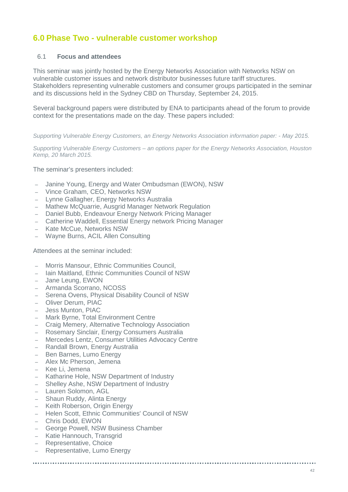# **6.0 Phase Two - vulnerable customer workshop**

### 6.1 **Focus and attendees**

This seminar was jointly hosted by the Energy Networks Association with Networks NSW on vulnerable customer issues and network distributor businesses future tariff structures. Stakeholders representing vulnerable customers and consumer groups participated in the seminar and its discussions held in the Sydney CBD on Thursday, September 24, 2015.

Several background papers were distributed by ENA to participants ahead of the forum to provide context for the presentations made on the day. These papers included:

*Supporting Vulnerable Energy Customers, an Energy Networks Association information paper: - May 2015.*

*Supporting Vulnerable Energy Customers – an options paper for the Energy Networks Association, Houston Kemp, 20 March 2015.*

The seminar's presenters included:

- Janine Young, Energy and Water Ombudsman (EWON), NSW
- Vince Graham, CEO, Networks NSW
- Lynne Gallagher, Energy Networks Australia
- Mathew McQuarrie, Ausgrid Manager Network Regulation
- Daniel Bubb, Endeavour Energy Network Pricing Manager
- Catherine Waddell, Essential Energy network Pricing Manager
- Kate McCue, Networks NSW
- Wayne Burns, ACIL Allen Consulting

Attendees at the seminar included:

- Morris Mansour, Ethnic Communities Council,
- Iain Maitland, Ethnic Communities Council of NSW
- Jane Leung, EWON
- Armanda Scorrano, NCOSS
- Serena Ovens, Physical Disability Council of NSW
- Oliver Derum, PIAC
- Jess Munton, PIAC
- Mark Byrne, Total Environment Centre
- Craig Memery, Alternative Technology Association
- Rosemary Sinclair, Energy Consumers Australia
- Mercedes Lentz, Consumer Utilities Advocacy Centre
- Randall Brown, Energy Australia
- Ben Barnes, Lumo Energy
- Alex Mc Pherson, Jemena
- Kee Li, Jemena
- Katharine Hole, NSW Department of Industry
- Shelley Ashe, NSW Department of Industry
- Lauren Solomon, AGL
- Shaun Ruddy, Alinta Energy
- Keith Roberson, Origin Energy
- Helen Scott, Ethnic Communities' Council of NSW
- Chris Dodd, EWON
- George Powell, NSW Business Chamber
- Katie Hannouch, Transgrid
- Representative, Choice
- Representative, Lumo Energy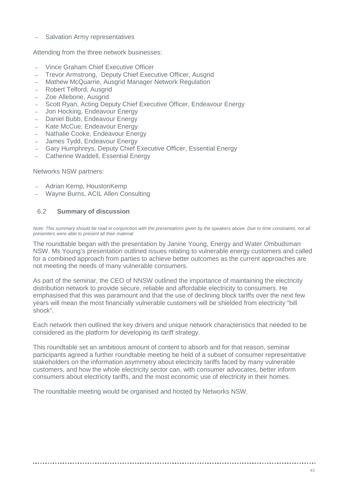– Salvation Army representatives

Attending from the three network businesses:

- Vince Graham Chief Executive Officer
- Trevor Armstrong, Deputy Chief Executive Officer, Ausgrid
- Mathew McQuarrie, Ausgrid Manager Network Regulation
- Robert Telford, Ausgrid
- Zoe Allebone, Ausgrid
- Scott Ryan, Acting Deputy Chief Executive Officer, Endeavour Energy
- Jon Hocking, Endeavour Energy
- Daniel Bubb, Endeavour Energy
- Kate McCue, Endeavour Energy
- Nathalie Cooke, Endeavour Energy
- James Tydd, Endeavour Energy
- Gary Humphreys, Deputy Chief Executive Officer, Essential Energy
- Catherine Waddell, Essential Energy

Networks NSW partners:

- Adrian Kemp, HoustonKemp
- Wayne Burns, ACIL Allen Consulting

### 6.2 **Summary of discussion**

*Note: This summary should be read in conjunction with the presentations given by the speakers above. Due to time constraints, not all presenters were able to present all their material*

The roundtable began with the presentation by Janine Young, Energy and Water Ombudsman NSW. Ms Young's presentation outlined issues relating to vulnerable energy customers and called for a combined approach from parties to achieve better outcomes as the current approaches are not meeting the needs of many vulnerable consumers.

As part of the seminar, the CEO of NNSW outlined the importance of maintaining the electricity distribution network to provide secure, reliable and affordable electricity to consumers. He emphasised that this was paramount and that the use of declining block tariffs over the next few years will mean the most financially vulnerable customers will be shielded from electricity "bill shock".

Each network then outlined the key drivers and unique network characteristics that needed to be considered as the platform for developing its tariff strategy.

This roundtable set an ambitious amount of content to absorb and for that reason, seminar participants agreed a further roundtable meeting be held of a subset of consumer representative stakeholders on the information asymmetry about electricity tariffs faced by many vulnerable customers, and how the whole electricity sector can, with consumer advocates, better inform consumers about electricity tariffs, and the most economic use of electricity in their homes.

The roundtable meeting would be organised and hosted by Networks NSW.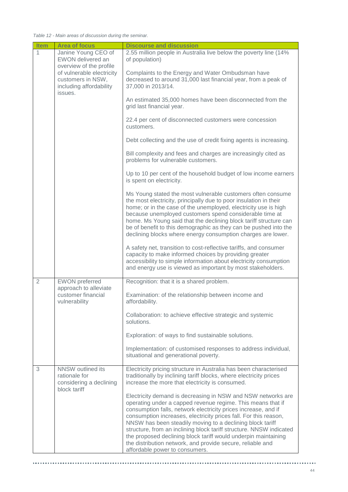*Table 12 - Main areas of discussion during the seminar.*

| <b>Item</b>    | <b>Area of focus</b>                                                          | <b>Discourse and discussion</b>                                                                                                                                                                                                                                                                                                                                                                                                                                                                                                                                         |
|----------------|-------------------------------------------------------------------------------|-------------------------------------------------------------------------------------------------------------------------------------------------------------------------------------------------------------------------------------------------------------------------------------------------------------------------------------------------------------------------------------------------------------------------------------------------------------------------------------------------------------------------------------------------------------------------|
| $\mathbf{1}$   | Janine Young CEO of<br>EWON delivered an<br>overview of the profile           | 2.55 million people in Australia live below the poverty line (14%<br>of population)                                                                                                                                                                                                                                                                                                                                                                                                                                                                                     |
|                | of vulnerable electricity<br>customers in NSW,<br>including affordability     | Complaints to the Energy and Water Ombudsman have<br>decreased to around 31,000 last financial year, from a peak of<br>37,000 in 2013/14.                                                                                                                                                                                                                                                                                                                                                                                                                               |
|                | issues.                                                                       | An estimated 35,000 homes have been disconnected from the<br>grid last financial year.                                                                                                                                                                                                                                                                                                                                                                                                                                                                                  |
|                |                                                                               | 22.4 per cent of disconnected customers were concession<br>customers.                                                                                                                                                                                                                                                                                                                                                                                                                                                                                                   |
|                |                                                                               | Debt collecting and the use of credit fixing agents is increasing.                                                                                                                                                                                                                                                                                                                                                                                                                                                                                                      |
|                |                                                                               | Bill complexity and fees and charges are increasingly cited as<br>problems for vulnerable customers.                                                                                                                                                                                                                                                                                                                                                                                                                                                                    |
|                |                                                                               | Up to 10 per cent of the household budget of low income earners<br>is spent on electricity.                                                                                                                                                                                                                                                                                                                                                                                                                                                                             |
|                |                                                                               | Ms Young stated the most vulnerable customers often consume<br>the most electricity, principally due to poor insulation in their<br>home; or in the case of the unemployed, electricity use is high<br>because unemployed customers spend considerable time at<br>home. Ms Young said that the declining block tariff structure can<br>be of benefit to this demographic as they can be pushed into the<br>declining blocks where energy consumption charges are lower.                                                                                                 |
|                |                                                                               | A safety net, transition to cost-reflective tariffs, and consumer<br>capacity to make informed choices by providing greater<br>accessibility to simple information about electricity consumption<br>and energy use is viewed as important by most stakeholders.                                                                                                                                                                                                                                                                                                         |
| $\overline{2}$ | <b>EWON</b> preferred<br>approach to alleviate                                | Recognition: that it is a shared problem.                                                                                                                                                                                                                                                                                                                                                                                                                                                                                                                               |
|                | customer financial<br>vulnerability                                           | Examination: of the relationship between income and<br>affordability.                                                                                                                                                                                                                                                                                                                                                                                                                                                                                                   |
|                |                                                                               | Collaboration: to achieve effective strategic and systemic<br>solutions.                                                                                                                                                                                                                                                                                                                                                                                                                                                                                                |
|                |                                                                               | Exploration: of ways to find sustainable solutions.                                                                                                                                                                                                                                                                                                                                                                                                                                                                                                                     |
|                |                                                                               | Implementation: of customised responses to address individual,<br>situational and generational poverty.                                                                                                                                                                                                                                                                                                                                                                                                                                                                 |
| 3              | NNSW outlined its<br>rationale for<br>considering a declining<br>block tariff | Electricity pricing structure in Australia has been characterised<br>traditionally by inclining tariff blocks, where electricity prices<br>increase the more that electricity is consumed.                                                                                                                                                                                                                                                                                                                                                                              |
|                |                                                                               | Electricity demand is decreasing in NSW and NSW networks are<br>operating under a capped revenue regime. This means that if<br>consumption falls, network electricity prices increase, and if<br>consumption increases, electricity prices fall. For this reason,<br>NNSW has been steadily moving to a declining block tariff<br>structure, from an inclining block tariff structure. NNSW indicated<br>the proposed declining block tariff would underpin maintaining<br>the distribution network, and provide secure, reliable and<br>affordable power to consumers. |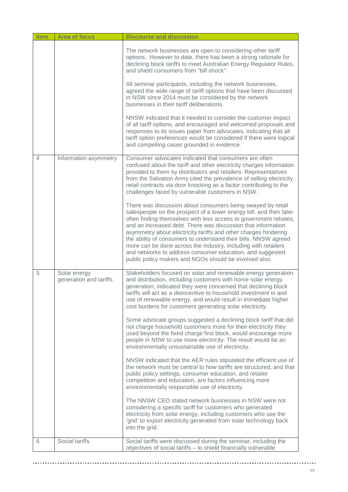| <b>Item</b> | <b>Area of focus</b>                   | <b>Discourse and discussion</b>                                                                                                                                                                                                                                                                                                                                                                                                                                                                                                                                                                      |
|-------------|----------------------------------------|------------------------------------------------------------------------------------------------------------------------------------------------------------------------------------------------------------------------------------------------------------------------------------------------------------------------------------------------------------------------------------------------------------------------------------------------------------------------------------------------------------------------------------------------------------------------------------------------------|
|             |                                        | The network businesses are open to considering other tariff<br>options. However to date, there has been a strong rationale for<br>declining block tariffs to meet Australian Energy Regulator Rules,<br>and shield consumers from "bill shock".                                                                                                                                                                                                                                                                                                                                                      |
|             |                                        | All seminar participants, including the network businesses,<br>agreed the wide range of tariff options that have been discussed<br>in NSW since 2014 must be considered by the network<br>businesses in their tariff deliberations.                                                                                                                                                                                                                                                                                                                                                                  |
|             |                                        | NNSW indicated that it needed to consider the customer impact<br>of all tariff options, and encouraged and welcomed proposals and<br>responses to its issues paper from advocates, indicating that all<br>tariff option preferences would be considered if there were logical<br>and compelling cases grounded in evidence.                                                                                                                                                                                                                                                                          |
| 4           | Information asymmetry                  | Consumer advocates indicated that consumers are often<br>confused about the tariff and other electricity charges information<br>provided to them by distributors and retailers. Representatives<br>from the Salvation Army cited the prevalence of selling electricity<br>retail contracts via door knocking as a factor contributing to the<br>challenges faced by vulnerable customers in NSW.                                                                                                                                                                                                     |
|             |                                        | There was discussion about consumers being swayed by retail<br>salespeople on the prospect of a lower energy bill, and then later<br>often finding themselves with less access to government rebates,<br>and an increased debt. There was discussion that information<br>asymmetry about electricity tariffs and other charges hindering<br>the ability of consumers to understand their bills. NNSW agreed<br>more can be done across the industry, including with retailers<br>and networks to address consumer education, and suggested<br>public policy makers and NGOs should be involved also. |
| 5           | Solar energy<br>generation and tariffs | Stakeholders focused on solar and renewable energy generation<br>and distribution, including customers with home solar energy<br>generation, indicated they were concerned that declining block<br>tariffs will act as a disincentive to household investment in and<br>use of renewable energy, and would result in immediate higher<br>cost burdens for customers generating solar electricity.                                                                                                                                                                                                    |
|             |                                        | Some advocate groups suggested a declining block tariff that did<br>not charge household customers more for their electricity they<br>used beyond the fixed charge first block, would encourage more<br>people in NSW to use more electricity. The result would be an<br>environmentally unsustainable use of electricity.                                                                                                                                                                                                                                                                           |
|             |                                        | NNSW indicated that the AER rules stipulated the efficient use of<br>the network must be central to how tariffs are structured, and that<br>public policy settings, consumer education, and retailer<br>competition and education, are factors influencing more<br>environmentally responsible use of electricity.                                                                                                                                                                                                                                                                                   |
|             |                                        | The NNSW CEO stated network businesses in NSW were not<br>considering a specific tariff for customers who generated<br>electricity from solar energy, including customers who use the<br>'grid' to export electricity generated from solar technology back<br>into the grid.                                                                                                                                                                                                                                                                                                                         |
| 6           | Social tariffs                         | Social tariffs were discussed during the seminar, including the<br>objectives of social tariffs - to shield financially vulnerable                                                                                                                                                                                                                                                                                                                                                                                                                                                                   |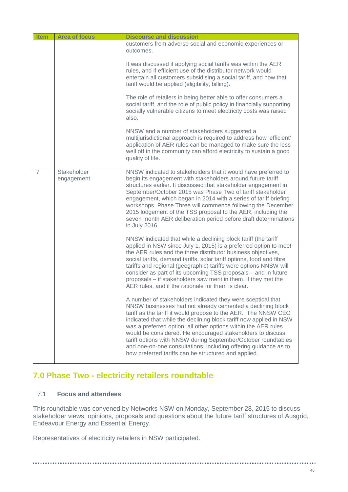| <b>Item</b>    | <b>Area of focus</b>      | <b>Discourse and discussion</b>                                                                                                                                                                                                                                                                                                                                                                                                                                                                                                                                                               |
|----------------|---------------------------|-----------------------------------------------------------------------------------------------------------------------------------------------------------------------------------------------------------------------------------------------------------------------------------------------------------------------------------------------------------------------------------------------------------------------------------------------------------------------------------------------------------------------------------------------------------------------------------------------|
|                |                           | customers from adverse social and economic experiences or<br>outcomes.                                                                                                                                                                                                                                                                                                                                                                                                                                                                                                                        |
|                |                           | It was discussed if applying social tariffs was within the AER<br>rules, and if efficient use of the distributor network would<br>entertain all customers subsidising a social tariff, and how that<br>tariff would be applied (eligibility, billing).                                                                                                                                                                                                                                                                                                                                        |
|                |                           | The role of retailers in being better able to offer consumers a<br>social tariff, and the role of public policy in financially supporting<br>socially vulnerable citizens to meet electricity costs was raised<br>also.                                                                                                                                                                                                                                                                                                                                                                       |
|                |                           | NNSW and a number of stakeholders suggested a<br>multijurisdictional approach is required to address how 'efficient'<br>application of AER rules can be managed to make sure the less<br>well off in the community can afford electricity to sustain a good<br>quality of life.                                                                                                                                                                                                                                                                                                               |
| $\overline{7}$ | Stakeholder<br>engagement | NNSW indicated to stakeholders that it would have preferred to<br>begin its engagement with stakeholders around future tariff<br>structures earlier. It discussed that stakeholder engagement in<br>September/October 2015 was Phase Two of tariff stakeholder<br>engagement, which began in 2014 with a series of tariff briefing<br>workshops. Phase Three will commence following the December<br>2015 lodgement of the TSS proposal to the AER, including the<br>seven month AER deliberation period before draft determinations<br>in July 2016.                                         |
|                |                           | NNSW indicated that while a declining block tariff (the tariff<br>applied in NSW since July 1, 2015) is a preferred option to meet<br>the AER rules and the three distributor business objectives,<br>social tariffs, demand tariffs, solar tariff options, food and fibre<br>tariffs and regional (geographic) tariffs were options NNSW will<br>consider as part of its upcoming TSS proposals - and in future<br>proposals - if stakeholders saw merit in them, if they met the<br>AER rules, and if the rationale for them is clear.                                                      |
|                |                           | A number of stakeholders indicated they were sceptical that<br>NNSW businesses had not already cemented a declining block<br>tariff as the tariff it would propose to the AER. The NNSW CEO<br>indicated that while the declining block tariff now applied in NSW<br>was a preferred option, all other options within the AER rules<br>would be considered. He encouraged stakeholders to discuss<br>tariff options with NNSW during September/October roundtables<br>and one-on-one consultations, including offering guidance as to<br>how preferred tariffs can be structured and applied. |

# **7.0 Phase Two - electricity retailers roundtable**

### 7.1 **Focus and attendees**

This roundtable was convened by Networks NSW on Monday, September 28, 2015 to discuss stakeholder views, opinions, proposals and questions about the future tariff structures of Ausgrid, Endeavour Energy and Essential Energy.

Representatives of electricity retailers in NSW participated.

.............................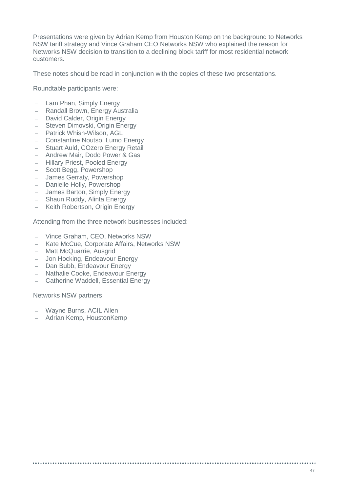Presentations were given by Adrian Kemp from Houston Kemp on the background to Networks NSW tariff strategy and Vince Graham CEO Networks NSW who explained the reason for Networks NSW decision to transition to a declining block tariff for most residential network customers.

These notes should be read in conjunction with the copies of these two presentations.

Roundtable participants were:

- Lam Phan, Simply Energy
- Randall Brown, Energy Australia
- David Calder, Origin Energy
- Steven Dimovski, Origin Energy
- Patrick Whish-Wilson, AGL
- Constantine Noutso, Lumo Energy<br>– Stuart Auld, COzero Energy Retail
- Stuart Auld, COzero Energy Retail
- Andrew Mair, Dodo Power & Gas
- Hillary Priest, Pooled Energy
- Scott Begg, Powershop
- James Gerraty, Powershop
- Danielle Holly, Powershop
- James Barton, Simply Energy
- Shaun Ruddy, Alinta Energy
- Keith Robertson, Origin Energy

Attending from the three network businesses included:

- Vince Graham, CEO, Networks NSW
- Kate McCue, Corporate Affairs, Networks NSW
- Matt McQuarrie, Ausgrid
- Jon Hocking, Endeavour Energy
- Dan Bubb, Endeavour Energy
- Nathalie Cooke, Endeavour Energy
- Catherine Waddell, Essential Energy

Networks NSW partners:

- Wayne Burns, ACIL Allen
- Adrian Kemp, HoustonKemp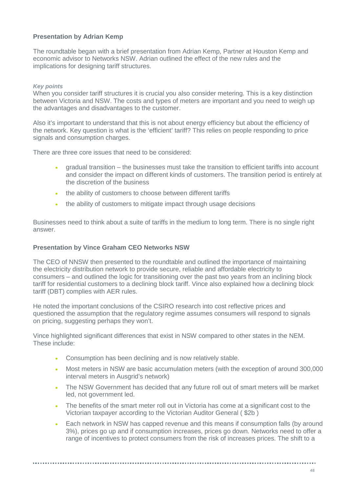### **Presentation by Adrian Kemp**

The roundtable began with a brief presentation from Adrian Kemp, Partner at Houston Kemp and economic advisor to Networks NSW. Adrian outlined the effect of the new rules and the implications for designing tariff structures.

### *Key points*

When you consider tariff structures it is crucial you also consider metering. This is a key distinction between Victoria and NSW. The costs and types of meters are important and you need to weigh up the advantages and disadvantages to the customer.

Also it's important to understand that this is not about energy efficiency but about the efficiency of the network. Key question is what is the 'efficient' tariff? This relies on people responding to price signals and consumption charges.

There are three core issues that need to be considered:

- gradual transition the businesses must take the transition to efficient tariffs into account and consider the impact on different kinds of customers. The transition period is entirely at the discretion of the business
- the ability of customers to choose between different tariffs
- the ability of customers to mitigate impact through usage decisions

Businesses need to think about a suite of tariffs in the medium to long term. There is no single right answer.

### **Presentation by Vince Graham CEO Networks NSW**

The CEO of NNSW then presented to the roundtable and outlined the importance of maintaining the electricity distribution network to provide secure, reliable and affordable electricity to consumers – and outlined the logic for transitioning over the past two years from an inclining block tariff for residential customers to a declining block tariff. Vince also explained how a declining block tariff (DBT) complies with AER rules.

He noted the important conclusions of the CSIRO research into cost reflective prices and questioned the assumption that the regulatory regime assumes consumers will respond to signals on pricing, suggesting perhaps they won't.

Vince highlighted significant differences that exist in NSW compared to other states in the NEM. These include:

- Consumption has been declining and is now relatively stable.
- Most meters in NSW are basic accumulation meters (with the exception of around 300,000 interval meters in Ausgrid's network)
- The NSW Government has decided that any future roll out of smart meters will be market led, not government led.
- The benefits of the smart meter roll out in Victoria has come at a significant cost to the Victorian taxpayer according to the Victorian Auditor General ( \$2b )
- Each network in NSW has capped revenue and this means if consumption falls (by around 3%), prices go up and if consumption increases, prices go down. Networks need to offer a range of incentives to protect consumers from the risk of increases prices. The shift to a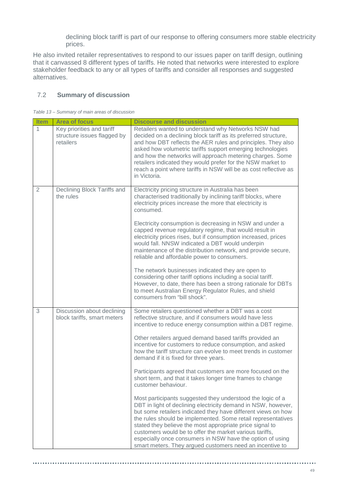declining block tariff is part of our response to offering consumers more stable electricity prices.

He also invited retailer representatives to respond to our issues paper on tariff design, outlining that it canvassed 8 different types of tariffs. He noted that networks were interested to explore stakeholder feedback to any or all types of tariffs and consider all responses and suggested alternatives.

### 7.2 **Summary of discussion**

|  |  |  | Table 13 – Summary of main areas of discussion |
|--|--|--|------------------------------------------------|

| <b>Item</b>    | <b>Area of focus</b>                                                  | <b>Discourse and discussion</b>                                                                                                                                                                                                                                                                                                                                                                                                                                                                                                                                                                                                                                                                                                                                                                                                                                                                                                                                                                                                                                                   |
|----------------|-----------------------------------------------------------------------|-----------------------------------------------------------------------------------------------------------------------------------------------------------------------------------------------------------------------------------------------------------------------------------------------------------------------------------------------------------------------------------------------------------------------------------------------------------------------------------------------------------------------------------------------------------------------------------------------------------------------------------------------------------------------------------------------------------------------------------------------------------------------------------------------------------------------------------------------------------------------------------------------------------------------------------------------------------------------------------------------------------------------------------------------------------------------------------|
| 1              | Key priorities and tariff<br>structure issues flagged by<br>retailers | Retailers wanted to understand why Networks NSW had<br>decided on a declining block tariff as its preferred structure,<br>and how DBT reflects the AER rules and principles. They also<br>asked how volumetric tariffs support emerging technologies<br>and how the networks will approach metering charges. Some<br>retailers indicated they would prefer for the NSW market to<br>reach a point where tariffs in NSW will be as cost reflective as<br>in Victoria.                                                                                                                                                                                                                                                                                                                                                                                                                                                                                                                                                                                                              |
| $\overline{2}$ | Declining Block Tariffs and<br>the rules                              | Electricity pricing structure in Australia has been<br>characterised traditionally by inclining tariff blocks, where<br>electricity prices increase the more that electricity is<br>consumed.<br>Electricity consumption is decreasing in NSW and under a<br>capped revenue regulatory regime, that would result in<br>electricity prices rises, but if consumption increased, prices<br>would fall. NNSW indicated a DBT would underpin<br>maintenance of the distribution network, and provide secure,<br>reliable and affordable power to consumers.<br>The network businesses indicated they are open to<br>considering other tariff options including a social tariff.<br>However, to date, there has been a strong rationale for DBTs<br>to meet Australian Energy Regulator Rules, and shield<br>consumers from "bill shock".                                                                                                                                                                                                                                              |
| 3              | Discussion about declining<br>block tariffs, smart meters             | Some retailers questioned whether a DBT was a cost<br>reflective structure, and if consumers would have less<br>incentive to reduce energy consumption within a DBT regime.<br>Other retailers argued demand based tariffs provided an<br>incentive for customers to reduce consumption, and asked<br>how the tariff structure can evolve to meet trends in customer<br>demand if it is fixed for three years.<br>Participants agreed that customers are more focused on the<br>short term, and that it takes longer time frames to change<br>customer behaviour.<br>Most participants suggested they understood the logic of a<br>DBT in light of declining electricity demand in NSW, however,<br>but some retailers indicated they have different views on how<br>the rules should be implemented. Some retail representatives<br>stated they believe the most appropriate price signal to<br>customers would be to offer the market various tariffs,<br>especially once consumers in NSW have the option of using<br>smart meters. They argued customers need an incentive to |

...................................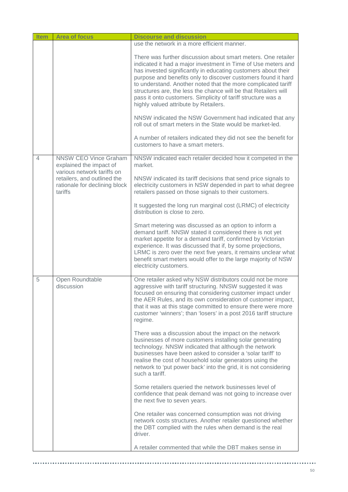| <b>Item</b> | <b>Area of focus</b>                                                                  | <b>Discourse and discussion</b>                                                                                                                                                                                                                                                                                                                                                                                                                                                                               |
|-------------|---------------------------------------------------------------------------------------|---------------------------------------------------------------------------------------------------------------------------------------------------------------------------------------------------------------------------------------------------------------------------------------------------------------------------------------------------------------------------------------------------------------------------------------------------------------------------------------------------------------|
|             |                                                                                       | use the network in a more efficient manner.                                                                                                                                                                                                                                                                                                                                                                                                                                                                   |
|             |                                                                                       | There was further discussion about smart meters. One retailer<br>indicated it had a major investment in Time of Use meters and<br>has invested significantly in educating customers about their<br>purpose and benefits only to discover customers found it hard<br>to understand. Another noted that the more complicated tariff<br>structures are, the less the chance will be that Retailers will<br>pass it onto customers. Simplicity of tariff structure was a<br>highly valued attribute by Retailers. |
|             |                                                                                       | NNSW indicated the NSW Government had indicated that any<br>roll out of smart meters in the State would be market-led.                                                                                                                                                                                                                                                                                                                                                                                        |
|             |                                                                                       | A number of retailers indicated they did not see the benefit for<br>customers to have a smart meters.                                                                                                                                                                                                                                                                                                                                                                                                         |
| 4           | <b>NNSW CEO Vince Graham</b><br>explained the impact of<br>various network tariffs on | NNSW indicated each retailer decided how it competed in the<br>market.                                                                                                                                                                                                                                                                                                                                                                                                                                        |
|             | retailers, and outlined the<br>rationale for declining block<br>tariffs               | NNSW indicated its tariff decisions that send price signals to<br>electricity customers in NSW depended in part to what degree<br>retailers passed on those signals to their customers.                                                                                                                                                                                                                                                                                                                       |
|             |                                                                                       | It suggested the long run marginal cost (LRMC) of electricity<br>distribution is close to zero.                                                                                                                                                                                                                                                                                                                                                                                                               |
|             |                                                                                       | Smart metering was discussed as an option to inform a<br>demand tariff. NNSW stated it considered there is not yet<br>market appetite for a demand tariff, confirmed by Victorian<br>experience. It was discussed that if, by some projections,<br>LRMC is zero over the next five years, it remains unclear what<br>benefit smart meters would offer to the large majority of NSW<br>electricity customers.                                                                                                  |
| 5           | Open Roundtable<br>discussion                                                         | One retailer asked why NSW distributors could not be more<br>aggressive with tariff structuring. NNSW suggested it was<br>focused on ensuring that considering customer impact under<br>the AER Rules, and its own consideration of customer impact,<br>that it was at this stage committed to ensure there were more<br>customer 'winners'; than 'losers' in a post 2016 tariff structure<br>regime.                                                                                                         |
|             |                                                                                       | There was a discussion about the impact on the network<br>businesses of more customers installing solar generating<br>technology. NNSW indicated that although the network<br>businesses have been asked to consider a 'solar tariff' to<br>realise the cost of household solar generators using the<br>network to 'put power back' into the grid, it is not considering<br>such a tariff.                                                                                                                    |
|             |                                                                                       | Some retailers queried the network businesses level of<br>confidence that peak demand was not going to increase over<br>the next five to seven years.                                                                                                                                                                                                                                                                                                                                                         |
|             |                                                                                       | One retailer was concerned consumption was not driving<br>network costs structures. Another retailer questioned whether<br>the DBT complied with the rules when demand is the real<br>driver.                                                                                                                                                                                                                                                                                                                 |
|             |                                                                                       | A retailer commented that while the DBT makes sense in                                                                                                                                                                                                                                                                                                                                                                                                                                                        |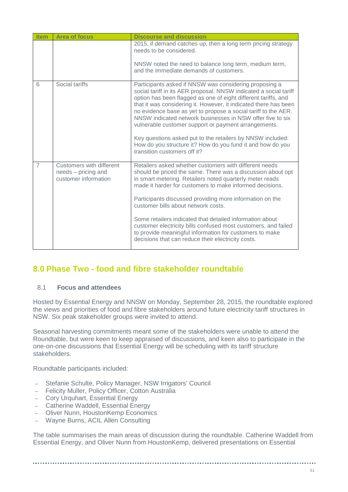| <b>Item</b>    | <b>Area of focus</b>                                                    | <b>Discourse and discussion</b>                                                                                                                                                                                                                                                                                                                                                                                                                                                                                                                                                                                       |
|----------------|-------------------------------------------------------------------------|-----------------------------------------------------------------------------------------------------------------------------------------------------------------------------------------------------------------------------------------------------------------------------------------------------------------------------------------------------------------------------------------------------------------------------------------------------------------------------------------------------------------------------------------------------------------------------------------------------------------------|
|                |                                                                         | 2015, if demand catches up, then a long term pricing strategy<br>needs to be considered.                                                                                                                                                                                                                                                                                                                                                                                                                                                                                                                              |
|                |                                                                         | NNSW noted the need to balance long term, medium term,<br>and the immediate demands of customers.                                                                                                                                                                                                                                                                                                                                                                                                                                                                                                                     |
| 6              | Social tariffs                                                          | Participants asked if NNSW was considering proposing a<br>social tariff in its AER proposal. NNSW indicated a social tariff<br>option has been flagged as one of eight different tariffs, and<br>that it was considering it. However, it indicated there has been<br>no evidence base as yet to propose a social tariff to the AER.<br>NNSW indicated network businesses in NSW offer five to six<br>vulnerable customer support or payment arrangements.<br>Key questions asked put to the retailers by NNSW included:<br>How do you structure it? How do you fund it and how do you<br>transition customers off it? |
| $\overline{7}$ | Customers with different<br>needs - pricing and<br>customer information | Retailers asked whether customers with different needs<br>should be priced the same. There was a discussion about opt<br>in smart metering. Retailers noted quarterly meter reads<br>made it harder for customers to make informed decisions.<br>Participants discussed providing more information on the<br>customer bills about network costs.<br>Some retailers indicated that detailed information about<br>customer electricity bills confused most customers, and failed<br>to provide meaningful information for customers to make<br>decisions that can reduce their electricity costs.                       |

## **8.0 Phase Two - food and fibre stakeholder roundtable**

### 8.1 **Focus and attendees**

Hosted by Essential Energy and NNSW on Monday, September 28, 2015, the roundtable explored the views and priorities of food and fibre stakeholders around future electricity tariff structures in NSW. Six peak stakeholder groups were invited to attend.

Seasonal harvesting commitments meant some of the stakeholders were unable to attend the Roundtable, but were keen to keep appraised of discussions, and keen also to participate in the one-on-one discussions that Essential Energy will be scheduling with its tariff structure stakeholders.

Roundtable participants included:

- Stefanie Schulte, Policy Manager, NSW Irrigators' Council
- Felicity Muller, Policy Officer, Cotton Australia
- Cory Urquhart, Essential Energy
- Catherine Waddell, Essential Energy
- Oliver Nunn, HoustonKemp Economics
- Wayne Burns, ACIL Allen Consulting

The table summarises the main areas of discussion during the roundtable. Catherine Waddell from Essential Energy, and Oliver Nunn from HoustonKemp, delivered presentations on Essential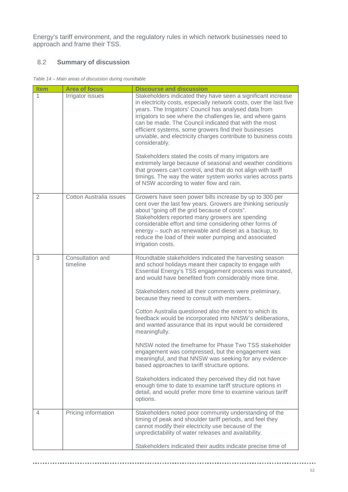Energy's tariff environment, and the regulatory rules in which network businesses need to approach and frame their TSS.

### 8.2 **Summary of discussion**

*Table 14 – Main areas of discussion during roundtable*

| <b>Item</b>    | <b>Area of focus</b>           | <b>Discourse and discussion</b>                                                                                                                                                                                                                                                                                                                                                                                                                                                                                                                                                                                                                                                                                                                                                                                                                                                                                                                                                       |
|----------------|--------------------------------|---------------------------------------------------------------------------------------------------------------------------------------------------------------------------------------------------------------------------------------------------------------------------------------------------------------------------------------------------------------------------------------------------------------------------------------------------------------------------------------------------------------------------------------------------------------------------------------------------------------------------------------------------------------------------------------------------------------------------------------------------------------------------------------------------------------------------------------------------------------------------------------------------------------------------------------------------------------------------------------|
| 1              | Irrigator issues               | Stakeholders indicated they have seen a significant increase<br>in electricity costs, especially network costs, over the last five<br>years. The Irrigators' Council has analysed data from<br>irrigators to see where the challenges lie, and where gains<br>can be made. The Council indicated that with the most<br>efficient systems, some growers find their businesses<br>unviable, and electricity charges contribute to business costs<br>considerably.<br>Stakeholders stated the costs of many irrigators are<br>extremely large because of seasonal and weather conditions<br>that growers can't control, and that do not align with tariff<br>timings. The way the water system works varies across parts<br>of NSW according to water flow and rain.                                                                                                                                                                                                                     |
| $\overline{2}$ | <b>Cotton Australia issues</b> | Growers have seen power bills increase by up to 300 per<br>cent over the last few years. Growers are thinking seriously<br>about "going off the grid because of costs".<br>Stakeholders reported many growers are spending<br>considerable effort and time considering other forms of<br>energy - such as renewable and diesel as a backup, to<br>reduce the load of their water pumping and associated<br>irrigation costs.                                                                                                                                                                                                                                                                                                                                                                                                                                                                                                                                                          |
| 3              | Consultation and<br>timeline   | Roundtable stakeholders indicated the harvesting season<br>and school holidays meant their capacity to engage with<br>Essential Energy's TSS engagement process was truncated,<br>and would have benefited from considerably more time.<br>Stakeholders noted all their comments were preliminary,<br>because they need to consult with members.<br>Cotton Australia questioned also the extent to which its<br>feedback would be incorporated into NNSW's deliberations,<br>and wanted assurance that its input would be considered<br>meaningfully.<br>NNSW noted the timeframe for Phase Two TSS stakeholder<br>engagement was compressed, but the engagement was<br>meaningful, and that NNSW was seeking for any evidence-<br>based approaches to tariff structure options.<br>Stakeholders indicated they perceived they did not have<br>enough time to date to examine tariff structure options in<br>detail, and would prefer more time to examine various tariff<br>options. |
| 4              | Pricing information            | Stakeholders noted poor community understanding of the<br>timing of peak and shoulder tariff periods, and feel they<br>cannot modify their electricity use because of the<br>unpredictability of water releases and availability.<br>Stakeholders indicated their audits indicate precise time of                                                                                                                                                                                                                                                                                                                                                                                                                                                                                                                                                                                                                                                                                     |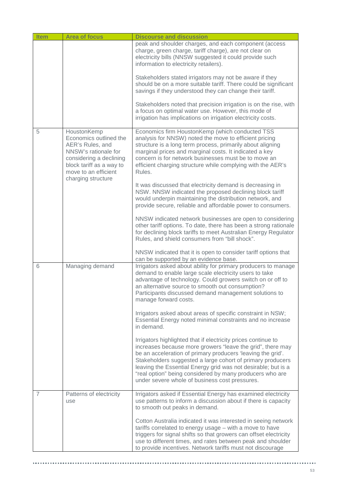| <b>Item</b> | <b>Area of focus</b>                                                                                                                                                                   | <b>Discourse and discussion</b>                                                                                                                                                                                                                                                                                                                                                                                                         |
|-------------|----------------------------------------------------------------------------------------------------------------------------------------------------------------------------------------|-----------------------------------------------------------------------------------------------------------------------------------------------------------------------------------------------------------------------------------------------------------------------------------------------------------------------------------------------------------------------------------------------------------------------------------------|
|             |                                                                                                                                                                                        | peak and shoulder charges, and each component (access<br>charge, green charge, tariff charge), are not clear on<br>electricity bills (NNSW suggested it could provide such<br>information to electricity retailers).                                                                                                                                                                                                                    |
|             |                                                                                                                                                                                        | Stakeholders stated irrigators may not be aware if they<br>should be on a more suitable tariff. There could be significant<br>savings if they understood they can change their tariff.                                                                                                                                                                                                                                                  |
|             |                                                                                                                                                                                        | Stakeholders noted that precision irrigation is on the rise, with<br>a focus on optimal water use. However, this mode of<br>irrigation has implications on irrigation electricity costs.                                                                                                                                                                                                                                                |
| 5           | HoustonKemp<br>Economics outlined the<br>AER's Rules, and<br>NNSW's rationale for<br>considering a declining<br>block tariff as a way to<br>move to an efficient<br>charging structure | Economics firm HoustonKemp (which conducted TSS<br>analysis for NNSW) noted the move to efficient pricing<br>structure is a long term process, primarily about aligning<br>marginal prices and marginal costs. It indicated a key<br>concern is for network businesses must be to move an<br>efficient charging structure while complying with the AER's<br>Rules.                                                                      |
|             |                                                                                                                                                                                        | It was discussed that electricity demand is decreasing in<br>NSW. NNSW indicated the proposed declining block tariff<br>would underpin maintaining the distribution network, and<br>provide secure, reliable and affordable power to consumers.                                                                                                                                                                                         |
|             |                                                                                                                                                                                        | NNSW indicated network businesses are open to considering<br>other tariff options. To date, there has been a strong rationale<br>for declining block tariffs to meet Australian Energy Regulator<br>Rules, and shield consumers from "bill shock".                                                                                                                                                                                      |
|             |                                                                                                                                                                                        | NNSW indicated that it is open to consider tariff options that<br>can be supported by an evidence base.                                                                                                                                                                                                                                                                                                                                 |
| 6           | Managing demand                                                                                                                                                                        | Irrigators asked about ability for primary producers to manage<br>demand to enable large scale electricity users to take<br>advantage of technology. Could growers switch on or off to<br>an alternative source to smooth out consumption?<br>Participants discussed demand management solutions to<br>manage forward costs.                                                                                                            |
|             |                                                                                                                                                                                        | Irrigators asked about areas of specific constraint in NSW;<br>Essential Energy noted minimal constraints and no increase<br>in demand.                                                                                                                                                                                                                                                                                                 |
|             |                                                                                                                                                                                        | Irrigators highlighted that if electricity prices continue to<br>increases because more growers "leave the grid", there may<br>be an acceleration of primary producers 'leaving the grid'.<br>Stakeholders suggested a large cohort of primary producers<br>leaving the Essential Energy grid was not desirable; but is a<br>"real option" being considered by many producers who are<br>under severe whole of business cost pressures. |
| 7           | Patterns of electricity<br>use                                                                                                                                                         | Irrigators asked if Essential Energy has examined electricity<br>use patterns to inform a discussion about if there is capacity<br>to smooth out peaks in demand.                                                                                                                                                                                                                                                                       |
|             |                                                                                                                                                                                        | Cotton Australia indicated it was interested in seeing network<br>tariffs correlated to energy usage - with a move to have<br>triggers for signal shifts so that growers can offset electricity<br>use to different times, and rates between peak and shoulder<br>to provide incentives. Network tariffs must not discourage                                                                                                            |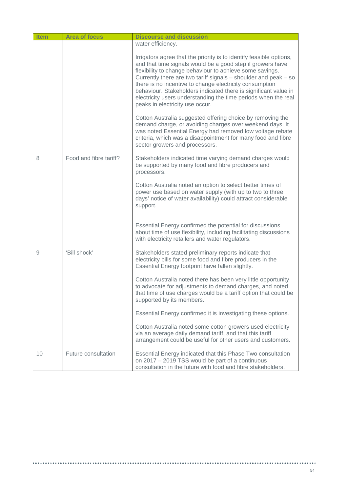| <b>Item</b> | <b>Area of focus</b>   | <b>Discourse and discussion</b>                                                                                                                                                                                                                                                                                                                                                                                                                                                                     |
|-------------|------------------------|-----------------------------------------------------------------------------------------------------------------------------------------------------------------------------------------------------------------------------------------------------------------------------------------------------------------------------------------------------------------------------------------------------------------------------------------------------------------------------------------------------|
|             |                        | water efficiency.                                                                                                                                                                                                                                                                                                                                                                                                                                                                                   |
|             |                        | Irrigators agree that the priority is to identify feasible options,<br>and that time signals would be a good step if growers have<br>flexibility to change behaviour to achieve some savings.<br>Currently there are two tariff signals - shoulder and peak - so<br>there is no incentive to change electricity consumption<br>behaviour. Stakeholders indicated there is significant value in<br>electricity users understanding the time periods when the real<br>peaks in electricity use occur. |
|             |                        | Cotton Australia suggested offering choice by removing the<br>demand charge, or avoiding charges over weekend days. It<br>was noted Essential Energy had removed low voltage rebate<br>criteria, which was a disappointment for many food and fibre<br>sector growers and processors.                                                                                                                                                                                                               |
| 8           | Food and fibre tariff? | Stakeholders indicated time varying demand charges would<br>be supported by many food and fibre producers and<br>processors.                                                                                                                                                                                                                                                                                                                                                                        |
|             |                        | Cotton Australia noted an option to select better times of<br>power use based on water supply (with up to two to three<br>days' notice of water availability) could attract considerable<br>support.                                                                                                                                                                                                                                                                                                |
|             |                        | Essential Energy confirmed the potential for discussions<br>about time of use flexibility, including facilitating discussions<br>with electricity retailers and water regulators.                                                                                                                                                                                                                                                                                                                   |
| 9           | 'Bill shock'           | Stakeholders stated preliminary reports indicate that<br>electricity bills for some food and fibre producers in the<br>Essential Energy footprint have fallen slightly.                                                                                                                                                                                                                                                                                                                             |
|             |                        | Cotton Australia noted there has been very little opportunity<br>to advocate for adjustments to demand charges, and noted<br>that time of use charges would be a tariff option that could be<br>supported by its members.                                                                                                                                                                                                                                                                           |
|             |                        | Essential Energy confirmed it is investigating these options.                                                                                                                                                                                                                                                                                                                                                                                                                                       |
|             |                        | Cotton Australia noted some cotton growers used electricity<br>via an average daily demand tariff, and that this tariff<br>arrangement could be useful for other users and customers.                                                                                                                                                                                                                                                                                                               |
| 10          | Future consultation    | Essential Energy indicated that this Phase Two consultation<br>on 2017 - 2019 TSS would be part of a continuous<br>consultation in the future with food and fibre stakeholders.                                                                                                                                                                                                                                                                                                                     |

.....................................

..........................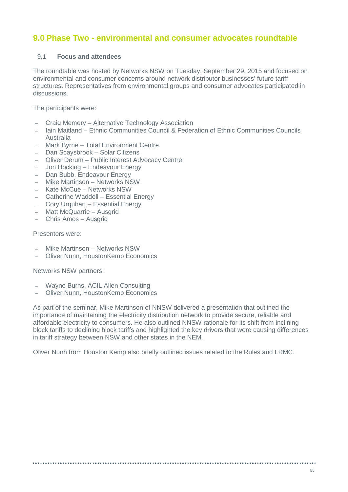## **9.0 Phase Two - environmental and consumer advocates roundtable**

### 9.1 **Focus and attendees**

The roundtable was hosted by Networks NSW on Tuesday, September 29, 2015 and focused on environmental and consumer concerns around network distributor businesses' future tariff structures. Representatives from environmental groups and consumer advocates participated in discussions.

The participants were:

- Craig Memery Alternative Technology Association
- Iain Maitland Ethnic Communities Council & Federation of Ethnic Communities Councils Australia
- Mark Byrne Total Environment Centre
- Dan Scaysbrook Solar Citizens
- Oliver Derum Public Interest Advocacy Centre
- Jon Hocking Endeavour Energy
- Dan Bubb, Endeavour Energy
- Mike Martinson Networks NSW
- Kate McCue Networks NSW
- Catherine Waddell Essential Energy
- Cory Urquhart Essential Energy
- Matt McQuarrie Ausgrid
- Chris Amos Ausgrid

### Presenters were:

- Mike Martinson Networks NSW
- Oliver Nunn, HoustonKemp Economics

Networks NSW partners:

- Wayne Burns, ACIL Allen Consulting
- Oliver Nunn, HoustonKemp Economics

As part of the seminar, Mike Martinson of NNSW delivered a presentation that outlined the importance of maintaining the electricity distribution network to provide secure, reliable and affordable electricity to consumers. He also outlined NNSW rationale for its shift from inclining block tariffs to declining block tariffs and highlighted the key drivers that were causing differences in tariff strategy between NSW and other states in the NEM.

Oliver Nunn from Houston Kemp also briefly outlined issues related to the Rules and LRMC.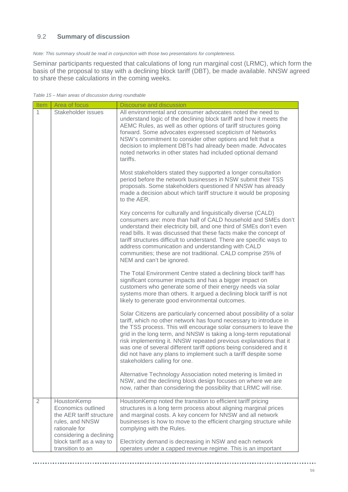### 9.2 **Summary of discussion**

*Note: This summary should be read in conjunction with those two presentations for completeness.*

Seminar participants requested that calculations of long run marginal cost (LRMC), which form the basis of the proposal to stay with a declining block tariff (DBT), be made available. NNSW agreed to share these calculations in the coming weeks.

*Table 15 – Main areas of discussion during roundtable*

| Item           | Area of focus                                                                                                                | Discourse and discussion                                                                                                                                                                                                                                                                                                                                                                                                                                                                                                               |
|----------------|------------------------------------------------------------------------------------------------------------------------------|----------------------------------------------------------------------------------------------------------------------------------------------------------------------------------------------------------------------------------------------------------------------------------------------------------------------------------------------------------------------------------------------------------------------------------------------------------------------------------------------------------------------------------------|
| 1              | Stakeholder issues                                                                                                           | All environmental and consumer advocates noted the need to<br>understand logic of the declining block tariff and how it meets the<br>AEMC Rules, as well as other options of tariff structures going<br>forward. Some advocates expressed scepticism of Networks<br>NSW's commitment to consider other options and felt that a<br>decision to implement DBTs had already been made. Advocates<br>noted networks in other states had included optional demand<br>tariffs.                                                               |
|                |                                                                                                                              | Most stakeholders stated they supported a longer consultation<br>period before the network businesses in NSW submit their TSS<br>proposals. Some stakeholders questioned if NNSW has already<br>made a decision about which tariff structure it would be proposing<br>to the AER.                                                                                                                                                                                                                                                      |
|                |                                                                                                                              | Key concerns for culturally and linguistically diverse (CALD)<br>consumers are: more than half of CALD household and SMEs don't<br>understand their electricity bill, and one third of SMEs don't even<br>read bills. It was discussed that these facts make the concept of<br>tariff structures difficult to understand. There are specific ways to<br>address communication and understanding with CALD<br>communities; these are not traditional. CALD comprise 25% of<br>NEM and can't be ignored.                                 |
|                |                                                                                                                              | The Total Environment Centre stated a declining block tariff has<br>significant consumer impacts and has a bigger impact on<br>customers who generate some of their energy needs via solar<br>systems more than others. It argued a declining block tariff is not<br>likely to generate good environmental outcomes.                                                                                                                                                                                                                   |
|                |                                                                                                                              | Solar Citizens are particularly concerned about possibility of a solar<br>tariff, which no other network has found necessary to introduce in<br>the TSS process. This will encourage solar consumers to leave the<br>grid in the long term, and NNSW is taking a long-term reputational<br>risk implementing it. NNSW repeated previous explanations that it<br>was one of several different tariff options being considered and it<br>did not have any plans to implement such a tariff despite some<br>stakeholders calling for one. |
|                |                                                                                                                              | Alternative Technology Association noted metering is limited in<br>NSW, and the declining block design focuses on where we are<br>now, rather than considering the possibility that LRMC will rise.                                                                                                                                                                                                                                                                                                                                    |
| $\overline{2}$ | HoustonKemp<br>Economics outlined<br>the AER tariff structure<br>rules, and NNSW<br>rationale for<br>considering a declining | HoustonKemp noted the transition to efficient tariff pricing<br>structures is a long term process about aligning marginal prices<br>and marginal costs. A key concern for NNSW and all network<br>businesses is how to move to the efficient charging structure while<br>complying with the Rules.                                                                                                                                                                                                                                     |
|                | block tariff as a way to<br>transition to an                                                                                 | Electricity demand is decreasing in NSW and each network<br>operates under a capped revenue regime. This is an important                                                                                                                                                                                                                                                                                                                                                                                                               |

................

................................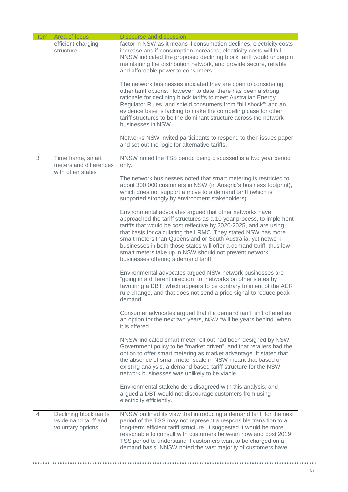| ltem | Area of focus                                                        | Discourse and discussion                                                                                                                                                                                                                                                                                                                                                                                                                                                                                       |
|------|----------------------------------------------------------------------|----------------------------------------------------------------------------------------------------------------------------------------------------------------------------------------------------------------------------------------------------------------------------------------------------------------------------------------------------------------------------------------------------------------------------------------------------------------------------------------------------------------|
|      | efficient charging<br>structure                                      | factor in NSW as it means if consumption declines, electricity costs<br>increase and if consumption increases, electricity costs will fall.<br>NNSW indicated the proposed declining block tariff would underpin<br>maintaining the distribution network, and provide secure, reliable<br>and affordable power to consumers.                                                                                                                                                                                   |
|      |                                                                      | The network businesses indicated they are open to considering<br>other tariff options. However, to date, there has been a strong<br>rationale for declining block tariffs to meet Australian Energy<br>Regulator Rules, and shield consumers from "bill shock"; and an<br>evidence base is lacking to make the compelling case for other<br>tariff structures to be the dominant structure across the network<br>businesses in NSW.                                                                            |
|      |                                                                      | Networks NSW invited participants to respond to their issues paper<br>and set out the logic for alternative tariffs.                                                                                                                                                                                                                                                                                                                                                                                           |
| 3    | Time frame, smart<br>meters and differences<br>with other states     | NNSW noted the TSS period being discussed is a two year period<br>only.                                                                                                                                                                                                                                                                                                                                                                                                                                        |
|      |                                                                      | The network businesses noted that smart metering is restricted to<br>about 300,000 customers in NSW (in Ausgrid's business footprint),<br>which does not support a move to a demand tariff (which is<br>supported strongly by environment stakeholders).                                                                                                                                                                                                                                                       |
|      |                                                                      | Environmental advocates argued that other networks have<br>approached the tariff structures as a 10 year process, to implement<br>tariffs that would be cost reflective by 2020-2025, and are using<br>that basis for calculating the LRMC. They stated NSW has more<br>smart meters than Queensland or South Australia, yet network<br>businesses in both those states will offer a demand tariff, thus low<br>smart meters take up in NSW should not prevent network<br>businesses offering a demand tariff. |
|      |                                                                      | Environmental advocates argued NSW network businesses are<br>"going in a different direction" to networks on other states by<br>favouring a DBT, which appears to be contrary to intent of the AER<br>rule change, and that does not send a price signal to reduce peak<br>demand.                                                                                                                                                                                                                             |
|      |                                                                      | Consumer advocates argued that if a demand tariff isn't offered as<br>an option for the next two years, NSW "will be years behind" when<br>it is offered.                                                                                                                                                                                                                                                                                                                                                      |
|      |                                                                      | NNSW indicated smart meter roll out had been designed by NSW<br>Government policy to be "market driven", and that retailers had the<br>option to offer smart metering as market advantage. It stated that<br>the absence of smart meter scale in NSW meant that based on<br>existing analysis, a demand-based tariff structure for the NSW<br>network businesses was unlikely to be viable.                                                                                                                    |
|      |                                                                      | Environmental stakeholders disagreed with this analysis, and<br>argued a DBT would not discourage customers from using<br>electricity efficiently.                                                                                                                                                                                                                                                                                                                                                             |
| 4    | Declining block tariffs<br>vs demand tariff and<br>voluntary options | NNSW outlined its view that introducing a demand tariff for the next<br>period of the TSS may not represent a responsible transition to a<br>long-term efficient tariff structure. It suggested it would be more<br>reasonable to consult with customers between now and post 2019<br>TSS period to understand if customers want to be charged on a<br>demand basis. NNSW noted the vast majority of customers have                                                                                            |

 $\alpha$  and

......

. . . . . . . . . . . . . . . . . . .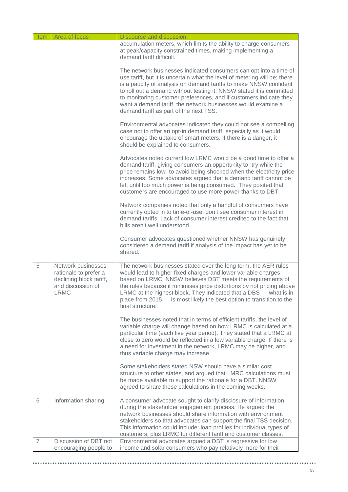| Item           | Area of focus                                                                                              | Discourse and discussion                                                                                                                                                                                                                                                                                                                                                                                                                                                    |
|----------------|------------------------------------------------------------------------------------------------------------|-----------------------------------------------------------------------------------------------------------------------------------------------------------------------------------------------------------------------------------------------------------------------------------------------------------------------------------------------------------------------------------------------------------------------------------------------------------------------------|
|                |                                                                                                            | accumulation meters, which limits the ability to charge consumers<br>at peak/capacity constrained times, making implementing a<br>demand tariff difficult.                                                                                                                                                                                                                                                                                                                  |
|                |                                                                                                            | The network businesses indicated consumers can opt into a time of<br>use tariff, but it is uncertain what the level of metering will be; there<br>is a paucity of analysis on demand tariffs to make NNSW confident<br>to roll out a demand without testing it. NNSW stated it is committed<br>to monitoring customer preferences, and if customers indicate they<br>want a demand tariff, the network businesses would examine a<br>demand tariff as part of the next TSS. |
|                |                                                                                                            | Environmental advocates indicated they could not see a compelling<br>case not to offer an opt-in demand tariff, especially as it would<br>encourage the uptake of smart meters. If there is a danger, it<br>should be explained to consumers.                                                                                                                                                                                                                               |
|                |                                                                                                            | Advocates noted current low LRMC would be a good time to offer a<br>demand tariff, giving consumers an opportunity to "try while the<br>price remains low" to avoid being shocked when the electricity price<br>increases. Some advocates argued that a demand tariff cannot be<br>left until too much power is being consumed. They posited that<br>customers are encouraged to use more power thanks to DBT.                                                              |
|                |                                                                                                            | Network companies noted that only a handful of consumers have<br>currently opted in to time-of-use; don't see consumer interest in<br>demand tariffs. Lack of consumer interest credited to the fact that<br>bills aren't well understood.                                                                                                                                                                                                                                  |
|                |                                                                                                            | Consumer advocates questioned whether NNSW has genuinely<br>considered a demand tariff if analysis of the impact has yet to be<br>shared.                                                                                                                                                                                                                                                                                                                                   |
| 5              | Network businesses<br>rationale to prefer a<br>declining block tariff,<br>and discussion of<br><b>LRMC</b> | The network businesses stated over the long term, the AER rules<br>would lead to higher fixed charges and lower variable charges<br>based on LRMC. NNSW believes DBT meets the requirements of<br>the rules because it minimises price distortions by not pricing above<br>LRMC at the highest block. They indicated that a DBS - what is in<br>place from 2015 - is most likely the best option to transition to the<br>final structure.                                   |
|                |                                                                                                            | The businesses noted that in terms of efficient tariffs, the level of<br>variable charge will change based on how LRMC is calculated at a<br>particular time (each five year period). They stated that a LRMC at<br>close to zero would be reflected in a low variable charge. If there is<br>a need for investment in the network, LRMC may be higher, and<br>thus variable charge may increase.                                                                           |
|                |                                                                                                            | Some stakeholders stated NSW should have a similar cost<br>structure to other states, and argued that LMRC calculations must<br>be made available to support the rationale for a DBT. NNSW<br>agreed to share these calculations in the coming weeks.                                                                                                                                                                                                                       |
| 6              | Information sharing                                                                                        | A consumer advocate sought to clarify disclosure of information<br>during the stakeholder engagement process. He argued the<br>network businesses should share information with environment<br>stakeholders so that advocates can support the final TSS decision.<br>This information could include: load profiles for individual types of<br>customers, plus LRMC for different tariff and customer classes.                                                               |
| $\overline{7}$ | Discussion of DBT not<br>encouraging people to                                                             | Environmental advocates argued a DBT is regressive for low<br>income and solar consumers who pay relatively more for their                                                                                                                                                                                                                                                                                                                                                  |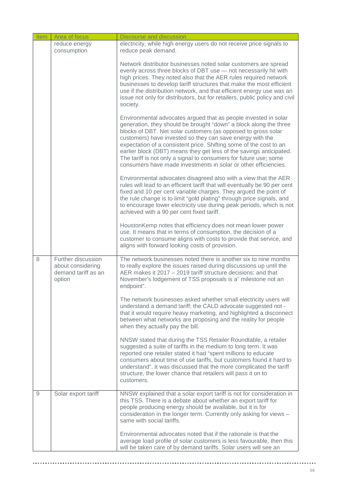| ltem | Area of focus                                                            | <b>Discourse and discussion</b>                                                                                                                                                                                                                                                                                                                                                                                                                                                                                                                         |
|------|--------------------------------------------------------------------------|---------------------------------------------------------------------------------------------------------------------------------------------------------------------------------------------------------------------------------------------------------------------------------------------------------------------------------------------------------------------------------------------------------------------------------------------------------------------------------------------------------------------------------------------------------|
|      | reduce energy<br>consumption                                             | electricity, while high energy users do not receive price signals to<br>reduce peak demand.                                                                                                                                                                                                                                                                                                                                                                                                                                                             |
|      |                                                                          | Network distributor businesses noted solar customers are spread<br>evenly across three blocks of DBT use - not necessarily hit with<br>high prices. They noted also that the AER rules required network<br>businesses to develop tariff structures that make the most efficient<br>use if the distribution network, and that efficient energy use was an<br>issue not only for distributors, but for retailers, public policy and civil<br>society.                                                                                                     |
|      |                                                                          | Environmental advocates argued that as people invested in solar<br>generation, they should be brought "down" a block along the three<br>blocks of DBT. Net solar customers (as opposed to gross solar<br>customers) have invested so they can save energy with the<br>expectation of a consistent price. Shifting some of the cost to an<br>earlier block (DBT) means they get less of the savings anticipated.<br>The tariff is not only a signal to consumers for future use; some<br>consumers have made investments in solar or other efficiencies. |
|      |                                                                          | Environmental advocates disagreed also with a view that the AER<br>rules will lead to an efficient tariff that will eventually be 90 per cent<br>fixed and 10 per cent variable charges. They argued the point of<br>the rule change is to limit "gold plating" through price signals, and<br>to encourage lower electricity use during peak periods, which is not<br>achieved with a 90 per cent fixed tariff.                                                                                                                                         |
|      |                                                                          | Houston Kemp notes that efficiency does not mean lower power<br>use. It means that in terms of consumption, the decision of a<br>customer to consume aligns with costs to provide that service, and<br>aligns with forward looking costs of provision.                                                                                                                                                                                                                                                                                                  |
| 8    | Further discussion<br>about considering<br>demand tariff as an<br>option | The network businesses noted there is another six to nine months<br>to really explore the issues raised during discussions up until the<br>AER makes it 2017 - 2019 tariff structure decisions; and that<br>November's lodgement of TSS proposals is a" milestone not an<br>endpoint".                                                                                                                                                                                                                                                                  |
|      |                                                                          | The network businesses asked whether small electricity users will<br>understand a demand tariff; the CALD advocate suggested not -<br>that it would require heavy marketing, and highlighted a disconnect<br>between what networks are proposing and the reality for people<br>when they actually pay the bill.                                                                                                                                                                                                                                         |
|      |                                                                          | NNSW stated that during the TSS Retailer Roundtable, a retailer<br>suggested a suite of tariffs in the medium to long term. It was<br>reported one retailer stated it had "spent millions to educate<br>consumers about time of use tariffs, but customers found it hard to<br>understand". It was discussed that the more complicated the tariff<br>structure, the lower chance that retailers will pass it on to<br>customers.                                                                                                                        |
| 9    | Solar export tariff                                                      | NNSW explained that a solar export tariff is not for consideration in<br>this TSS. There is a debate about whether an export tariff for<br>people producing energy should be available, but it is for<br>consideration in the longer term. Currently only asking for views -<br>same with social tariffs.                                                                                                                                                                                                                                               |
|      |                                                                          | Environmental advocates noted that if the rationale is that the<br>average load profile of solar customers is less favourable, then this<br>will be taken care of by demand tariffs. Solar users will see an                                                                                                                                                                                                                                                                                                                                            |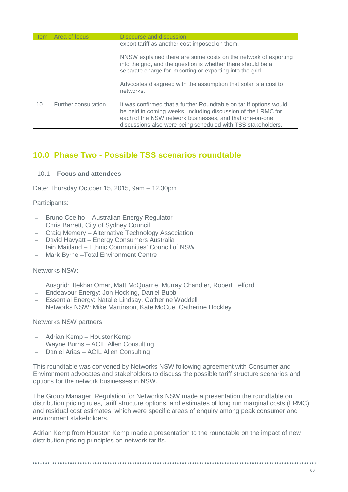| <b>Item</b> | Area of focus        | Discourse and discussion                                                                                                                                                                                                                                                                                                       |
|-------------|----------------------|--------------------------------------------------------------------------------------------------------------------------------------------------------------------------------------------------------------------------------------------------------------------------------------------------------------------------------|
|             |                      | export tariff as another cost imposed on them.<br>NNSW explained there are some costs on the network of exporting<br>into the grid, and the question is whether there should be a<br>separate charge for importing or exporting into the grid.<br>Advocates disagreed with the assumption that solar is a cost to<br>networks. |
| 10          | Further consultation | It was confirmed that a further Roundtable on tariff options would<br>be held in coming weeks, including discussion of the LRMC for<br>each of the NSW network businesses, and that one-on-one<br>discussions also were being scheduled with TSS stakeholders.                                                                 |

# **10.0 Phase Two - Possible TSS scenarios roundtable**

### 10.1 **Focus and attendees**

Date: Thursday October 15, 2015, 9am – 12.30pm

### Participants:

- Bruno Coelho Australian Energy Regulator
- Chris Barrett, City of Sydney Council
- Craig Memery Alternative Technology Association
- David Havyatt Energy Consumers Australia
- Iain Maitland Ethnic Communities' Council of NSW
- Mark Byrne –Total Environment Centre

#### Networks NSW:

- Ausgrid: Iftekhar Omar, Matt McQuarrie, Murray Chandler, Robert Telford
- Endeavour Energy: Jon Hocking, Daniel Bubb
- Essential Energy: Natalie Lindsay, Catherine Waddell
- Networks NSW: Mike Martinson, Kate McCue, Catherine Hockley

Networks NSW partners:

- Adrian Kemp HoustonKemp
- Wayne Burns ACIL Allen Consulting
- Daniel Arias ACIL Allen Consulting

This roundtable was convened by Networks NSW following agreement with Consumer and Environment advocates and stakeholders to discuss the possible tariff structure scenarios and options for the network businesses in NSW.

The Group Manager, Regulation for Networks NSW made a presentation the roundtable on distribution pricing rules, tariff structure options, and estimates of long run marginal costs (LRMC) and residual cost estimates, which were specific areas of enquiry among peak consumer and environment stakeholders.

Adrian Kemp from Houston Kemp made a presentation to the roundtable on the impact of new distribution pricing principles on network tariffs.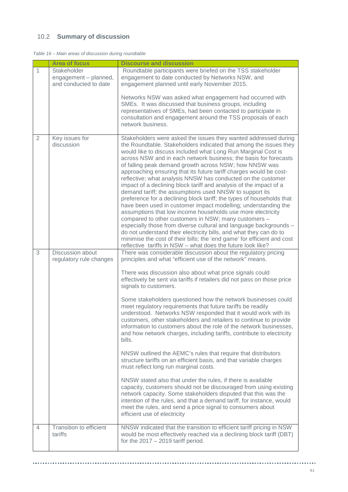## 10.2 **Summary of discussion**

|  |  | Table 16 – Main areas of discussion during roundtable |  |
|--|--|-------------------------------------------------------|--|
|  |  |                                                       |  |

|   | <b>Area of focus</b>                                          | <b>Discourse and discussion</b>                                                                                                                                                                                                                                                                                                                                                                                                                                                                                                                                                                                                                                                                                                                                                                                                                                                                                                                                                                                                                                                                                                                                   |
|---|---------------------------------------------------------------|-------------------------------------------------------------------------------------------------------------------------------------------------------------------------------------------------------------------------------------------------------------------------------------------------------------------------------------------------------------------------------------------------------------------------------------------------------------------------------------------------------------------------------------------------------------------------------------------------------------------------------------------------------------------------------------------------------------------------------------------------------------------------------------------------------------------------------------------------------------------------------------------------------------------------------------------------------------------------------------------------------------------------------------------------------------------------------------------------------------------------------------------------------------------|
| 1 | Stakeholder<br>engagement - planned,<br>and conducted to date | Roundtable participants were briefed on the TSS stakeholder<br>engagement to date conducted by Networks NSW, and<br>engagement planned until early November 2015.                                                                                                                                                                                                                                                                                                                                                                                                                                                                                                                                                                                                                                                                                                                                                                                                                                                                                                                                                                                                 |
|   |                                                               | Networks NSW was asked what engagement had occurred with<br>SMEs. It was discussed that business groups, including<br>representatives of SMEs, had been contacted to participate in<br>consultation and engagement around the TSS proposals of each<br>network business.                                                                                                                                                                                                                                                                                                                                                                                                                                                                                                                                                                                                                                                                                                                                                                                                                                                                                          |
| 2 | Key issues for<br>discussion                                  | Stakeholders were asked the issues they wanted addressed during<br>the Roundtable. Stakeholders indicated that among the issues they<br>would like to discuss included what Long Run Marginal Cost is<br>across NSW and in each network business; the basis for forecasts<br>of falling peak demand growth across NSW; how NNSW was<br>approaching ensuring that its future tariff charges would be cost-<br>reflective; what analysis NNSW has conducted on the customer<br>impact of a declining block tariff and analysis of the impact of a<br>demand tariff; the assumptions used NNSW to support its<br>preference for a declining block tariff; the types of households that<br>have been used in customer impact modelling; understanding the<br>assumptions that low income households use more electricity<br>compared to other customers in NSW; many customers -<br>especially those from diverse cultural and language backgrounds -<br>do not understand their electricity bills, and what they can do to<br>minimise the cost of their bills; the 'end game' for efficient and cost<br>reflective tariffs in NSW - what does the future look like? |
| 3 | Discussion about<br>regulatory rule changes                   | There was considerable discussion about the regulatory pricing<br>principles and what "efficient use of the network" means.<br>There was discussion also about what price signals could                                                                                                                                                                                                                                                                                                                                                                                                                                                                                                                                                                                                                                                                                                                                                                                                                                                                                                                                                                           |
|   |                                                               | effectively be sent via tariffs if retailers did not pass on those price<br>signals to customers.                                                                                                                                                                                                                                                                                                                                                                                                                                                                                                                                                                                                                                                                                                                                                                                                                                                                                                                                                                                                                                                                 |
|   |                                                               | Some stakeholders questioned how the network businesses could<br>meet regulatory requirements that future tariffs be readily<br>understood. Networks NSW responded that it would work with its<br>customers, other stakeholders and retailers to continue to provide<br>information to customers about the role of the network businesses,<br>and how network charges, including tariffs, contribute to electricity<br>bills.                                                                                                                                                                                                                                                                                                                                                                                                                                                                                                                                                                                                                                                                                                                                     |
|   |                                                               | NNSW outlined the AEMC's rules that require that distributors<br>structure tariffs on an efficient basis, and that variable charges<br>must reflect long run marginal costs.                                                                                                                                                                                                                                                                                                                                                                                                                                                                                                                                                                                                                                                                                                                                                                                                                                                                                                                                                                                      |
|   |                                                               | NNSW stated also that under the rules, if there is available<br>capacity, customers should not be discouraged from using existing<br>network capacity. Some stakeholders disputed that this was the<br>intention of the rules, and that a demand tariff, for instance, would<br>meet the rules, and send a price signal to consumers about<br>efficient use of electricity                                                                                                                                                                                                                                                                                                                                                                                                                                                                                                                                                                                                                                                                                                                                                                                        |
| 4 | Transition to efficient<br>tariffs                            | NNSW indicated that the transition to efficient tariff pricing in NSW<br>would be most effectively reached via a declining block tariff (DBT)<br>for the $2017 - 2019$ tariff period.                                                                                                                                                                                                                                                                                                                                                                                                                                                                                                                                                                                                                                                                                                                                                                                                                                                                                                                                                                             |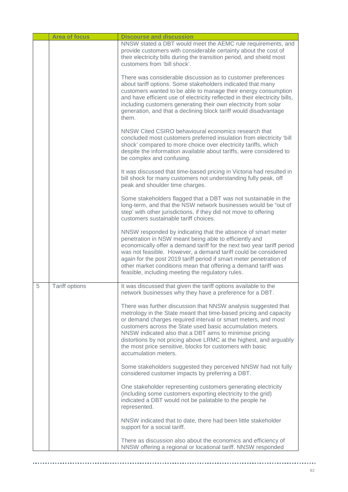|   | <b>Area of focus</b>  | <b>Discourse and discussion</b>                                                                                                                                                                                                                                                                                                                                                                                                                                                          |
|---|-----------------------|------------------------------------------------------------------------------------------------------------------------------------------------------------------------------------------------------------------------------------------------------------------------------------------------------------------------------------------------------------------------------------------------------------------------------------------------------------------------------------------|
|   |                       | NNSW stated a DBT would meet the AEMC rule requirements, and<br>provide customers with considerable certainty about the cost of<br>their electricity bills during the transition period, and shield most<br>customers from 'bill shock'.                                                                                                                                                                                                                                                 |
|   |                       | There was considerable discussion as to customer preferences<br>about tariff options. Some stakeholders indicated that many<br>customers wanted to be able to manage their energy consumption<br>and have efficient use of electricity reflected in their electricity bills,<br>including customers generating their own electricity from solar<br>generation, and that a declining block tariff would disadvantage<br>them.                                                             |
|   |                       | NNSW Cited CSIRO behavioural economics research that<br>concluded most customers preferred insulation from electricity 'bill<br>shock' compared to more choice over electricity tariffs, which<br>despite the information available about tariffs, were considered to<br>be complex and confusing.                                                                                                                                                                                       |
|   |                       | It was discussed that time-based pricing in Victoria had resulted in<br>bill shock for many customers not understanding fully peak, off<br>peak and shoulder time charges.                                                                                                                                                                                                                                                                                                               |
|   |                       | Some stakeholders flagged that a DBT was not sustainable in the<br>long-term, and that the NSW network businesses would be "out of<br>step' with other jurisdictions, if they did not move to offering<br>customers sustainable tariff choices.                                                                                                                                                                                                                                          |
|   |                       | NNSW responded by indicating that the absence of smart meter<br>penetration in NSW meant being able to efficiently and<br>economically offer a demand tariff for the next two year tariff period<br>was not feasible. However, a demand tariff could be considered<br>again for the post 2019 tariff period if smart meter penetration of<br>other market conditions mean that offering a demand tariff was<br>feasible, including meeting the regulatory rules.                         |
| 5 | <b>Tariff options</b> | It was discussed that given the tariff options available to the<br>network businesses why they have a preference for a DBT.                                                                                                                                                                                                                                                                                                                                                              |
|   |                       | There was further discussion that NNSW analysis suggested that<br>metrology in the State meant that time-based pricing and capacity<br>or demand charges required interval or smart meters, and most<br>customers across the State used basic accumulation meters.<br>NNSW indicated also that a DBT aims to minimise pricing<br>distortions by not pricing above LRMC at the highest, and arguably<br>the most price sensitive, blocks for customers with basic<br>accumulation meters. |
|   |                       | Some stakeholders suggested they perceived NNSW had not fully<br>considered customer impacts by preferring a DBT.                                                                                                                                                                                                                                                                                                                                                                        |
|   |                       | One stakeholder representing customers generating electricity<br>(including some customers exporting electricity to the grid)<br>indicated a DBT would not be palatable to the people he<br>represented.                                                                                                                                                                                                                                                                                 |
|   |                       | NNSW indicated that to date, there had been little stakeholder<br>support for a social tariff.                                                                                                                                                                                                                                                                                                                                                                                           |
|   |                       | There as discussion also about the economics and efficiency of<br>NNSW offering a regional or locational tariff. NNSW responded                                                                                                                                                                                                                                                                                                                                                          |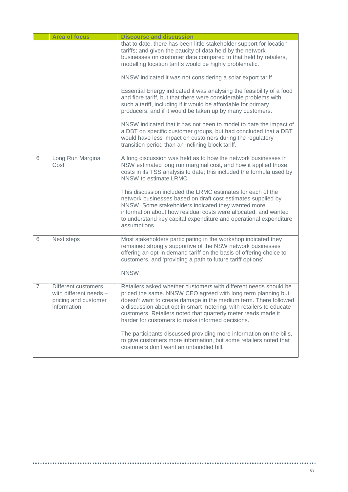|                | <b>Area of focus</b>                                                                 | <b>Discourse and discussion</b>                                                                                                                                                                                                                                                                                                                                                                                                                                                                                                                                                         |
|----------------|--------------------------------------------------------------------------------------|-----------------------------------------------------------------------------------------------------------------------------------------------------------------------------------------------------------------------------------------------------------------------------------------------------------------------------------------------------------------------------------------------------------------------------------------------------------------------------------------------------------------------------------------------------------------------------------------|
|                |                                                                                      | that to date, there has been little stakeholder support for location<br>tariffs; and given the paucity of data held by the network<br>businesses on customer data compared to that held by retailers,<br>modelling location tariffs would be highly problematic.                                                                                                                                                                                                                                                                                                                        |
|                |                                                                                      | NNSW indicated it was not considering a solar export tariff.                                                                                                                                                                                                                                                                                                                                                                                                                                                                                                                            |
|                |                                                                                      | Essential Energy indicated it was analysing the feasibility of a food<br>and fibre tariff, but that there were considerable problems with<br>such a tariff, including if it would be affordable for primary<br>producers, and if it would be taken up by many customers.                                                                                                                                                                                                                                                                                                                |
|                |                                                                                      | NNSW indicated that it has not been to model to date the impact of<br>a DBT on specific customer groups, but had concluded that a DBT<br>would have less impact on customers during the regulatory<br>transition period than an inclining block tariff.                                                                                                                                                                                                                                                                                                                                 |
| 6              | Long Run Marginal<br>Cost                                                            | A long discussion was held as to how the network businesses in<br>NSW estimated long run marginal cost, and how it applied those<br>costs in its TSS analysis to date; this included the formula used by<br>NNSW to estimate LRMC.                                                                                                                                                                                                                                                                                                                                                      |
|                |                                                                                      | This discussion included the LRMC estimates for each of the<br>network businesses based on draft cost estimates supplied by<br>NNSW. Some stakeholders indicated they wanted more<br>information about how residual costs were allocated, and wanted<br>to understand key capital expenditure and operational expenditure<br>assumptions.                                                                                                                                                                                                                                               |
| 6              | Next steps                                                                           | Most stakeholders participating in the workshop indicated they<br>remained strongly supportive of the NSW network businesses<br>offering an opt-in demand tariff on the basis of offering choice to<br>customers, and 'providing a path to future tariff options'.<br><b>NNSW</b>                                                                                                                                                                                                                                                                                                       |
| $\overline{7}$ | Different customers<br>with different needs -<br>pricing and customer<br>information | Retailers asked whether customers with different needs should be<br>priced the same. NNSW CEO agreed with long term planning but<br>doesn't want to create damage in the medium term. There followed<br>a discussion about opt in smart metering, with retailers to educate<br>customers. Retailers noted that quarterly meter reads made it<br>harder for customers to make informed decisions.<br>The participants discussed providing more information on the bills,<br>to give customers more information, but some retailers noted that<br>customers don't want an unbundled bill. |
|                |                                                                                      |                                                                                                                                                                                                                                                                                                                                                                                                                                                                                                                                                                                         |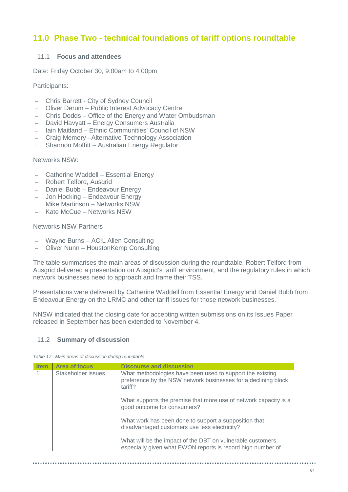# **11.0 Phase Two - technical foundations of tariff options roundtable**

### 11.1 **Focus and attendees**

Date: Friday October 30, 9.00am to 4.00pm

Participants:

- Chris Barrett City of Sydney Council
- Oliver Derum Public Interest Advocacy Centre
- Chris Dodds Office of the Energy and Water Ombudsman
- David Havyatt Energy Consumers Australia
- Iain Maitland Ethnic Communities' Council of NSW
- Craig Memery –Alternative Technology Association
- Shannon Moffitt Australian Energy Regulator

Networks NSW:

- Catherine Waddell Essential Energy
- Robert Telford, Ausgrid
- Daniel Bubb Endeavour Energy
- Jon Hocking Endeavour Energy
- Mike Martinson Networks NSW
- Kate McCue Networks NSW

### Networks NSW Partners

- Wayne Burns ACIL Allen Consulting
- Oliver Nunn HoustonKemp Consulting

The table summarises the main areas of discussion during the roundtable. Robert Telford from Ausgrid delivered a presentation on Ausgrid's tariff environment, and the regulatory rules in which network businesses need to approach and frame their TSS.

Presentations were delivered by Catherine Waddell from Essential Energy and Daniel Bubb from Endeavour Energy on the LRMC and other tariff issues for those network businesses.

NNSW indicated that the closing date for accepting written submissions on its Issues Paper released in September has been extended to November 4.

### 11.2 **Summary of discussion**

| Table 17– Main areas of discussion during roundtable |  |  |
|------------------------------------------------------|--|--|
|                                                      |  |  |

| <b>Item</b> | <b>Area of focus</b> | <b>Discourse and discussion</b>                                                                                                        |
|-------------|----------------------|----------------------------------------------------------------------------------------------------------------------------------------|
|             | Stakeholder issues   | What methodologies have been used to support the existing<br>preference by the NSW network businesses for a declining block<br>tariff? |
|             |                      | What supports the premise that more use of network capacity is a<br>good outcome for consumers?                                        |
|             |                      | What work has been done to support a supposition that<br>disadvantaged customers use less electricity?                                 |
|             |                      | What will be the impact of the DBT on vulnerable customers,<br>especially given what EWON reports is record high number of             |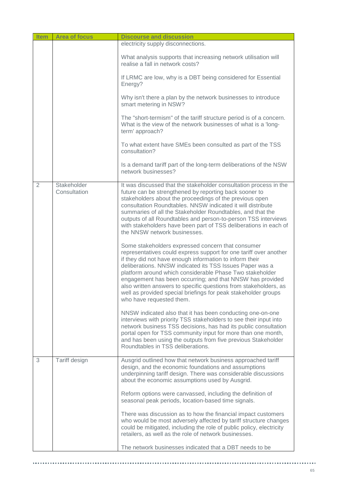| <b>Item</b> | <b>Area of focus</b>        | <b>Discourse and discussion</b>                                                                                                                                                                                                                                                                                                                                                                                                                                                                                                                                                                                                                                                                                                                                                                                                                                                                                                                                                                                                                                                                                                                                                                                                                                                                                                                                                                                   |
|-------------|-----------------------------|-------------------------------------------------------------------------------------------------------------------------------------------------------------------------------------------------------------------------------------------------------------------------------------------------------------------------------------------------------------------------------------------------------------------------------------------------------------------------------------------------------------------------------------------------------------------------------------------------------------------------------------------------------------------------------------------------------------------------------------------------------------------------------------------------------------------------------------------------------------------------------------------------------------------------------------------------------------------------------------------------------------------------------------------------------------------------------------------------------------------------------------------------------------------------------------------------------------------------------------------------------------------------------------------------------------------------------------------------------------------------------------------------------------------|
|             |                             | electricity supply disconnections.                                                                                                                                                                                                                                                                                                                                                                                                                                                                                                                                                                                                                                                                                                                                                                                                                                                                                                                                                                                                                                                                                                                                                                                                                                                                                                                                                                                |
|             |                             | What analysis supports that increasing network utilisation will<br>realise a fall in network costs?                                                                                                                                                                                                                                                                                                                                                                                                                                                                                                                                                                                                                                                                                                                                                                                                                                                                                                                                                                                                                                                                                                                                                                                                                                                                                                               |
|             |                             | If LRMC are low, why is a DBT being considered for Essential<br>Energy?                                                                                                                                                                                                                                                                                                                                                                                                                                                                                                                                                                                                                                                                                                                                                                                                                                                                                                                                                                                                                                                                                                                                                                                                                                                                                                                                           |
|             |                             | Why isn't there a plan by the network businesses to introduce<br>smart metering in NSW?                                                                                                                                                                                                                                                                                                                                                                                                                                                                                                                                                                                                                                                                                                                                                                                                                                                                                                                                                                                                                                                                                                                                                                                                                                                                                                                           |
|             |                             | The "short-termism" of the tariff structure period is of a concern.<br>What is the view of the network businesses of what is a 'long-<br>term' approach?                                                                                                                                                                                                                                                                                                                                                                                                                                                                                                                                                                                                                                                                                                                                                                                                                                                                                                                                                                                                                                                                                                                                                                                                                                                          |
|             |                             | To what extent have SMEs been consulted as part of the TSS<br>consultation?                                                                                                                                                                                                                                                                                                                                                                                                                                                                                                                                                                                                                                                                                                                                                                                                                                                                                                                                                                                                                                                                                                                                                                                                                                                                                                                                       |
|             |                             | Is a demand tariff part of the long-term deliberations of the NSW<br>network businesses?                                                                                                                                                                                                                                                                                                                                                                                                                                                                                                                                                                                                                                                                                                                                                                                                                                                                                                                                                                                                                                                                                                                                                                                                                                                                                                                          |
| 2           | Stakeholder<br>Consultation | It was discussed that the stakeholder consultation process in the<br>future can be strengthened by reporting back sooner to<br>stakeholders about the proceedings of the previous open<br>consultation Roundtables. NNSW indicated it will distribute<br>summaries of all the Stakeholder Roundtables, and that the<br>outputs of all Roundtables and person-to-person TSS interviews<br>with stakeholders have been part of TSS deliberations in each of<br>the NNSW network businesses.<br>Some stakeholders expressed concern that consumer<br>representatives could express support for one tariff over another<br>if they did not have enough information to inform their<br>deliberations. NNSW indicated its TSS Issues Paper was a<br>platform around which considerable Phase Two stakeholder<br>engagement has been occurring; and that NNSW has provided<br>also written answers to specific questions from stakeholders, as<br>well as provided special briefings for peak stakeholder groups<br>who have requested them.<br>NNSW indicated also that it has been conducting one-on-one<br>interviews with priority TSS stakeholders to see their input into<br>network business TSS decisions, has had its public consultation<br>portal open for TSS community input for more than one month,<br>and has been using the outputs from five previous Stakeholder<br>Roundtables in TSS deliberations. |
| 3           | Tariff design               | Ausgrid outlined how that network business approached tariff<br>design, and the economic foundations and assumptions<br>underpinning tariff design. There was considerable discussions<br>about the economic assumptions used by Ausgrid.<br>Reform options were canvassed, including the definition of<br>seasonal peak periods, location-based time signals.<br>There was discussion as to how the financial impact customers<br>who would be most adversely affected by tariff structure changes<br>could be mitigated, including the role of public policy, electricity<br>retailers, as well as the role of network businesses.                                                                                                                                                                                                                                                                                                                                                                                                                                                                                                                                                                                                                                                                                                                                                                              |
|             |                             | The network businesses indicated that a DBT needs to be                                                                                                                                                                                                                                                                                                                                                                                                                                                                                                                                                                                                                                                                                                                                                                                                                                                                                                                                                                                                                                                                                                                                                                                                                                                                                                                                                           |

 $\alpha$  and

.................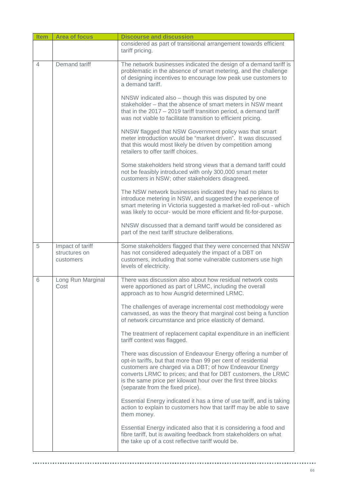| <b>Item</b> | <b>Area of focus</b>                           | <b>Discourse and discussion</b>                                                                                                                                                                                                                                                                                                                                    |
|-------------|------------------------------------------------|--------------------------------------------------------------------------------------------------------------------------------------------------------------------------------------------------------------------------------------------------------------------------------------------------------------------------------------------------------------------|
|             |                                                | considered as part of transitional arrangement towards efficient<br>tariff pricing.                                                                                                                                                                                                                                                                                |
| 4           | Demand tariff                                  | The network businesses indicated the design of a demand tariff is<br>problematic in the absence of smart metering, and the challenge<br>of designing incentives to encourage low peak use customers to<br>a demand tariff.                                                                                                                                         |
|             |                                                | NNSW indicated also – though this was disputed by one<br>stakeholder – that the absence of smart meters in NSW meant<br>that in the 2017 - 2019 tariff transition period, a demand tariff<br>was not viable to facilitate transition to efficient pricing.                                                                                                         |
|             |                                                | NNSW flagged that NSW Government policy was that smart<br>meter introduction would be "market driven". It was discussed<br>that this would most likely be driven by competition among<br>retailers to offer tariff choices.                                                                                                                                        |
|             |                                                | Some stakeholders held strong views that a demand tariff could<br>not be feasibly introduced with only 300,000 smart meter<br>customers in NSW; other stakeholders disagreed.                                                                                                                                                                                      |
|             |                                                | The NSW network businesses indicated they had no plans to<br>introduce metering in NSW, and suggested the experience of<br>smart metering in Victoria suggested a market-led roll-out - which<br>was likely to occur- would be more efficient and fit-for-purpose.                                                                                                 |
|             |                                                | NNSW discussed that a demand tariff would be considered as<br>part of the next tariff structure deliberations.                                                                                                                                                                                                                                                     |
| 5           | Impact of tariff<br>structures on<br>customers | Some stakeholders flagged that they were concerned that NNSW<br>has not considered adequately the impact of a DBT on<br>customers, including that some vulnerable customers use high<br>levels of electricity.                                                                                                                                                     |
| 6           | Long Run Marginal<br>Cost                      | There was discussion also about how residual network costs<br>were apportioned as part of LRMC, including the overall<br>approach as to how Ausgrid determined LRMC.                                                                                                                                                                                               |
|             |                                                | The challenges of average incremental cost methodology were<br>canvassed, as was the theory that marginal cost being a function<br>of network circumstance and price elasticity of demand.                                                                                                                                                                         |
|             |                                                | The treatment of replacement capital expenditure in an inefficient<br>tariff context was flagged.                                                                                                                                                                                                                                                                  |
|             |                                                | There was discussion of Endeavour Energy offering a number of<br>opt-in tariffs, but that more than 99 per cent of residential<br>customers are charged via a DBT; of how Endeavour Energy<br>converts LRMC to prices; and that for DBT customers, the LRMC<br>is the same price per kilowatt hour over the first three blocks<br>(separate from the fixed price). |
|             |                                                | Essential Energy indicated it has a time of use tariff, and is taking<br>action to explain to customers how that tariff may be able to save<br>them money.                                                                                                                                                                                                         |
|             |                                                | Essential Energy indicated also that it is considering a food and<br>fibre tariff, but is awaiting feedback from stakeholders on what<br>the take up of a cost reflective tariff would be.                                                                                                                                                                         |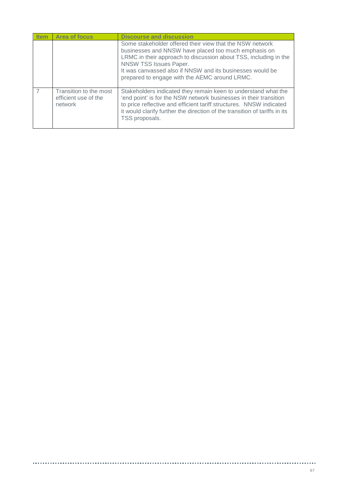| <b>Item</b> | <b>Area of focus</b>                                      | <b>Discourse and discussion</b>                                                                                                                                                                                                                                                                                              |
|-------------|-----------------------------------------------------------|------------------------------------------------------------------------------------------------------------------------------------------------------------------------------------------------------------------------------------------------------------------------------------------------------------------------------|
|             |                                                           | Some stakeholder offered their view that the NSW network<br>businesses and NNSW have placed too much emphasis on<br>LRMC in their approach to discussion about TSS, including in the<br>NNSW TSS Issues Paper.<br>It was canvassed also if NNSW and its businesses would be<br>prepared to engage with the AEMC around LRMC. |
|             | Transition to the most<br>efficient use of the<br>network | Stakeholders indicated they remain keen to understand what the<br>'end point' is for the NSW network businesses in their transition<br>to price reflective and efficient tariff structures. NNSW indicated<br>it would clarify further the direction of the transition of tariffs in its<br>TSS proposals.                   |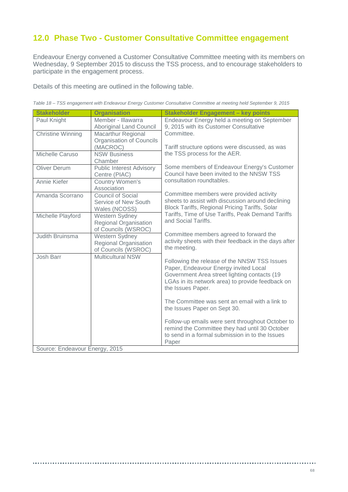# **12.0 Phase Two - Customer Consultative Committee engagement**

Endeavour Energy convened a Customer Consultative Committee meeting with its members on Wednesday, 9 September 2015 to discuss the TSS process, and to encourage stakeholders to participate in the engagement process.

Details of this meeting are outlined in the following table.

| <b>Stakeholder</b>             | <b>Organisation</b>                                                   | <b>Stakeholder Engagement - key points</b>                                                                                                                                                                     |  |  |
|--------------------------------|-----------------------------------------------------------------------|----------------------------------------------------------------------------------------------------------------------------------------------------------------------------------------------------------------|--|--|
| Paul Knight                    | Member - Illawarra<br><b>Aboriginal Land Council</b>                  | Endeavour Energy held a meeting on September<br>9, 2015 with its Customer Consultative                                                                                                                         |  |  |
| <b>Christine Winning</b>       | <b>Macarthur Regional</b><br>Organisation of Councils<br>(MACROC)     | Committee.<br>Tariff structure options were discussed, as was                                                                                                                                                  |  |  |
| Michelle Caruso                | <b>NSW Business</b><br>Chamber                                        | the TSS process for the AER.                                                                                                                                                                                   |  |  |
| <b>Oliver Derum</b>            | <b>Public Interest Advisory</b><br>Centre (PIAC)                      | Some members of Endeavour Energy's Customer<br>Council have been invited to the NNSW TSS                                                                                                                       |  |  |
| Annie Kiefer                   | Country Women's<br>Association                                        | consultation roundtables.                                                                                                                                                                                      |  |  |
| Amanda Scorrano                | Council of Social<br>Service of New South<br>Wales (NCOSS)            | Committee members were provided activity<br>sheets to assist with discussion around declining<br>Block Tariffs, Regional Pricing Tariffs, Solar                                                                |  |  |
| Michelle Playford              | Western Sydney<br>Regional Organisation<br>of Councils (WSROC)        | Tariffs, Time of Use Tariffs, Peak Demand Tariffs<br>and Social Tariffs.                                                                                                                                       |  |  |
| Judith Bruinsma                | Western Sydney<br><b>Regional Organisation</b><br>of Councils (WSROC) | Committee members agreed to forward the<br>activity sheets with their feedback in the days after<br>the meeting.                                                                                               |  |  |
| Josh Barr                      | <b>Multicultural NSW</b>                                              | Following the release of the NNSW TSS Issues<br>Paper, Endeavour Energy invited Local<br>Government Area street lighting contacts (19<br>LGAs in its network area) to provide feedback on<br>the Issues Paper. |  |  |
|                                |                                                                       | The Committee was sent an email with a link to<br>the Issues Paper on Sept 30.                                                                                                                                 |  |  |
|                                |                                                                       | Follow-up emails were sent throughout October to<br>remind the Committee they had until 30 October<br>to send in a formal submission in to the Issues<br>Paper                                                 |  |  |
| Source: Endeavour Energy, 2015 |                                                                       |                                                                                                                                                                                                                |  |  |

................

*Table 18 – TSS engagement with Endeavour Energy Customer Consultative Committee at meeting held September 9, 2015*

..............................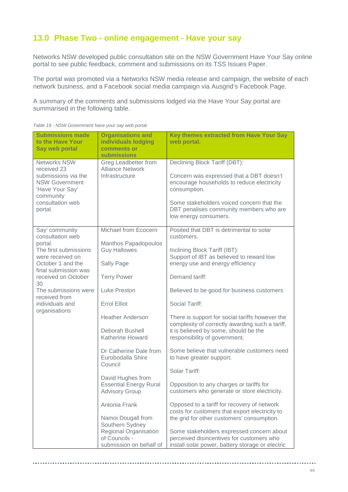# **13.0 Phase Two - online engagement - Have your say**

Networks NSW developed public consultation site on the NSW Government Have Your Say online portal to see public feedback, comment and submissions on its TSS Issues Paper.

The portal was promoted via a Networks NSW media release and campaign, the website of each network business, and a Facebook social media campaign via Ausgrid's Facebook Page.

A summary of the comments and submissions lodged via the Have Your Say portal are summarised in the following table.

| <b>Submissions made</b><br>to the Have Your<br>Say web portal                                                                                     | <b>Organisations and</b><br>individuals lodging<br>comments or<br><b>submissions</b>                                                  | Key themes extracted from Have Your Say<br>web portal.                                                                                                                                                                                                   |
|---------------------------------------------------------------------------------------------------------------------------------------------------|---------------------------------------------------------------------------------------------------------------------------------------|----------------------------------------------------------------------------------------------------------------------------------------------------------------------------------------------------------------------------------------------------------|
| <b>Networks NSW</b><br>received 23<br>submissions via the<br><b>NSW Government</b><br>'Have Your Say'<br>community<br>consultation web<br>portal. | Greg Leadbetter from<br><b>Alliance Network</b><br>Infrastructure                                                                     | Declining Block Tariff (DBT):<br>Concern was expressed that a DBT doesn't<br>encourage households to reduce electricity<br>consumption.<br>Some stakeholders voiced concern that the<br>DBT penalises community members who are<br>low energy consumers. |
| Say' community<br>consultation web<br>portal.<br>The first submissions<br>were received on<br>October 1 and the                                   | Michael from Ecocern<br>Manthos Papadopoulos<br><b>Guy Hallowes</b><br>Sally Page                                                     | Posited that DBT is detrimental to solar<br>customers.<br>Inclining Block Tariff (IBT):<br>Support of IBT as believed to reward low<br>energy use and energy efficiency                                                                                  |
| final submission was<br>received on October<br>30                                                                                                 | <b>Terry Power</b>                                                                                                                    | Demand tariff:                                                                                                                                                                                                                                           |
| The submissions were<br>received from                                                                                                             | Luke Preston                                                                                                                          | Believed to be good for business customers                                                                                                                                                                                                               |
| individuals and<br>organisations                                                                                                                  | <b>Errol Elliot</b>                                                                                                                   | Social Tariff:                                                                                                                                                                                                                                           |
|                                                                                                                                                   | <b>Heather Anderson</b><br>Deborah Bushell<br>Katherine Howard                                                                        | There is support for social tariffs however the<br>complexity of correctly awarding such a tariff,<br>it is believed by some, should be the<br>responsibility of government.                                                                             |
|                                                                                                                                                   | Dr Catherine Dale from<br>Eurobodalla Shire<br>Council<br>David Hughes from<br><b>Essential Energy Rural</b><br><b>Advisory Group</b> | Some believe that vulnerable customers need<br>to have greater support.                                                                                                                                                                                  |
|                                                                                                                                                   |                                                                                                                                       | Solar Tariff:                                                                                                                                                                                                                                            |
|                                                                                                                                                   |                                                                                                                                       | Opposition to any charges or tariffs for<br>customers who generate or store electricity.                                                                                                                                                                 |
|                                                                                                                                                   | Antonia Frank<br>Namoi Dougall from                                                                                                   | Opposed to a tariff for recovery of network<br>costs for customers that export electricity to<br>the grid for other customers' consumption.                                                                                                              |
|                                                                                                                                                   | Southern Sydney<br>Regional Organisation<br>of Councils -<br>submission on behalf of                                                  | Some stakeholders expressed concern about<br>perceived disincentives for customers who<br>install solar power, battery storage or electric                                                                                                               |

*Table 19 - NSW Government have your say web portal*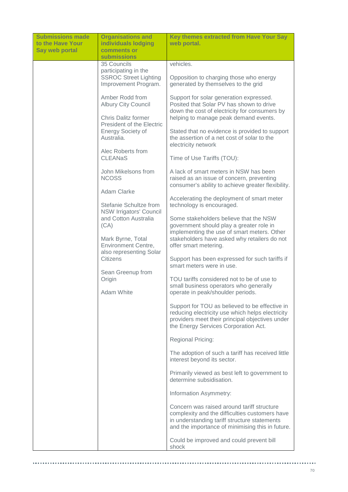| <b>Submissions made</b><br>to the Have Your | <b>Organisations and</b><br>individuals lodging                                                          | Key themes extracted from Have Your Say<br>web portal.                                                                                                                                           |  |
|---------------------------------------------|----------------------------------------------------------------------------------------------------------|--------------------------------------------------------------------------------------------------------------------------------------------------------------------------------------------------|--|
| <b>Say web portal</b>                       | comments or<br><b>submissions</b>                                                                        |                                                                                                                                                                                                  |  |
|                                             | 35 Councils                                                                                              | vehicles.                                                                                                                                                                                        |  |
|                                             | participating in the<br><b>SSROC Street Lighting</b><br>Improvement Program.                             | Opposition to charging those who energy<br>generated by themselves to the grid                                                                                                                   |  |
|                                             | Amber Rodd from<br><b>Albury City Council</b>                                                            | Support for solar generation expressed.<br>Posited that Solar PV has shown to drive<br>down the cost of electricity for consumers by                                                             |  |
|                                             | <b>Chris Dalitz former</b><br><b>President of the Electric</b><br><b>Energy Society of</b><br>Australia. | helping to manage peak demand events.                                                                                                                                                            |  |
|                                             |                                                                                                          | Stated that no evidence is provided to support<br>the assertion of a net cost of solar to the<br>electricity network                                                                             |  |
|                                             | Alec Roberts from<br><b>CLEANaS</b>                                                                      | Time of Use Tariffs (TOU):                                                                                                                                                                       |  |
|                                             | John Mikelsons from<br><b>NCOSS</b>                                                                      | A lack of smart meters in NSW has been<br>raised as an issue of concern, preventing<br>consumer's ability to achieve greater flexibility.                                                        |  |
|                                             | Adam Clarke                                                                                              |                                                                                                                                                                                                  |  |
|                                             | Stefanie Schultze from<br><b>NSW Irrigators' Council</b><br>and Cotton Australia<br>(CA)                 | Accelerating the deployment of smart meter<br>technology is encouraged.                                                                                                                          |  |
|                                             |                                                                                                          | Some stakeholders believe that the NSW<br>government should play a greater role in                                                                                                               |  |
|                                             | Mark Byrne, Total<br><b>Environment Centre,</b>                                                          | implementing the use of smart meters. Other<br>stakeholders have asked why retailers do not<br>offer smart metering.                                                                             |  |
|                                             | also representing Solar<br>Citizens                                                                      | Support has been expressed for such tariffs if<br>smart meters were in use.                                                                                                                      |  |
|                                             | Sean Greenup from<br>Origin                                                                              | TOU tariffs considered not to be of use to                                                                                                                                                       |  |
|                                             | Adam White                                                                                               | small business operators who generally<br>operate in peak/shoulder periods.                                                                                                                      |  |
|                                             |                                                                                                          | Support for TOU as believed to be effective in<br>reducing electricity use which helps electricity<br>providers meet their principal objectives under<br>the Energy Services Corporation Act.    |  |
|                                             |                                                                                                          | Regional Pricing:                                                                                                                                                                                |  |
|                                             |                                                                                                          | The adoption of such a tariff has received little<br>interest beyond its sector.                                                                                                                 |  |
|                                             |                                                                                                          | Primarily viewed as best left to government to<br>determine subsidisation.                                                                                                                       |  |
|                                             |                                                                                                          | Information Asymmetry:                                                                                                                                                                           |  |
|                                             |                                                                                                          | Concern was raised around tariff structure<br>complexity and the difficulties customers have<br>in understanding tariff structure statements<br>and the importance of minimising this in future. |  |
|                                             |                                                                                                          | Could be improved and could prevent bill<br>shock                                                                                                                                                |  |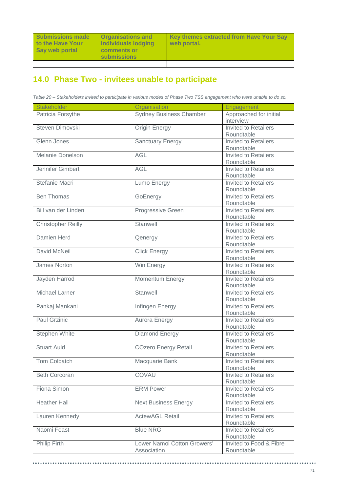........................

# **14.0 Phase Two - invitees unable to participate**

*Table 20 – Stakeholders invited to participate in various modes of Phase Two TSS engagement who were unable to do so.*

| <b>Stakeholder</b>        | Organisation                   | Engagement                  |
|---------------------------|--------------------------------|-----------------------------|
| Patricia Forsythe         | <b>Sydney Business Chamber</b> | Approached for initial      |
|                           |                                | interview                   |
| Steven Dimovski           | <b>Origin Energy</b>           | <b>Invited to Retailers</b> |
|                           |                                | Roundtable                  |
| Glenn Jones               | <b>Sanctuary Energy</b>        | <b>Invited to Retailers</b> |
|                           |                                | Roundtable                  |
| <b>Melanie Donelson</b>   | AGL                            | Invited to Retailers        |
|                           |                                | Roundtable                  |
| Jennifer Gimbert          | <b>AGL</b>                     | Invited to Retailers        |
|                           |                                | Roundtable                  |
| Stefanie Macri            | Lumo Energy                    | Invited to Retailers        |
|                           |                                | Roundtable                  |
| <b>Ben Thomas</b>         | GoEnergy                       | <b>Invited to Retailers</b> |
|                           |                                | Roundtable                  |
| Bill van der Linden       | Progressive Green              | Invited to Retailers        |
|                           |                                | Roundtable                  |
| <b>Christopher Reilly</b> | Stanwell                       | Invited to Retailers        |
|                           |                                | Roundtable                  |
| Damien Herd               | Qenergy                        | <b>Invited to Retailers</b> |
|                           |                                | Roundtable                  |
| David McNeil              | <b>Click Energy</b>            | <b>Invited to Retailers</b> |
|                           |                                | Roundtable                  |
| James Norton              | Win Energy                     | <b>Invited to Retailers</b> |
|                           |                                | Roundtable                  |
| Jayden Harrod             | Momentum Energy                | <b>Invited to Retailers</b> |
|                           |                                | Roundtable                  |
| <b>Michael Larner</b>     | Stanwell                       | <b>Invited to Retailers</b> |
|                           |                                | Roundtable                  |
| Pankaj Mankani            | Infingen Energy                | <b>Invited to Retailers</b> |
|                           |                                | Roundtable                  |
| <b>Paul Grzinic</b>       | <b>Aurora Energy</b>           | <b>Invited to Retailers</b> |
|                           |                                | Roundtable                  |
| <b>Stephen White</b>      | <b>Diamond Energy</b>          | <b>Invited to Retailers</b> |
|                           |                                | Roundtable                  |
| <b>Stuart Auld</b>        | <b>COzero Energy Retail</b>    | <b>Invited to Retailers</b> |
|                           |                                | Roundtable                  |
| Tom Colbatch              | Macquarie Bank                 | <b>Invited to Retailers</b> |
|                           |                                | Roundtable                  |
| <b>Beth Corcoran</b>      | COVAU                          | <b>Invited to Retailers</b> |
|                           |                                | Roundtable                  |
| Fiona Simon               | <b>ERM Power</b>               | <b>Invited to Retailers</b> |
|                           |                                | Roundtable                  |
| <b>Heather Hall</b>       | <b>Next Business Energy</b>    | <b>Invited to Retailers</b> |
|                           |                                | Roundtable                  |
| Lauren Kennedy            | <b>ActewAGL Retail</b>         | <b>Invited to Retailers</b> |
|                           |                                | Roundtable                  |
| Naomi Feast               | <b>Blue NRG</b>                | <b>Invited to Retailers</b> |
|                           |                                | Roundtable                  |
| Philip Firth              | Lower Namoi Cotton Growers'    | Invited to Food & Fibre     |
|                           | Association                    | Roundtable                  |
|                           |                                |                             |

..........................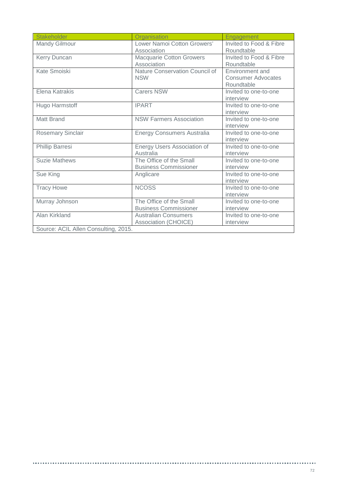| Stakeholder                          | Organisation                      | Engagement                |  |  |
|--------------------------------------|-----------------------------------|---------------------------|--|--|
| Mandy Gilmour                        | Lower Namoi Cotton Growers'       | Invited to Food & Fibre   |  |  |
|                                      | Association                       | Roundtable                |  |  |
| Kerry Duncan                         | Macquarie Cotton Growers          | Invited to Food & Fibre   |  |  |
|                                      | Association                       | Roundtable                |  |  |
| Kate Smoiski                         | Nature Conservation Council of    | Environment and           |  |  |
|                                      | <b>NSW</b>                        | <b>Consumer Advocates</b> |  |  |
|                                      |                                   | Roundtable                |  |  |
| Elena Katrakis                       | <b>Carers NSW</b>                 | Invited to one-to-one     |  |  |
|                                      |                                   | interview                 |  |  |
| Hugo Harmstoff                       | <b>IPART</b>                      | Invited to one-to-one     |  |  |
|                                      |                                   | interview                 |  |  |
| <b>Matt Brand</b>                    | <b>NSW Farmers Association</b>    | Invited to one-to-one     |  |  |
|                                      |                                   | interview                 |  |  |
| <b>Rosemary Sinclair</b>             | <b>Energy Consumers Australia</b> | Invited to one-to-one     |  |  |
|                                      |                                   | interview                 |  |  |
| Phillip Barresi                      | Energy Users Association of       | Invited to one-to-one     |  |  |
|                                      | Australia                         | interview                 |  |  |
| <b>Suzie Mathews</b>                 | The Office of the Small           | Invited to one-to-one     |  |  |
|                                      | <b>Business Commissioner</b>      | interview                 |  |  |
| Sue King                             | Anglicare                         | Invited to one-to-one     |  |  |
|                                      |                                   | interview                 |  |  |
| <b>Tracy Howe</b>                    | <b>NCOSS</b>                      | Invited to one-to-one     |  |  |
|                                      |                                   | interview                 |  |  |
| Murray Johnson                       | The Office of the Small           | Invited to one-to-one     |  |  |
|                                      | <b>Business Commissioner</b>      | interview                 |  |  |
| Alan Kirkland                        | <b>Australian Consumers</b>       | Invited to one-to-one     |  |  |
|                                      | Association (CHOICE)              | interview                 |  |  |
| Source: ACIL Allen Consulting, 2015. |                                   |                           |  |  |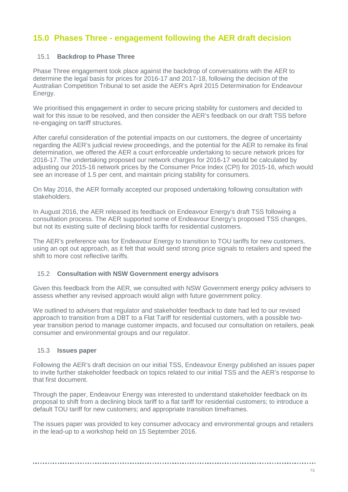# **15.0 Phases Three - engagement following the AER draft decision**

## 15.1 **Backdrop to Phase Three**

Phase Three engagement took place against the backdrop of conversations with the AER to determine the legal basis for prices for 2016-17 and 2017-18, following the decision of the Australian Competition Tribunal to set aside the AER's April 2015 Determination for Endeavour Energy.

We prioritised this engagement in order to secure pricing stability for customers and decided to wait for this issue to be resolved, and then consider the AER's feedback on our draft TSS before re-engaging on tariff structures.

After careful consideration of the potential impacts on our customers, the degree of uncertainty regarding the AER's judicial review proceedings, and the potential for the AER to remake its final determination, we offered the AER a court enforceable undertaking to secure network prices for 2016-17. The undertaking proposed our network charges for 2016-17 would be calculated by adjusting our 2015-16 network prices by the Consumer Price Index (CPI) for 2015-16, which would see an increase of 1.5 per cent, and maintain pricing stability for consumers.

On May 2016, the AER formally accepted our proposed undertaking following consultation with stakeholders.

In August 2016, the AER released its feedback on Endeavour Energy's draft TSS following a consultation process. The AER supported some of Endeavour Energy's proposed TSS changes, but not its existing suite of declining block tariffs for residential customers.

The AER's preference was for Endeavour Energy to transition to TOU tariffs for new customers, using an opt out approach, as it felt that would send strong price signals to retailers and speed the shift to more cost reflective tariffs.

## 15.2 **Consultation with NSW Government energy advisors**

Given this feedback from the AER, we consulted with NSW Government energy policy advisers to assess whether any revised approach would align with future government policy.

We outlined to advisers that regulator and stakeholder feedback to date had led to our revised approach to transition from a DBT to a Flat Tariff for residential customers, with a possible twoyear transition period to manage customer impacts, and focused our consultation on retailers, peak consumer and environmental groups and our regulator.

## 15.3 **Issues paper**

Following the AER's draft decision on our initial TSS, Endeavour Energy published an issues paper to invite further stakeholder feedback on topics related to our initial TSS and the AER's response to that first document.

Through the paper, Endeavour Energy was interested to understand stakeholder feedback on its proposal to shift from a declining block tariff to a flat tariff for residential customers; to introduce a default TOU tariff for new customers; and appropriate transition timeframes.

The issues paper was provided to key consumer advocacy and environmental groups and retailers in the lead-up to a workshop held on 15 September 2016.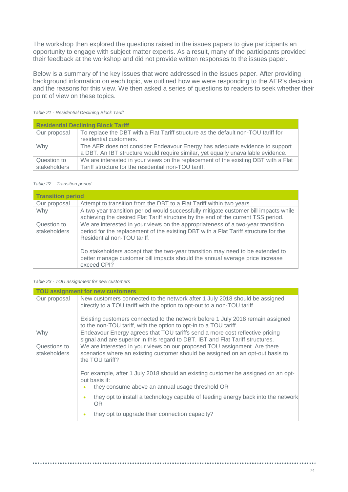The workshop then explored the questions raised in the issues papers to give participants an opportunity to engage with subject matter experts. As a result, many of the participants provided their feedback at the workshop and did not provide written responses to the issues paper.

Below is a summary of the key issues that were addressed in the issues paper. After providing background information on each topic, we outlined how we were responding to the AER's decision and the reasons for this view. We then asked a series of questions to readers to seek whether their point of view on these topics.

| <b>Residential Declining Block Tariff</b> |                                                                                                                                                                 |  |  |  |
|-------------------------------------------|-----------------------------------------------------------------------------------------------------------------------------------------------------------------|--|--|--|
| Our proposal                              | To replace the DBT with a Flat Tariff structure as the default non-TOU tariff for<br>residential customers.                                                     |  |  |  |
| Why                                       | The AER does not consider Endeavour Energy has adequate evidence to support<br>a DBT. An IBT structure would require similar, yet equally unavailable evidence. |  |  |  |
| Question to<br>stakeholders               | We are interested in your views on the replacement of the existing DBT with a Flat<br>Tariff structure for the residential non-TOU tariff.                      |  |  |  |

### *Table 21 - Residential Declining Block Tariff*

#### *Table 22 – Transition period*

| <b>Transition period</b>    |                                                                                                                                                                                                       |  |  |  |
|-----------------------------|-------------------------------------------------------------------------------------------------------------------------------------------------------------------------------------------------------|--|--|--|
| Our proposal                | Attempt to transition from the DBT to a Flat Tariff within two years.                                                                                                                                 |  |  |  |
| Why                         | A two year transition period would successfully mitigate customer bill impacts while<br>achieving the desired Flat Tariff structure by the end of the current TSS period.                             |  |  |  |
| Question to<br>stakeholders | We are interested in your views on the appropriateness of a two-year transition<br>period for the replacement of the existing DBT with a Flat Tariff structure for the<br>Residential non-TOU tariff. |  |  |  |
|                             | Do stakeholders accept that the two-year transition may need to be extended to<br>better manage customer bill impacts should the annual average price increase<br>exceed CPI?                         |  |  |  |

#### *Table 23 - TOU assignment for new customers*

| TOU assignment for new customers                                                                                                                                        |                                                                                                                                                                                |  |  |  |  |
|-------------------------------------------------------------------------------------------------------------------------------------------------------------------------|--------------------------------------------------------------------------------------------------------------------------------------------------------------------------------|--|--|--|--|
| Our proposal<br>New customers connected to the network after 1 July 2018 should be assigned<br>directly to a TOU tariff with the option to opt-out to a non-TOU tariff. |                                                                                                                                                                                |  |  |  |  |
|                                                                                                                                                                         | Existing customers connected to the network before 1 July 2018 remain assigned<br>to the non-TOU tariff, with the option to opt-in to a TOU tariff.                            |  |  |  |  |
| Why                                                                                                                                                                     | Endeavour Energy agrees that TOU tariffs send a more cost reflective pricing<br>signal and are superior in this regard to DBT, IBT and Flat Tariff structures.                 |  |  |  |  |
| Questions to<br><b>stakeholders</b>                                                                                                                                     | We are interested in your views on our proposed TOU assignment. Are there<br>scenarios where an existing customer should be assigned on an opt-out basis to<br>the TOU tariff? |  |  |  |  |
|                                                                                                                                                                         | For example, after 1 July 2018 should an existing customer be assigned on an opt-<br>out basis if:<br>they consume above an annual usage threshold OR<br>$\bullet$             |  |  |  |  |
|                                                                                                                                                                         |                                                                                                                                                                                |  |  |  |  |
|                                                                                                                                                                         | they opt to install a technology capable of feeding energy back into the network<br>$\bullet$<br>OR.                                                                           |  |  |  |  |
|                                                                                                                                                                         | they opt to upgrade their connection capacity?<br>$\bullet$                                                                                                                    |  |  |  |  |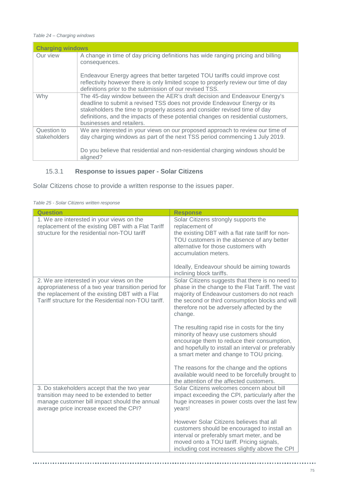#### *Table 24 – Charging windows*

| <b>Charging windows</b>     |                                                                                                                                                                                                                                                                                                                                                       |  |  |  |  |
|-----------------------------|-------------------------------------------------------------------------------------------------------------------------------------------------------------------------------------------------------------------------------------------------------------------------------------------------------------------------------------------------------|--|--|--|--|
| Our view                    | A change in time of day pricing definitions has wide ranging pricing and billing<br>consequences.                                                                                                                                                                                                                                                     |  |  |  |  |
|                             | Endeavour Energy agrees that better targeted TOU tariffs could improve cost<br>reflectivity however there is only limited scope to properly review our time of day<br>definitions prior to the submission of our revised TSS.                                                                                                                         |  |  |  |  |
| Why                         | The 45-day window between the AER's draft decision and Endeavour Energy's<br>deadline to submit a revised TSS does not provide Endeavour Energy or its<br>stakeholders the time to properly assess and consider revised time of day<br>definitions, and the impacts of these potential changes on residential customers,<br>businesses and retailers. |  |  |  |  |
| Question to<br>stakeholders | We are interested in your views on our proposed approach to review our time of<br>day charging windows as part of the next TSS period commencing 1 July 2019.                                                                                                                                                                                         |  |  |  |  |
|                             | Do you believe that residential and non-residential charging windows should be<br>aligned?                                                                                                                                                                                                                                                            |  |  |  |  |

# 15.3.1 **Response to issues paper - Solar Citizens**

Solar Citizens chose to provide a written response to the issues paper.

| <b>Question</b>                                                                                                                                                                                             | <b>Response</b>                                                                                                                                                                                                                                                                                      |
|-------------------------------------------------------------------------------------------------------------------------------------------------------------------------------------------------------------|------------------------------------------------------------------------------------------------------------------------------------------------------------------------------------------------------------------------------------------------------------------------------------------------------|
| 1. We are interested in your views on the<br>replacement of the existing DBT with a Flat Tariff<br>structure for the residential non-TOU tariff                                                             | Solar Citizens strongly supports the<br>replacement of<br>the existing DBT with a flat rate tariff for non-<br>TOU customers in the absence of any better<br>alternative for those customers with<br>accumulation meters.<br>Ideally, Endeavour should be aiming towards<br>inclining block tariffs. |
| 2. We are interested in your views on the<br>appropriateness of a two year transition period for<br>the replacement of the existing DBT with a Flat<br>Tariff structure for the Residential non-TOU tariff. | Solar Citizens suggests that there is no need to<br>phase in the change to the Flat Tariff. The vast<br>majority of Endeavour customers do not reach<br>the second or third consumption blocks and will<br>therefore not be adversely affected by the<br>change.                                     |
|                                                                                                                                                                                                             | The resulting rapid rise in costs for the tiny<br>minority of heavy use customers should<br>encourage them to reduce their consumption,<br>and hopefully to install an interval or preferably<br>a smart meter and change to TOU pricing.                                                            |
|                                                                                                                                                                                                             | The reasons for the change and the options<br>available would need to be forcefully brought to<br>the attention of the affected customers.                                                                                                                                                           |
| 3. Do stakeholders accept that the two year<br>transition may need to be extended to better<br>manage customer bill impact should the annual<br>average price increase exceed the CPI?                      | Solar Citizens welcomes concern about bill<br>impact exceeding the CPI, particularly after the<br>huge increases in power costs over the last few<br>years!                                                                                                                                          |
|                                                                                                                                                                                                             | However Solar Citizens believes that all<br>customers should be encouraged to install an<br>interval or preferably smart meter, and be<br>moved onto a TOU tariff. Pricing signals,<br>including cost increases slightly above the CPI                                                               |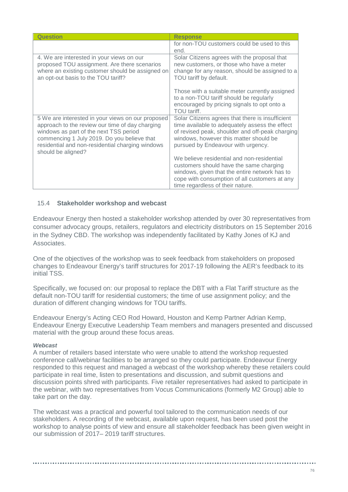| Question                                                                                                                                                                                                                                                                | <b>Response</b>                                                                                                                                                                                                                       |
|-------------------------------------------------------------------------------------------------------------------------------------------------------------------------------------------------------------------------------------------------------------------------|---------------------------------------------------------------------------------------------------------------------------------------------------------------------------------------------------------------------------------------|
|                                                                                                                                                                                                                                                                         | for non-TOU customers could be used to this                                                                                                                                                                                           |
|                                                                                                                                                                                                                                                                         | end.                                                                                                                                                                                                                                  |
| 4. We are interested in your views on our<br>proposed TOU assignment. Are there scenarios<br>where an existing customer should be assigned on<br>an opt-out basis to the TOU tariff?                                                                                    | Solar Citizens agrees with the proposal that<br>new customers, or those who have a meter<br>change for any reason, should be assigned to a<br>TOU tariff by default.                                                                  |
|                                                                                                                                                                                                                                                                         | Those with a suitable meter currently assigned<br>to a non-TOU tariff should be regularly<br>encouraged by pricing signals to opt onto a<br>TOU tariff.                                                                               |
| 5 We are interested in your views on our proposed<br>approach to the review our time of day charging<br>windows as part of the next TSS period<br>commencing 1 July 2019. Do you believe that<br>residential and non-residential charging windows<br>should be aligned? | Solar Citizens agrees that there is insufficient<br>time available to adequately assess the effect<br>of revised peak, shoulder and off-peak charging<br>windows, however this matter should be<br>pursued by Endeavour with urgency. |
|                                                                                                                                                                                                                                                                         | We believe residential and non-residential<br>customers should have the same charging<br>windows, given that the entire network has to<br>cope with consumption of all customers at any<br>time regardless of their nature.           |

## 15.4 **Stakeholder workshop and webcast**

Endeavour Energy then hosted a stakeholder workshop attended by over 30 representatives from consumer advocacy groups, retailers, regulators and electricity distributors on 15 September 2016 in the Sydney CBD. The workshop was independently facilitated by Kathy Jones of KJ and Associates.

One of the objectives of the workshop was to seek feedback from stakeholders on proposed changes to Endeavour Energy's tariff structures for 2017-19 following the AER's feedback to its initial TSS.

Specifically, we focused on: our proposal to replace the DBT with a Flat Tariff structure as the default non-TOU tariff for residential customers; the time of use assignment policy; and the duration of different changing windows for TOU tariffs.

Endeavour Energy's Acting CEO Rod Howard, Houston and Kemp Partner Adrian Kemp, Endeavour Energy Executive Leadership Team members and managers presented and discussed material with the group around these focus areas.

### *Webcast*

A number of retailers based interstate who were unable to attend the workshop requested conference call/webinar facilities to be arranged so they could participate. Endeavour Energy responded to this request and managed a webcast of the workshop whereby these retailers could participate in real time, listen to presentations and discussion, and submit questions and discussion points shred with participants. Five retailer representatives had asked to participate in the webinar, with two representatives from Vocus Communications (formerly M2 Group) able to take part on the day.

The webcast was a practical and powerful tool tailored to the communication needs of our stakeholders. A recording of the webcast, available upon request, has been used post the workshop to analyse points of view and ensure all stakeholder feedback has been given weight in our submission of 2017– 2019 tariff structures.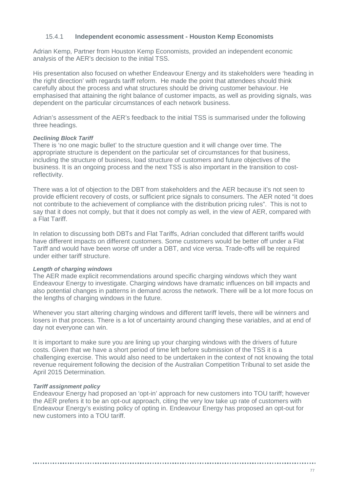## 15.4.1 **Independent economic assessment - Houston Kemp Economists**

Adrian Kemp, Partner from Houston Kemp Economists, provided an independent economic analysis of the AER's decision to the initial TSS.

His presentation also focused on whether Endeavour Energy and its stakeholders were 'heading in the right direction' with regards tariff reform. He made the point that attendees should think carefully about the process and what structures should be driving customer behaviour. He emphasised that attaining the right balance of customer impacts, as well as providing signals, was dependent on the particular circumstances of each network business.

Adrian's assessment of the AER's feedback to the initial TSS is summarised under the following three headings.

### *Declining Block Tariff*

There is 'no one magic bullet' to the structure question and it will change over time. The appropriate structure is dependent on the particular set of circumstances for that business, including the structure of business, load structure of customers and future objectives of the business. It is an ongoing process and the next TSS is also important in the transition to costreflectivity.

There was a lot of objection to the DBT from stakeholders and the AER because it's not seen to provide efficient recovery of costs, or sufficient price signals to consumers. The AER noted "it does not contribute to the achievement of compliance with the distribution pricing rules". This is not to say that it does not comply, but that it does not comply as well, in the view of AER, compared with a Flat Tariff.

In relation to discussing both DBTs and Flat Tariffs, Adrian concluded that different tariffs would have different impacts on different customers. Some customers would be better off under a Flat Tariff and would have been worse off under a DBT, and vice versa. Trade-offs will be required under either tariff structure.

#### *Length of charging windows*

The AER made explicit recommendations around specific charging windows which they want Endeavour Energy to investigate. Charging windows have dramatic influences on bill impacts and also potential changes in patterns in demand across the network. There will be a lot more focus on the lengths of charging windows in the future.

Whenever you start altering charging windows and different tariff levels, there will be winners and losers in that process. There is a lot of uncertainty around changing these variables, and at end of day not everyone can win.

It is important to make sure you are lining up your charging windows with the drivers of future costs. Given that we have a short period of time left before submission of the TSS it is a challenging exercise. This would also need to be undertaken in the context of not knowing the total revenue requirement following the decision of the Australian Competition Tribunal to set aside the April 2015 Determination.

### *Tariff assignment policy*

Endeavour Energy had proposed an 'opt-in' approach for new customers into TOU tariff; however the AER prefers it to be an opt-out approach, citing the very low take up rate of customers with Endeavour Energy's existing policy of opting in. Endeavour Energy has proposed an opt-out for new customers into a TOU tariff.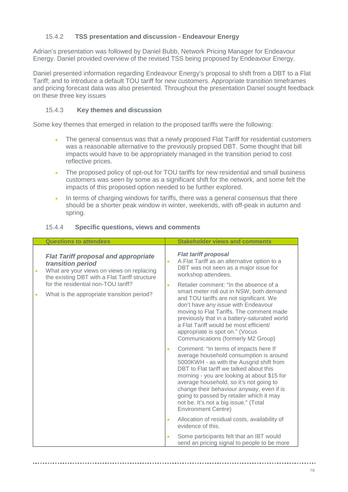## 15.4.2 **TSS presentation and discussion - Endeavour Energy**

Adrian's presentation was followed by Daniel Bubb, Network Pricing Manager for Endeavour Energy. Daniel provided overview of the revised TSS being proposed by Endeavour Energy.

Daniel presented information regarding Endeavour Energy's proposal to shift from a DBT to a Flat Tariff; and to introduce a default TOU tariff for new customers. Appropriate transition timeframes and pricing forecast data was also presented. Throughout the presentation Daniel sought feedback on these three key issues

## 15.4.3 **Key themes and discussion**

Some key themes that emerged in relation to the proposed tariffs were the following:

- The general consensus was that a newly proposed Flat Tariff for residential customers was a reasonable alternative to the previously propsed DBT. Some thought that bill impacts would have to be appropriately managed in the transition period to cost reflective prices.
- The proposed policy of opt-out for TOU tariffs for new residential and small business customers was seen by some as a significant shift for the network, and some felt the impacts of this proposed option needed to be further explored.
- In terms of charging windows for tariffs, there was a general consensus that there should be a shorter peak window in winter, weekends, with off-peak in autumn and spring.

|   | <b>Questions to attendees</b>                                                                                                                                  |                                                                                                                                                                                                                                                                                                                                                                                                                                   | <b>Stakeholder views and comments</b>                                                                                                                                                                                                                                                                                                     |
|---|----------------------------------------------------------------------------------------------------------------------------------------------------------------|-----------------------------------------------------------------------------------------------------------------------------------------------------------------------------------------------------------------------------------------------------------------------------------------------------------------------------------------------------------------------------------------------------------------------------------|-------------------------------------------------------------------------------------------------------------------------------------------------------------------------------------------------------------------------------------------------------------------------------------------------------------------------------------------|
|   | <b>Flat Tariff proposal and appropriate</b><br>transition period<br>What are your views on views on replacing<br>the existing DBT with a Flat Tariff structure | $\bullet$                                                                                                                                                                                                                                                                                                                                                                                                                         | <b>Flat tariff proposal</b><br>A Flat Tariff as an alternative option to a<br>DBT was not seen as a major issue for<br>workshop attendees.                                                                                                                                                                                                |
|   | for the residential non-TOU tariff?                                                                                                                            | $\bullet$                                                                                                                                                                                                                                                                                                                                                                                                                         | Retailer comment: "In the absence of a                                                                                                                                                                                                                                                                                                    |
| ۰ | What is the appropriate transition period?                                                                                                                     |                                                                                                                                                                                                                                                                                                                                                                                                                                   | smart meter roll out in NSW, both demand<br>and TOU tariffs are not significant. We<br>don't have any issue with Endeavour<br>moving to Flat Tariffs. The comment made<br>previously that in a battery-saturated world<br>a Flat Tariff would be most efficient/<br>appropriate is spot on." (Vocus<br>Communications (formerly M2 Group) |
|   | $\bullet$                                                                                                                                                      | Comment: "In terms of impacts here If<br>average household consumption is around<br>5000KWH - as with the Ausgrid shift from<br>DBT to Flat tariff we talked about this<br>morning - you are looking at about \$15 for<br>average household, so it's not going to<br>change their behaviour anyway, even if is<br>going to passed by retailer which it may<br>not be. It's not a big issue." (Total<br><b>Environment Centre)</b> |                                                                                                                                                                                                                                                                                                                                           |
|   |                                                                                                                                                                | $\bullet$                                                                                                                                                                                                                                                                                                                                                                                                                         | Allocation of residual costs, availability of<br>evidence of this.                                                                                                                                                                                                                                                                        |
|   |                                                                                                                                                                | $\bullet$                                                                                                                                                                                                                                                                                                                                                                                                                         | Some participants felt that an IBT would<br>send an pricing signal to people to be more                                                                                                                                                                                                                                                   |

## 15.4.4 **Specific questions, views and comments**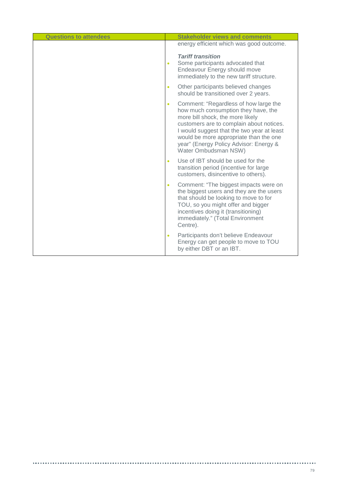| <b>Questions to attendees</b> | <b>Stakeholder views and comments</b>                                                                                                                                                                                                                                                                                               |
|-------------------------------|-------------------------------------------------------------------------------------------------------------------------------------------------------------------------------------------------------------------------------------------------------------------------------------------------------------------------------------|
|                               | energy efficient which was good outcome.                                                                                                                                                                                                                                                                                            |
|                               | <b>Tariff transition</b><br>Some participants advocated that<br>$\bullet$<br>Endeavour Energy should move<br>immediately to the new tariff structure.                                                                                                                                                                               |
|                               | Other participants believed changes<br>$\bullet$<br>should be transitioned over 2 years.                                                                                                                                                                                                                                            |
|                               | Comment: "Regardless of how large the<br>$\bullet$<br>how much consumption they have, the<br>more bill shock, the more likely<br>customers are to complain about notices.<br>I would suggest that the two year at least<br>would be more appropriate than the one<br>year" (Energy Policy Advisor: Energy &<br>Water Ombudsman NSW) |
|                               | Use of IBT should be used for the<br>$\bullet$<br>transition period (incentive for large<br>customers, disincentive to others).                                                                                                                                                                                                     |
|                               | Comment: "The biggest impacts were on<br>$\bullet$<br>the biggest users and they are the users<br>that should be looking to move to for<br>TOU, so you might offer and bigger<br>incentives doing it (transitioning)<br>immediately." (Total Environment<br>Centre).                                                                |
|                               | Participants don't believe Endeavour<br>$\bullet$<br>Energy can get people to move to TOU<br>by either DBT or an IBT.                                                                                                                                                                                                               |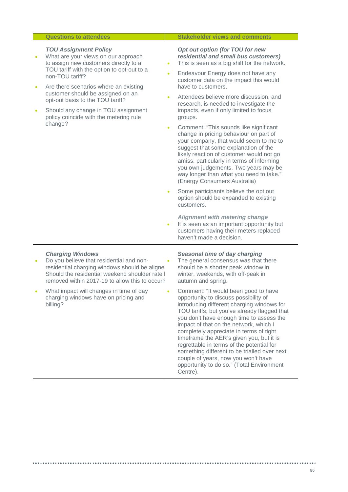|           | <b>Questions to attendees</b>                                                                                                                                                                                                                                                                                                                                                               |                                                                            | <b>Stakeholder views and comments</b>                                                                                                                                                                                                                                                                                                                                                                                                                                                                                                                                                                                                                                                                                                                                                                                                                                                                                                                                                                                 |
|-----------|---------------------------------------------------------------------------------------------------------------------------------------------------------------------------------------------------------------------------------------------------------------------------------------------------------------------------------------------------------------------------------------------|----------------------------------------------------------------------------|-----------------------------------------------------------------------------------------------------------------------------------------------------------------------------------------------------------------------------------------------------------------------------------------------------------------------------------------------------------------------------------------------------------------------------------------------------------------------------------------------------------------------------------------------------------------------------------------------------------------------------------------------------------------------------------------------------------------------------------------------------------------------------------------------------------------------------------------------------------------------------------------------------------------------------------------------------------------------------------------------------------------------|
| $\bullet$ | <b>TOU Assignment Policy</b><br>What are your views on our approach<br>to assign new customers directly to a<br>TOU tariff with the option to opt-out to a<br>non-TOU tariff?<br>Are there scenarios where an existing<br>customer should be assigned on an<br>opt-out basis to the TOU tariff?<br>Should any change in TOU assignment<br>policy coincide with the metering rule<br>change? | $\bullet$<br>$\bullet$<br>$\bullet$<br>$\bullet$<br>$\bullet$<br>$\bullet$ | Opt out option (for TOU for new<br>residential and small bus customers)<br>This is seen as a big shift for the network.<br>Endeavour Energy does not have any<br>customer data on the impact this would<br>have to customers.<br>Attendees believe more discussion, and<br>research, is needed to investigate the<br>impacts, even if only limited to focus<br>groups.<br>Comment: "This sounds like significant<br>change in pricing behaviour on part of<br>your company, that would seem to me to<br>suggest that some explanation of the<br>likely reaction of customer would not go<br>amiss, particularly in terms of informing<br>you own judgements. Two years may be<br>way longer than what you need to take."<br>(Energy Consumers Australia)<br>Some participants believe the opt out<br>option should be expanded to existing<br>customers.<br><b>Alignment with metering change</b><br>It is seen as an important opportunity but<br>customers having their meters replaced<br>haven't made a decision. |
|           | <b>Charging Windows</b><br>Do you believe that residential and non-<br>residential charging windows should be aligned<br>Should the residential weekend shoulder rate<br>removed within 2017-19 to allow this to occur?<br>What impact will changes in time of day<br>charging windows have on pricing and<br>billing?                                                                      | $\bullet$                                                                  | Seasonal time of day charging<br>The general consensus was that there<br>should be a shorter peak window in<br>winter, weekends, with off-peak in<br>autumn and spring.<br>Comment: "It would been good to have<br>opportunity to discuss possibility of<br>introducing different charging windows for<br>TOU tariffs, but you've already flagged that<br>you don't have enough time to assess the<br>impact of that on the network, which I<br>completely appreciate in terms of tight<br>timeframe the AER's given you, but it is<br>regrettable in terms of the potential for<br>something different to be trialled over next<br>couple of years, now you won't have<br>opportunity to do so." (Total Environment<br>Centre).                                                                                                                                                                                                                                                                                      |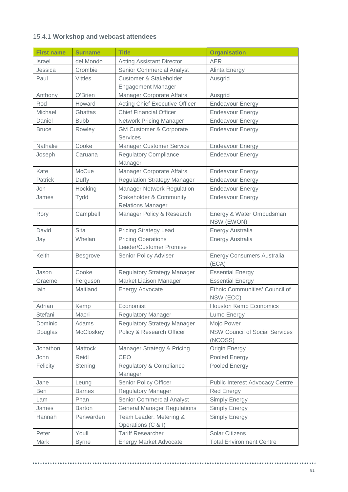## 15.4.1 **Workshop and webcast attendees**

| <b>First name</b> | <b>Surname</b>   | <b>Title</b>                                                   | <b>Organisation</b>                              |
|-------------------|------------------|----------------------------------------------------------------|--------------------------------------------------|
| <b>Israel</b>     | del Mondo        | <b>Acting Assistant Director</b>                               | <b>AER</b>                                       |
| Jessica           | Crombie          | <b>Senior Commercial Analyst</b>                               | Alinta Energy                                    |
| Paul              | <b>Vittles</b>   | <b>Customer &amp; Stakeholder</b>                              | Ausgrid                                          |
|                   |                  | <b>Engagement Manager</b>                                      |                                                  |
| Anthony           | O'Brien          | <b>Manager Corporate Affairs</b>                               | Ausgrid                                          |
| Rod               | Howard           | <b>Acting Chief Executive Officer</b>                          | <b>Endeavour Energy</b>                          |
| Michael           | Ghattas          | <b>Chief Financial Officer</b>                                 | <b>Endeavour Energy</b>                          |
| Daniel            | <b>Bubb</b>      | <b>Network Pricing Manager</b>                                 | <b>Endeavour Energy</b>                          |
| <b>Bruce</b>      | Rowley           | <b>GM Customer &amp; Corporate</b><br><b>Services</b>          | <b>Endeavour Energy</b>                          |
| Nathalie          | Cooke            | <b>Manager Customer Service</b>                                | <b>Endeavour Energy</b>                          |
| Joseph            | Caruana          | <b>Regulatory Compliance</b><br>Manager                        | <b>Endeavour Energy</b>                          |
| Kate              | <b>McCue</b>     | <b>Manager Corporate Affairs</b>                               | <b>Endeavour Energy</b>                          |
| Patrick           | Duffy            | <b>Regulation Strategy Manager</b>                             | <b>Endeavour Energy</b>                          |
| Jon               | Hocking          | <b>Manager Network Regulation</b>                              | <b>Endeavour Energy</b>                          |
| James             | Tydd             | <b>Stakeholder &amp; Community</b><br><b>Relations Manager</b> | <b>Endeavour Energy</b>                          |
| Rory              | Campbell         | Manager Policy & Research                                      | Energy & Water Ombudsman<br>NSW (EWON)           |
| David             | Sita             | <b>Pricing Strategy Lead</b>                                   | Energy Australia                                 |
| Jay               | Whelan           | <b>Pricing Operations</b><br>Leader/Customer Promise           | Energy Australia                                 |
| Keith             | <b>Besgrove</b>  | Senior Policy Adviser                                          | <b>Energy Consumers Australia</b><br>(ECA)       |
| Jason             | Cooke            | <b>Regulatory Strategy Manager</b>                             | <b>Essential Energy</b>                          |
| Graeme            | Ferguson         | Market Liaison Manager                                         | <b>Essential Energy</b>                          |
| lain              | Maitland         | <b>Energy Advocate</b>                                         | Ethnic Communities' Council of<br>NSW (ECC)      |
| Adrian            | Kemp             | Economist                                                      | <b>Houston Kemp Economics</b>                    |
| Stefani           | Macri            | <b>Regulatory Manager</b>                                      | Lumo Energy                                      |
| Dominic           | Adams            | <b>Regulatory Strategy Manager</b>                             | Mojo Power                                       |
| Douglas           | <b>McCloskey</b> | Policy & Research Officer                                      | <b>NSW Council of Social Services</b><br>(NCOSS) |
| Jonathon          | Mattock          | Manager Strategy & Pricing                                     | <b>Origin Energy</b>                             |
| John              | Reidl            | CEO                                                            | Pooled Energy                                    |
| Felicity          | Stening          | Regulatory & Compliance<br>Manager                             | Pooled Energy                                    |
| Jane              | Leung            | Senior Policy Officer                                          | <b>Public Interest Advocacy Centre</b>           |
| <b>Ben</b>        | <b>Barnes</b>    | <b>Regulatory Manager</b>                                      | <b>Red Energy</b>                                |
| Lam               | Phan             | <b>Senior Commercial Analyst</b>                               | Simply Energy                                    |
| James             | <b>Barton</b>    | <b>General Manager Regulations</b>                             | Simply Energy                                    |
| Hannah            | Penwarden        | Team Leader, Metering &<br>Operations (C & I)                  | <b>Simply Energy</b>                             |
| Peter             | Youll            | <b>Tariff Researcher</b>                                       | <b>Solar Citizens</b>                            |
| Mark              | <b>Byrne</b>     | <b>Energy Market Advocate</b>                                  | <b>Total Environment Centre</b>                  |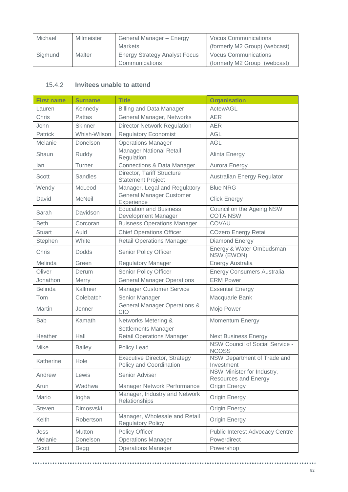| Michael | Milmeister | General Manager - Energy             | <b>Vocus Communications</b>   |
|---------|------------|--------------------------------------|-------------------------------|
|         |            | <b>Markets</b>                       | (formerly M2 Group) (webcast) |
| Sigmund | Malter     | <b>Energy Strategy Analyst Focus</b> | <b>Vocus Communications</b>   |
|         |            | Communications                       | (formerly M2 Group (webcast)  |

## 15.4.2 **Invitees unable to attend**

| <b>First name</b> | <b>Surname</b> | <b>Title</b>                                                   | <b>Organisation</b>                                       |
|-------------------|----------------|----------------------------------------------------------------|-----------------------------------------------------------|
| Lauren            | Kennedy        | <b>Billing and Data Manager</b>                                | <b>ActewAGL</b>                                           |
| <b>Chris</b>      | Pattas         | General Manager, Networks                                      | <b>AER</b>                                                |
| John              | <b>Skinner</b> | <b>Director Network Regulation</b>                             | <b>AER</b>                                                |
| Patrick           | Whish-Wilson   | <b>Regulatory Economist</b>                                    | <b>AGL</b>                                                |
| Melanie           | Donelson       | <b>Operations Manager</b>                                      | <b>AGL</b>                                                |
| Shaun             | Ruddy          | <b>Manager National Retail</b><br>Regulation                   | Alinta Energy                                             |
| lan               | Turner         | <b>Connections &amp; Data Manager</b>                          | Aurora Energy                                             |
| Scott             | Sandles        | Director, Tariff Structure<br><b>Statement Project</b>         | Australian Energy Regulator                               |
| Wendy             | McLeod         | Manager, Legal and Regulatory                                  | <b>Blue NRG</b>                                           |
| David             | <b>McNeil</b>  | <b>General Manager Customer</b><br>Experience                  | <b>Click Energy</b>                                       |
| Sarah             | Davidson       | <b>Education and Business</b><br>Development Manager           | Council on the Ageing NSW<br><b>COTA NSW</b>              |
| <b>Beth</b>       | Corcoran       | <b>Buisness Operations Manager</b>                             | COVAU                                                     |
| <b>Stuart</b>     | Auld           | <b>Chief Operations Officer</b>                                | <b>COzero Energy Retail</b>                               |
| Stephen           | White          | <b>Retail Operations Manager</b>                               | Diamond Energy                                            |
| Chris             | <b>Dodds</b>   | Senior Policy Officer                                          | Energy & Water Ombudsman<br>NSW (EWON)                    |
| Melinda           | Green          | <b>Regulatory Manager</b>                                      | <b>Energy Australia</b>                                   |
| Oliver            | Derum          | Senior Policy Officer                                          | <b>Energy Consumers Australia</b>                         |
| Jonathon          | Merry          | <b>General Manager Operations</b>                              | <b>ERM Power</b>                                          |
| <b>Belinda</b>    | Kallmier       | <b>Manager Customer Service</b>                                | <b>Essential Energy</b>                                   |
| Tom               | Colebatch      | Senior Manager                                                 | Macquarie Bank                                            |
| Martin            | Jenner         | <b>General Manager Operations &amp;</b><br>CIO                 | Mojo Power                                                |
| <b>Bab</b>        | Kamath         | Networks Metering &<br>Settlements Manager                     | Momentum Energy                                           |
| Heather           | Hall           | <b>Retail Operations Manager</b>                               | <b>Next Business Energy</b>                               |
| Mike              | <b>Bailey</b>  | Policy Lead                                                    | NSW Council of Social Service -<br><b>NCOSS</b>           |
| Katherine         | Hole           | <b>Executive Director, Strategy</b><br>Policy and Coordination | NSW Department of Trade and<br>Investment                 |
| Andrew            | Lewis          | Senior Adviser                                                 | NSW Minister for Industry,<br><b>Resources and Energy</b> |
| Arun              | Wadhwa         | Manager Network Performance                                    | Origin Energy                                             |
| Mario             | logha          | Manager, Industry and Network<br>Relationships                 | <b>Origin Energy</b>                                      |
| <b>Steven</b>     | Dimosvski      |                                                                | Origin Energy                                             |
| Keith             | Robertson      | Manager, Wholesale and Retail<br><b>Regulatory Policy</b>      | Origin Energy                                             |
| Jess              | Mutton         | Policy Officer                                                 | <b>Public Interest Advocacy Centre</b>                    |
| Melanie           | Donelson       | <b>Operations Manager</b>                                      | Powerdirect                                               |
| Scott             | <b>Begg</b>    | <b>Operations Manager</b>                                      | Powershop                                                 |